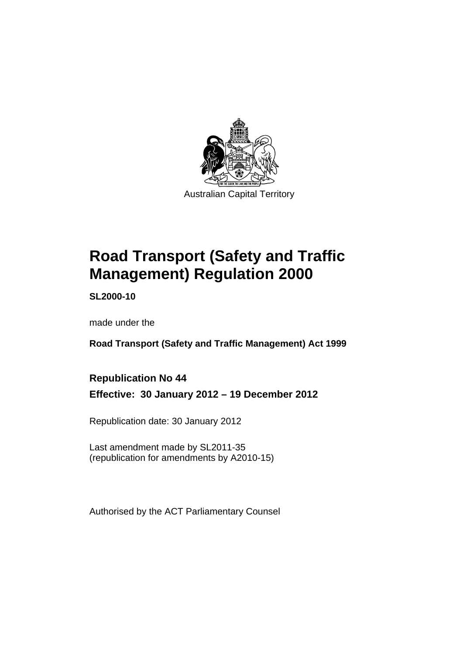

# **Road Transport (Safety and Traffic Management) Regulation 2000**

**SL2000-10** 

made under the

**Road Transport (Safety and Traffic Management) Act 1999** 

# **Republication No 44**

**Effective: 30 January 2012 – 19 December 2012** 

Republication date: 30 January 2012

Last amendment made by SL2011-35 (republication for amendments by A2010-15)

Authorised by the ACT Parliamentary Counsel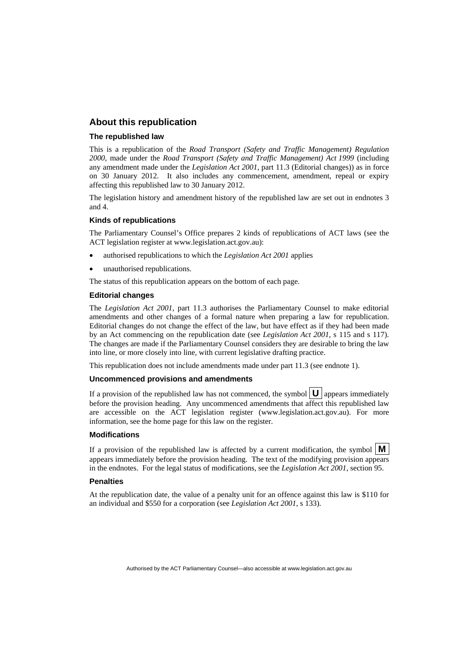### **About this republication**

### **The republished law**

This is a republication of the *Road Transport (Safety and Traffic Management) Regulation 2000*, made under the *Road Transport (Safety and Traffic Management) Act 1999* (including any amendment made under the *Legislation Act 2001*, part 11.3 (Editorial changes)) as in force on 30 January 2012*.* It also includes any commencement, amendment, repeal or expiry affecting this republished law to 30 January 2012.

The legislation history and amendment history of the republished law are set out in endnotes 3 and 4.

### **Kinds of republications**

The Parliamentary Counsel's Office prepares 2 kinds of republications of ACT laws (see the ACT legislation register at www.legislation.act.gov.au):

- authorised republications to which the *Legislation Act 2001* applies
- unauthorised republications.

The status of this republication appears on the bottom of each page.

### **Editorial changes**

The *Legislation Act 2001*, part 11.3 authorises the Parliamentary Counsel to make editorial amendments and other changes of a formal nature when preparing a law for republication. Editorial changes do not change the effect of the law, but have effect as if they had been made by an Act commencing on the republication date (see *Legislation Act 2001*, s 115 and s 117). The changes are made if the Parliamentary Counsel considers they are desirable to bring the law into line, or more closely into line, with current legislative drafting practice.

This republication does not include amendments made under part 11.3 (see endnote 1).

### **Uncommenced provisions and amendments**

If a provision of the republished law has not commenced, the symbol  $\mathbf{U}$  appears immediately before the provision heading. Any uncommenced amendments that affect this republished law are accessible on the ACT legislation register (www.legislation.act.gov.au). For more information, see the home page for this law on the register.

### **Modifications**

If a provision of the republished law is affected by a current modification, the symbol  $\mathbf{M}$ appears immediately before the provision heading. The text of the modifying provision appears in the endnotes. For the legal status of modifications, see the *Legislation Act 2001*, section 95.

### **Penalties**

At the republication date, the value of a penalty unit for an offence against this law is \$110 for an individual and \$550 for a corporation (see *Legislation Act 2001*, s 133).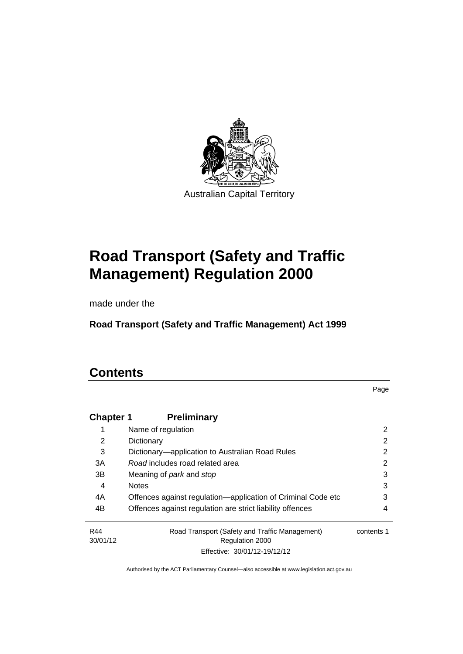

# **Road Transport (Safety and Traffic Management) Regulation 2000**

made under the

**Road Transport (Safety and Traffic Management) Act 1999** 

# **Contents**

Page

| <b>Chapter 1</b> | <b>Preliminary</b>                                                       |            |
|------------------|--------------------------------------------------------------------------|------------|
|                  | Name of regulation                                                       | 2          |
| 2                | Dictionary                                                               | 2          |
| 3                | Dictionary—application to Australian Road Rules                          | 2          |
| 3A               | Road includes road related area                                          | 2          |
| 3B               | Meaning of <i>park</i> and <i>stop</i>                                   | 3          |
| 4                | <b>Notes</b>                                                             | 3          |
| 4A               | Offences against regulation—application of Criminal Code etc             | 3          |
| 4B               | Offences against regulation are strict liability offences                | 4          |
| R44<br>30/01/12  | Road Transport (Safety and Traffic Management)<br><b>Regulation 2000</b> | contents 1 |
|                  | Effective: 30/01/12-19/12/12                                             |            |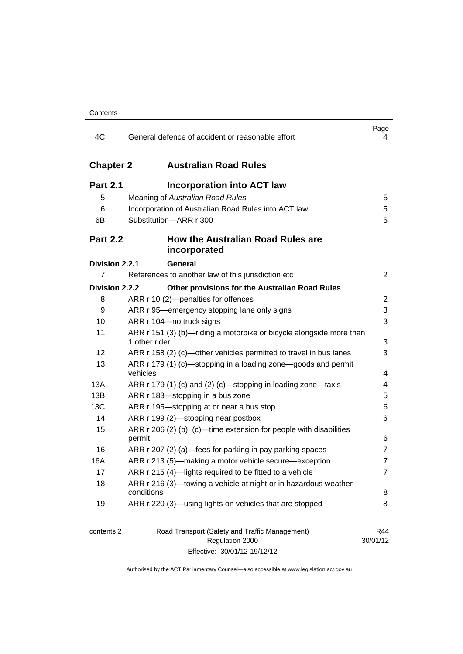| 4C               | General defence of accident or reasonable effort                                                  | Page<br>4       |
|------------------|---------------------------------------------------------------------------------------------------|-----------------|
| <b>Chapter 2</b> | <b>Australian Road Rules</b>                                                                      |                 |
| <b>Part 2.1</b>  | <b>Incorporation into ACT law</b>                                                                 |                 |
| 5                | Meaning of Australian Road Rules                                                                  | 5               |
| 6                | Incorporation of Australian Road Rules into ACT law                                               | 5               |
| 6B               | Substitution-ARR r 300                                                                            | 5               |
| <b>Part 2.2</b>  | <b>How the Australian Road Rules are</b><br>incorporated                                          |                 |
| Division 2.2.1   | General                                                                                           |                 |
| $\overline{7}$   | References to another law of this jurisdiction etc                                                | 2               |
| Division 2.2.2   | Other provisions for the Australian Road Rules                                                    |                 |
| 8                | ARR r 10 (2)-penalties for offences                                                               | 2               |
| 9                | ARR r 95—emergency stopping lane only signs                                                       | 3               |
| 10               | ARR r 104-no truck signs                                                                          | 3               |
| 11               | ARR r 151 (3) (b)—riding a motorbike or bicycle alongside more than<br>1 other rider              | 3               |
| 12               | ARR r 158 (2) (c)—other vehicles permitted to travel in bus lanes                                 | 3               |
| 13               | ARR r 179 (1) (c)—stopping in a loading zone—goods and permit<br>vehicles                         | 4               |
| 13A              | ARR r 179 (1) (c) and (2) (c)-stopping in loading zone-taxis                                      | 4               |
| 13B              | ARR r 183-stopping in a bus zone                                                                  | 5               |
| 13C              | ARR r 195-stopping at or near a bus stop                                                          | 6               |
| 14               | ARR r 199 (2)-stopping near postbox                                                               | 6               |
| 15               | ARR r 206 (2) (b), (c)—time extension for people with disabilities                                |                 |
|                  | permit                                                                                            | 6               |
| 16               | ARR r 207 (2) (a)—fees for parking in pay parking spaces                                          | $\overline{7}$  |
| 16A              | ARR r 213 (5)—making a motor vehicle secure—exception                                             | $\overline{7}$  |
| 17               | ARR r 215 (4)-lights required to be fitted to a vehicle                                           | 7               |
| 18               | ARR r 216 (3)-towing a vehicle at night or in hazardous weather<br>conditions                     | 8               |
| 19               | ARR r 220 (3)-using lights on vehicles that are stopped                                           | 8               |
| contents 2       | Road Transport (Safety and Traffic Management)<br>Regulation 2000<br>Effective: 30/01/12-19/12/12 | R44<br>30/01/12 |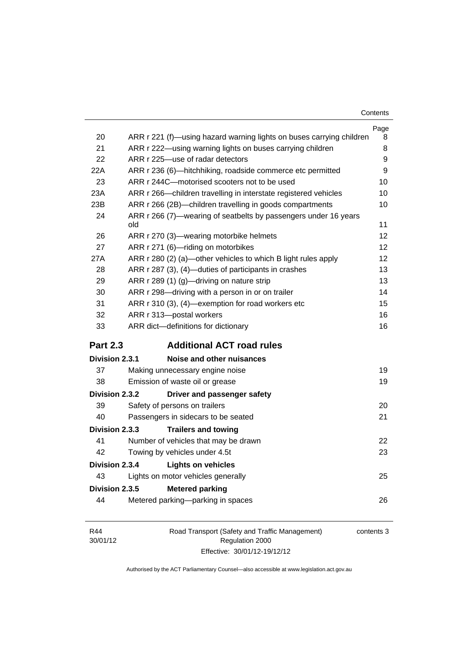| Contents |
|----------|
|----------|

|                       |                                                                        | Page |
|-----------------------|------------------------------------------------------------------------|------|
| 20                    | ARR r 221 (f)—using hazard warning lights on buses carrying children   | 8    |
| 21                    | ARR r 222—using warning lights on buses carrying children              | 8    |
| 22                    | ARR r 225-use of radar detectors                                       | 9    |
| 22A                   | ARR r 236 (6)-hitchhiking, roadside commerce etc permitted             | 9    |
| 23                    | ARR r 244C-motorised scooters not to be used                           | 10   |
| 23A                   | ARR r 266—children travelling in interstate registered vehicles        | 10   |
| 23B                   | ARR r 266 (2B)-children travelling in goods compartments               | 10   |
| 24                    | ARR r 266 (7)—wearing of seatbelts by passengers under 16 years<br>old | 11   |
| 26                    | ARR r 270 (3)—wearing motorbike helmets                                | 12   |
| 27                    | ARR r 271 (6)-riding on motorbikes                                     | 12   |
| 27A                   | ARR r 280 (2) (a)—other vehicles to which B light rules apply          | 12   |
| 28                    | ARR r 287 (3), (4)-duties of participants in crashes                   | 13   |
| 29                    | ARR r 289 (1) (g)-driving on nature strip                              | 13   |
| 30                    | ARR r 298-driving with a person in or on trailer                       | 14   |
| 31                    | ARR r 310 (3), (4)-exemption for road workers etc                      | 15   |
| 32                    | ARR r 313-postal workers                                               | 16   |
| 33                    | ARR dict-definitions for dictionary                                    | 16   |
| <b>Part 2.3</b>       | <b>Additional ACT road rules</b>                                       |      |
| <b>Division 2.3.1</b> | Noise and other nuisances                                              |      |
| 37                    | Making unnecessary engine noise                                        | 19   |
| 38                    | Emission of waste oil or grease                                        | 19   |
| Division 2.3.2        | Driver and passenger safety                                            |      |
| 39                    | Safety of persons on trailers                                          | 20   |
| 40                    | Passengers in sidecars to be seated                                    | 21   |
| <b>Division 2.3.3</b> | <b>Trailers and towing</b>                                             |      |
| 41                    | Number of vehicles that may be drawn                                   | 22   |
| 42                    | Towing by vehicles under 4.5t                                          | 23   |
| Division 2.3.4        | <b>Lights on vehicles</b>                                              |      |
| 43                    | Lights on motor vehicles generally                                     | 25   |
| Division 2.3.5        | <b>Metered parking</b>                                                 |      |
| 44                    | Metered parking-parking in spaces                                      | 26   |
|                       |                                                                        |      |
|                       |                                                                        |      |

| R44      | Road Transport (Safety and Traffic Management) | contents 3 |
|----------|------------------------------------------------|------------|
| 30/01/12 | Regulation 2000                                |            |
|          | Effective: 30/01/12-19/12/12                   |            |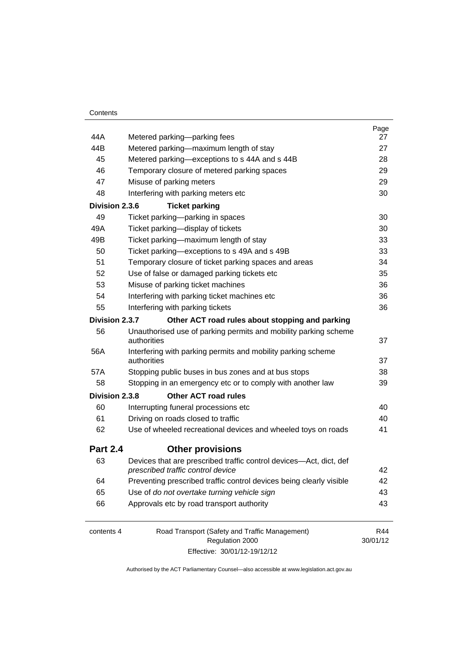|                 |                                                                                                         | Page     |
|-----------------|---------------------------------------------------------------------------------------------------------|----------|
| 44A             | Metered parking-parking fees                                                                            | 27       |
| 44B             | Metered parking-maximum length of stay                                                                  | 27       |
| 45              | Metered parking-exceptions to s 44A and s 44B                                                           | 28       |
| 46              | Temporary closure of metered parking spaces                                                             | 29       |
| 47              | Misuse of parking meters                                                                                | 29       |
| 48              | Interfering with parking meters etc                                                                     | 30       |
| Division 2.3.6  | <b>Ticket parking</b>                                                                                   |          |
| 49              | Ticket parking-parking in spaces                                                                        | 30       |
| 49A             | Ticket parking-display of tickets                                                                       | 30       |
| 49B             | Ticket parking—maximum length of stay                                                                   | 33       |
| 50              | Ticket parking-exceptions to s 49A and s 49B                                                            | 33       |
| 51              | Temporary closure of ticket parking spaces and areas                                                    | 34       |
| 52              | Use of false or damaged parking tickets etc                                                             | 35       |
| 53              | Misuse of parking ticket machines                                                                       | 36       |
| 54              | Interfering with parking ticket machines etc                                                            | 36       |
| 55              | Interfering with parking tickets                                                                        | 36       |
| Division 2.3.7  | Other ACT road rules about stopping and parking                                                         |          |
| 56              | Unauthorised use of parking permits and mobility parking scheme                                         |          |
|                 | authorities                                                                                             | 37       |
| 56A             | Interfering with parking permits and mobility parking scheme<br>authorities                             | 37       |
| 57A             | Stopping public buses in bus zones and at bus stops                                                     | 38       |
| 58              | Stopping in an emergency etc or to comply with another law                                              | 39       |
| Division 2.3.8  | <b>Other ACT road rules</b>                                                                             |          |
| 60              | Interrupting funeral processions etc                                                                    | 40       |
| 61              | Driving on roads closed to traffic                                                                      | 40       |
| 62              | Use of wheeled recreational devices and wheeled toys on roads                                           | 41       |
| <b>Part 2.4</b> | <b>Other provisions</b>                                                                                 |          |
| 63              | Devices that are prescribed traffic control devices-Act, dict, def<br>prescribed traffic control device | 42       |
| 64              | Preventing prescribed traffic control devices being clearly visible                                     | 42       |
| 65              | Use of do not overtake turning vehicle sign                                                             | 43       |
| 66              | Approvals etc by road transport authority                                                               | 43       |
| contents 4      | Road Transport (Safety and Traffic Management)                                                          | R44      |
|                 | Regulation 2000                                                                                         | 30/01/12 |

Effective: 30/01/12-19/12/12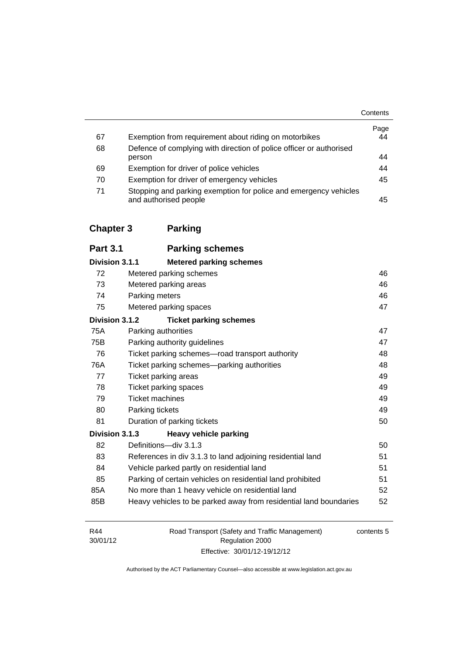|    |                                                                                           | Contents   |
|----|-------------------------------------------------------------------------------------------|------------|
| 67 | Exemption from requirement about riding on motorbikes                                     | Page<br>44 |
| 68 | Defence of complying with direction of police officer or authorised                       |            |
|    | person                                                                                    | 44         |
| 69 | Exemption for driver of police vehicles                                                   | 44         |
| 70 | Exemption for driver of emergency vehicles                                                | 45         |
| 71 | Stopping and parking exemption for police and emergency vehicles<br>and authorised people | 45         |

# **[Chapter 3](#page-64-0) Parking**

| <b>Part 3.1</b> | <b>Parking schemes</b>                                            |    |
|-----------------|-------------------------------------------------------------------|----|
| Division 3.1.1  | <b>Metered parking schemes</b>                                    |    |
| 72              | Metered parking schemes                                           | 46 |
| 73              | Metered parking areas                                             | 46 |
| 74              | Parking meters                                                    | 46 |
| 75              | Metered parking spaces                                            | 47 |
| Division 3.1.2  | <b>Ticket parking schemes</b>                                     |    |
| 75A             | Parking authorities                                               | 47 |
| 75B             | Parking authority guidelines                                      | 47 |
| 76              | Ticket parking schemes—road transport authority                   | 48 |
| 76A             | Ticket parking schemes—parking authorities                        | 48 |
| 77              | Ticket parking areas                                              | 49 |
| 78              | Ticket parking spaces                                             | 49 |
| 79              | <b>Ticket machines</b>                                            | 49 |
| 80              | Parking tickets                                                   | 49 |
| 81              | Duration of parking tickets                                       | 50 |
| Division 3.1.3  | <b>Heavy vehicle parking</b>                                      |    |
| 82              | Definitions-div 3.1.3                                             | 50 |
| 83              | References in div 3.1.3 to land adjoining residential land        | 51 |
| 84              | Vehicle parked partly on residential land                         | 51 |
| 85              | Parking of certain vehicles on residential land prohibited        | 51 |
| 85A             | No more than 1 heavy vehicle on residential land                  | 52 |
| 85B             | Heavy vehicles to be parked away from residential land boundaries | 52 |

| R44      | Road Transport (Safety and Traffic Management) | contents 5 |
|----------|------------------------------------------------|------------|
| 30/01/12 | Regulation 2000                                |            |
|          | Effective: 30/01/12-19/12/12                   |            |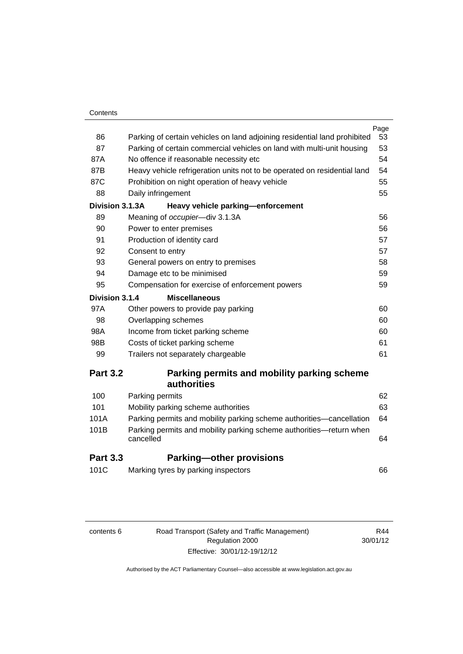| Contents |
|----------|
|----------|

|                 |                                                                                  | Page |
|-----------------|----------------------------------------------------------------------------------|------|
| 86              | Parking of certain vehicles on land adjoining residential land prohibited        | 53   |
| 87              | Parking of certain commercial vehicles on land with multi-unit housing           | 53   |
| 87A             | No offence if reasonable necessity etc                                           | 54   |
| 87B             | Heavy vehicle refrigeration units not to be operated on residential land         | 54   |
| 87C             | Prohibition on night operation of heavy vehicle                                  | 55   |
| 88              | Daily infringement                                                               | 55   |
| Division 3.1.3A | Heavy vehicle parking-enforcement                                                |      |
| 89              | Meaning of occupier-div 3.1.3A                                                   | 56   |
| 90              | Power to enter premises                                                          | 56   |
| 91              | Production of identity card                                                      | 57   |
| 92              | Consent to entry                                                                 | 57   |
| 93              | General powers on entry to premises                                              | 58   |
| 94              | Damage etc to be minimised                                                       | 59   |
| 95              | Compensation for exercise of enforcement powers                                  | 59   |
| Division 3.1.4  | <b>Miscellaneous</b>                                                             |      |
| 97A             | Other powers to provide pay parking                                              | 60   |
| 98              | Overlapping schemes                                                              | 60   |
| 98A             | Income from ticket parking scheme                                                | 60   |
| 98B             | Costs of ticket parking scheme                                                   | 61   |
| 99              | Trailers not separately chargeable                                               | 61   |
| <b>Part 3.2</b> | Parking permits and mobility parking scheme                                      |      |
|                 | authorities                                                                      |      |
| 100             | Parking permits                                                                  | 62   |
| 101             | Mobility parking scheme authorities                                              | 63   |
| 101A            | Parking permits and mobility parking scheme authorities—cancellation             | 64   |
| 101B            | Parking permits and mobility parking scheme authorities—return when<br>cancelled | 64   |

# **Part 3.3 [Parking—other provisions](#page-84-0)**

| 101C | Marking tyres by parking inspectors |  |
|------|-------------------------------------|--|
|------|-------------------------------------|--|

| content |  |
|---------|--|

contents 6 Road Transport (Safety and Traffic Management) Regulation 2000 Effective: 30/01/12-19/12/12

R44 30/01/12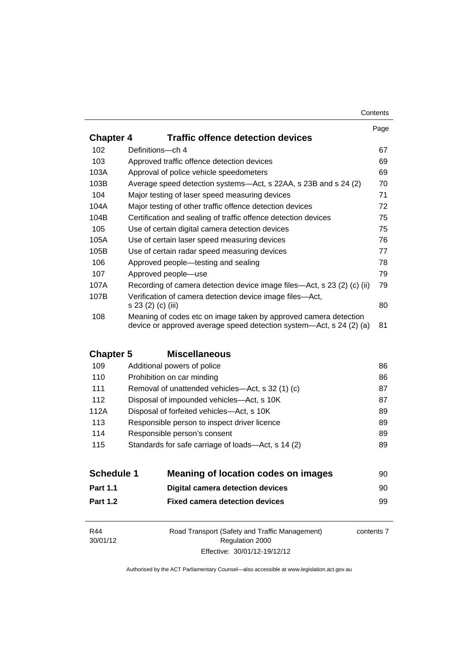### **Contents**

|                  |                                                                                                                                         | Page |
|------------------|-----------------------------------------------------------------------------------------------------------------------------------------|------|
| <b>Chapter 4</b> | <b>Traffic offence detection devices</b>                                                                                                |      |
| 102              | Definitions-ch 4                                                                                                                        | 67   |
| 103              | Approved traffic offence detection devices                                                                                              | 69   |
| 103A             | Approval of police vehicle speedometers                                                                                                 | 69   |
| 103B             | Average speed detection systems—Act, s 22AA, s 23B and s 24 (2)                                                                         | 70   |
| 104              | Major testing of laser speed measuring devices                                                                                          | 71   |
| 104A             | Major testing of other traffic offence detection devices                                                                                | 72   |
| 104B             | Certification and sealing of traffic offence detection devices                                                                          | 75   |
| 105              | Use of certain digital camera detection devices                                                                                         | 75   |
| 105A             | Use of certain laser speed measuring devices                                                                                            | 76   |
| 105B             | Use of certain radar speed measuring devices                                                                                            | 77   |
| 106              | Approved people—testing and sealing                                                                                                     | 78   |
| 107              | Approved people—use                                                                                                                     | 79   |
| 107A             | Recording of camera detection device image files—Act, s 23 (2) (c) (ii)                                                                 | 79   |
| 107B             | Verification of camera detection device image files—Act,<br>s 23 (2) (c) (iii)                                                          | 80   |
| 108              | Meaning of codes etc on image taken by approved camera detection<br>device or approved average speed detection system—Act, s 24 (2) (a) | 81   |

# **Chapter 5 [Miscellaneous](#page-104-0)**

| 109  | Additional powers of police                        | 86 |
|------|----------------------------------------------------|----|
| 110  | Prohibition on car minding                         | 86 |
| 111  | Removal of unattended vehicles—Act, s 32 (1) (c)   | 87 |
| 112  | Disposal of impounded vehicles—Act, s 10K          | 87 |
| 112A | Disposal of forfeited vehicles—Act, s 10K          | 89 |
| 113  | Responsible person to inspect driver licence       | 89 |
| 114  | Responsible person's consent                       | 89 |
| 115  | Standards for safe carriage of loads-Act, s 14 (2) | 89 |
|      |                                                    |    |

| <b>Schedule 1</b> | Meaning of location codes on images   | 90 |
|-------------------|---------------------------------------|----|
| <b>Part 1.1</b>   | Digital camera detection devices      | 90 |
| <b>Part 1.2</b>   | <b>Fixed camera detection devices</b> | 99 |

| R44                         | Road Transport (Safety and Traffic Management) | contents 7 |
|-----------------------------|------------------------------------------------|------------|
| 30/01/12<br>Regulation 2000 |                                                |            |
|                             | Effective: 30/01/12-19/12/12                   |            |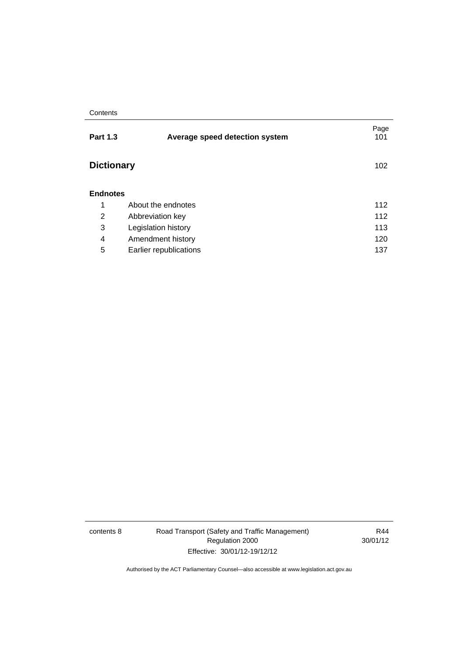### **Contents**

| <b>Part 1.3</b>   | Average speed detection system | Page<br>101 |
|-------------------|--------------------------------|-------------|
| <b>Dictionary</b> |                                | 102         |
| <b>Endnotes</b>   |                                |             |
| 1                 | About the endnotes             | 112         |
| 2                 | Abbreviation key               | 112         |
| 3                 | Legislation history            | 113         |
| 4                 | Amendment history              | 120         |
| 5                 | Earlier republications         | 137         |

contents 8 Road Transport (Safety and Traffic Management) Regulation 2000 Effective: 30/01/12-19/12/12

R44 30/01/12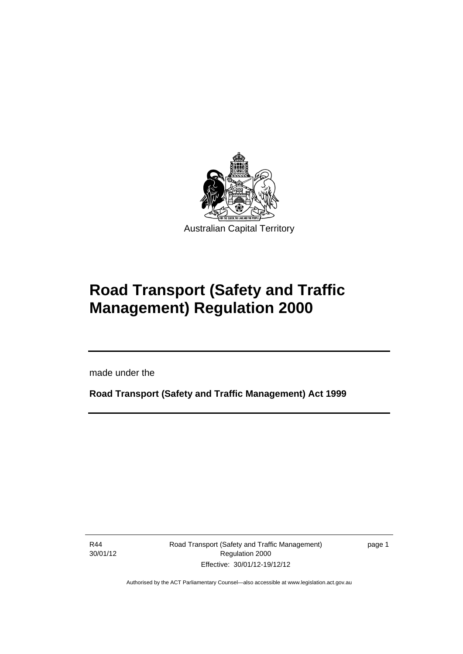

# **Road Transport (Safety and Traffic Management) Regulation 2000**

made under the

**Road Transport (Safety and Traffic Management) Act 1999** 

R44 30/01/12

Ī

Road Transport (Safety and Traffic Management) Regulation 2000 Effective: 30/01/12-19/12/12

page 1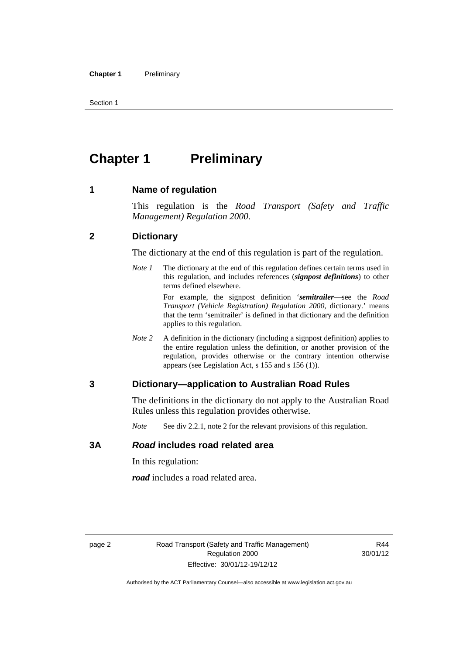Section 1

# <span id="page-11-0"></span>**Chapter 1 Preliminary**

### <span id="page-11-1"></span>**1 Name of regulation**

This regulation is the *Road Transport (Safety and Traffic Management) Regulation 2000*.

### <span id="page-11-2"></span>**2 Dictionary**

The dictionary at the end of this regulation is part of the regulation.

*Note 1* The dictionary at the end of this regulation defines certain terms used in this regulation, and includes references (*signpost definitions*) to other terms defined elsewhere.

> For example, the signpost definition '*semitrailer*—see the *Road Transport (Vehicle Registration) Regulation 2000*, dictionary.' means that the term 'semitrailer' is defined in that dictionary and the definition applies to this regulation.

*Note* 2 A definition in the dictionary (including a signpost definition) applies to the entire regulation unless the definition, or another provision of the regulation, provides otherwise or the contrary intention otherwise appears (see Legislation Act, s 155 and s 156 (1)).

### <span id="page-11-3"></span>**3 Dictionary—application to Australian Road Rules**

The definitions in the dictionary do not apply to the Australian Road Rules unless this regulation provides otherwise.

*Note* See div 2.2.1, note 2 for the relevant provisions of this regulation.

### <span id="page-11-4"></span>**3A** *Road* **includes road related area**

In this regulation:

*road* includes a road related area.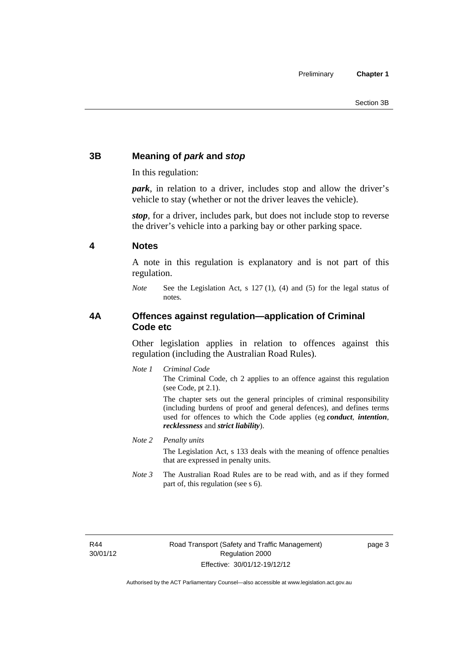### <span id="page-12-0"></span>**3B Meaning of** *park* **and** *stop*

In this regulation:

*park*, in relation to a driver, includes stop and allow the driver's vehicle to stay (whether or not the driver leaves the vehicle).

*stop*, for a driver, includes park, but does not include stop to reverse the driver's vehicle into a parking bay or other parking space.

### <span id="page-12-1"></span>**4 Notes**

A note in this regulation is explanatory and is not part of this regulation.

*Note* See the Legislation Act, s 127 (1), (4) and (5) for the legal status of notes.

### <span id="page-12-2"></span>**4A Offences against regulation—application of Criminal Code etc**

Other legislation applies in relation to offences against this regulation (including the Australian Road Rules).

*Note 1 Criminal Code*

The Criminal Code, ch 2 applies to an offence against this regulation (see Code, pt 2.1).

The chapter sets out the general principles of criminal responsibility (including burdens of proof and general defences), and defines terms used for offences to which the Code applies (eg *conduct*, *intention*, *recklessness* and *strict liability*).

*Note 2 Penalty units* 

The Legislation Act, s 133 deals with the meaning of offence penalties that are expressed in penalty units.

*Note 3* The Australian Road Rules are to be read with, and as if they formed part of, this regulation (see s 6).

R44 30/01/12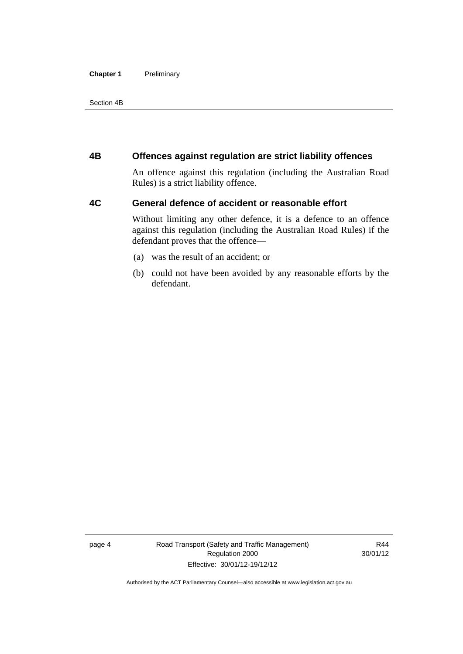### **Chapter 1** Preliminary

Section 4B

### <span id="page-13-0"></span>**4B Offences against regulation are strict liability offences**

An offence against this regulation (including the Australian Road Rules) is a strict liability offence.

### <span id="page-13-1"></span>**4C General defence of accident or reasonable effort**

Without limiting any other defence, it is a defence to an offence against this regulation (including the Australian Road Rules) if the defendant proves that the offence—

- (a) was the result of an accident; or
- (b) could not have been avoided by any reasonable efforts by the defendant.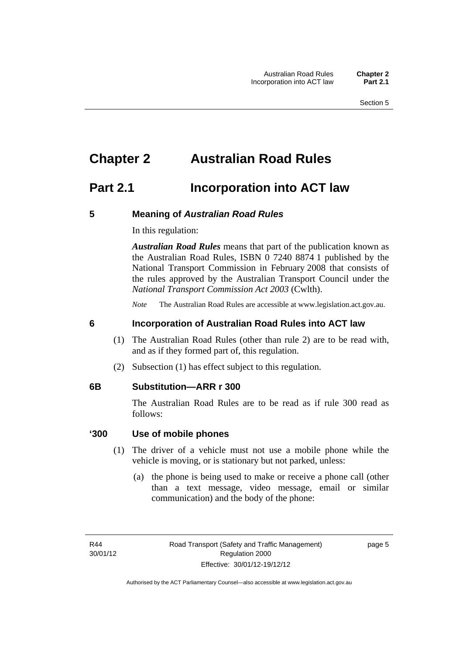# <span id="page-14-0"></span>**Chapter 2 Australian Road Rules**

## <span id="page-14-1"></span>**Part 2.1 Incorporation into ACT law**

### <span id="page-14-2"></span>**5 Meaning of** *Australian Road Rules*

In this regulation:

*Australian Road Rules* means that part of the publication known as the Australian Road Rules, ISBN 0 7240 8874 1 published by the National Transport Commission in February 2008 that consists of the rules approved by the Australian Transport Council under the *National Transport Commission Act 2003* (Cwlth).

*Note* The Australian Road Rules are accessible at www.legislation.act.gov.au.

### <span id="page-14-3"></span>**6 Incorporation of Australian Road Rules into ACT law**

- (1) The Australian Road Rules (other than rule 2) are to be read with, and as if they formed part of, this regulation.
- (2) Subsection (1) has effect subject to this regulation.

### <span id="page-14-4"></span>**6B Substitution—ARR r 300**

The Australian Road Rules are to be read as if rule 300 read as follows:

### **'300 Use of mobile phones**

- (1) The driver of a vehicle must not use a mobile phone while the vehicle is moving, or is stationary but not parked, unless:
	- (a) the phone is being used to make or receive a phone call (other than a text message, video message, email or similar communication) and the body of the phone: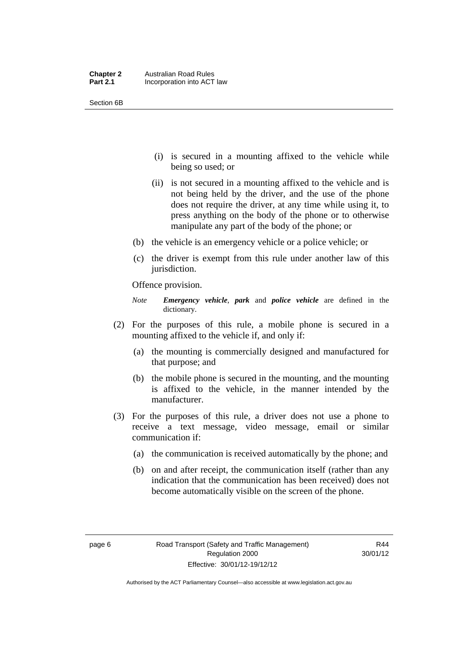| <b>Chapter 2</b> | <b>Australian Road Rules</b> |
|------------------|------------------------------|
| <b>Part 2.1</b>  | Incorporation into ACT law   |

Section 6B

- (i) is secured in a mounting affixed to the vehicle while being so used; or
- (ii) is not secured in a mounting affixed to the vehicle and is not being held by the driver, and the use of the phone does not require the driver, at any time while using it, to press anything on the body of the phone or to otherwise manipulate any part of the body of the phone; or
- (b) the vehicle is an emergency vehicle or a police vehicle; or
- (c) the driver is exempt from this rule under another law of this jurisdiction.

Offence provision.

*Note Emergency vehicle*, *park* and *police vehicle* are defined in the dictionary.

- (2) For the purposes of this rule, a mobile phone is secured in a mounting affixed to the vehicle if, and only if:
	- (a) the mounting is commercially designed and manufactured for that purpose; and
	- (b) the mobile phone is secured in the mounting, and the mounting is affixed to the vehicle, in the manner intended by the manufacturer.
- (3) For the purposes of this rule, a driver does not use a phone to receive a text message, video message, email or similar communication if:
	- (a) the communication is received automatically by the phone; and
	- (b) on and after receipt, the communication itself (rather than any indication that the communication has been received) does not become automatically visible on the screen of the phone.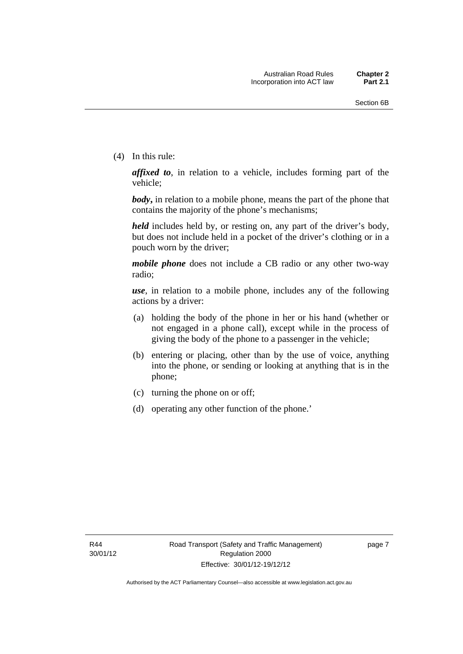(4) In this rule:

*affixed to*, in relation to a vehicle, includes forming part of the vehicle;

*body***,** in relation to a mobile phone, means the part of the phone that contains the majority of the phone's mechanisms;

*held* includes held by, or resting on, any part of the driver's body, but does not include held in a pocket of the driver's clothing or in a pouch worn by the driver;

*mobile phone* does not include a CB radio or any other two-way radio;

*use*, in relation to a mobile phone, includes any of the following actions by a driver:

- (a) holding the body of the phone in her or his hand (whether or not engaged in a phone call), except while in the process of giving the body of the phone to a passenger in the vehicle;
- (b) entering or placing, other than by the use of voice, anything into the phone, or sending or looking at anything that is in the phone;
- (c) turning the phone on or off;
- (d) operating any other function of the phone.'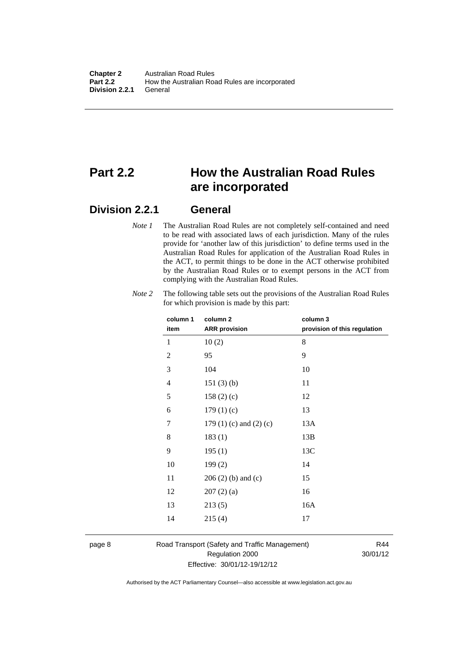# <span id="page-17-0"></span>**Part 2.2 How the Australian Road Rules are incorporated**

### <span id="page-17-1"></span>**Division 2.2.1 General**

*Note 1* The Australian Road Rules are not completely self-contained and need to be read with associated laws of each jurisdiction. Many of the rules provide for 'another law of this jurisdiction' to define terms used in the Australian Road Rules for application of the Australian Road Rules in the ACT, to permit things to be done in the ACT otherwise prohibited by the Australian Road Rules or to exempt persons in the ACT from complying with the Australian Road Rules.

| column 1<br>item | column <sub>2</sub><br><b>ARR</b> provision | column 3<br>provision of this regulation |
|------------------|---------------------------------------------|------------------------------------------|
| 1                | 10(2)                                       | 8                                        |
| $\overline{c}$   | 95                                          | 9                                        |
| 3                | 104                                         | 10                                       |
| 4                | 151(3)(b)                                   | 11                                       |
| 5                | 158(2)(c)                                   | 12                                       |
| 6                | 179(1)(c)                                   | 13                                       |
| 7                | 179 $(1)$ $(c)$ and $(2)$ $(c)$             | 13A                                      |
| 8                | 183(1)                                      | 13B                                      |
| 9                | 195(1)                                      | 13C                                      |
| 10               | 199(2)                                      | 14                                       |
| 11               | $206(2)$ (b) and (c)                        | 15                                       |
| 12               | 207(2)(a)                                   | 16                                       |
| 13               | 213(5)                                      | 16A                                      |
| 14               | 215(4)                                      | 17                                       |
|                  |                                             |                                          |

*Note 2* The following table sets out the provisions of the Australian Road Rules for which provision is made by this part:

### page 8 Road Transport (Safety and Traffic Management) Regulation 2000 Effective: 30/01/12-19/12/12

R44 30/01/12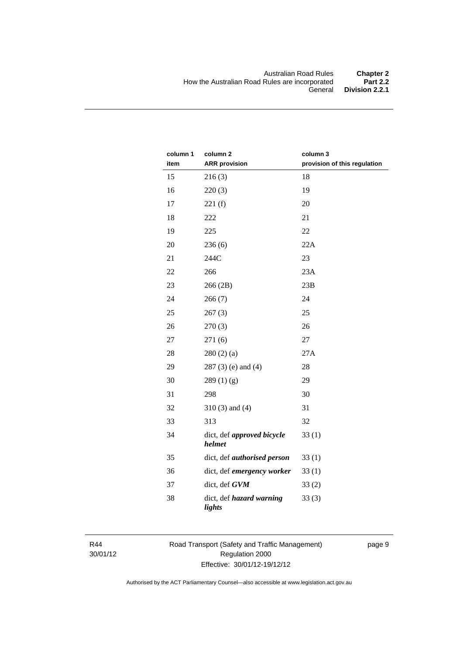| column 1 | column <sub>2</sub>                  | column 3                     |
|----------|--------------------------------------|------------------------------|
| item     | <b>ARR</b> provision                 | provision of this regulation |
| 15       | 216(3)                               | 18                           |
| 16       | 220(3)                               | 19                           |
| 17       | 221(f)                               | 20                           |
| 18       | 222                                  | 21                           |
| 19       | 225                                  | 22                           |
| 20       | 236(6)                               | 22A                          |
| 21       | 244C                                 | 23                           |
| 22       | 266                                  | 23A                          |
| 23       | 266 (2B)                             | 23B                          |
| 24       | 266(7)                               | 24                           |
| 25       | 267(3)                               | 25                           |
| 26       | 270(3)                               | 26                           |
| 27       | 271(6)                               | 27                           |
| 28       | 280(2)(a)                            | 27A                          |
| 29       | $287(3)$ (e) and (4)                 | 28                           |
| 30       | 289(1)(g)                            | 29                           |
| 31       | 298                                  | 30                           |
| 32       | $310(3)$ and $(4)$                   | 31                           |
| 33       | 313                                  | 32                           |
| 34       | dict, def approved bicycle<br>helmet | 33(1)                        |
| 35       | dict, def <i>authorised</i> person   | 33(1)                        |
| 36       | dict, def emergency worker           | 33(1)                        |
| 37       | dict, def GVM                        | 33(2)                        |
| 38       | dict, def hazard warning<br>lights   | 33(3)                        |

R44 30/01/12 Road Transport (Safety and Traffic Management) Regulation 2000 Effective: 30/01/12-19/12/12

page 9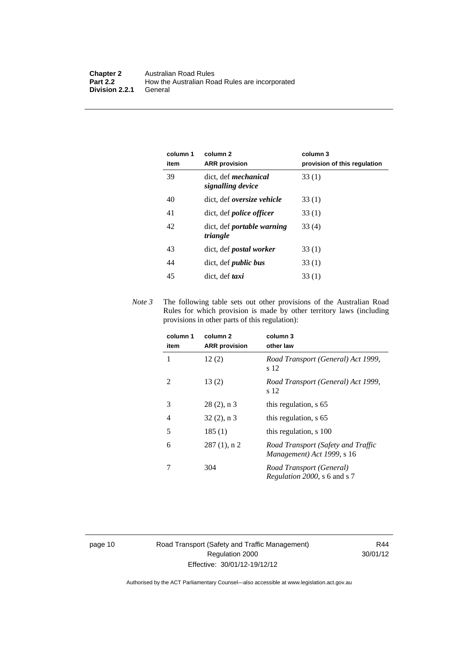| column 1<br>item | column 2<br><b>ARR</b> provision                 | column 3<br>provision of this regulation |
|------------------|--------------------------------------------------|------------------------------------------|
| 39               | dict, def <i>mechanical</i><br>signalling device | 33(1)                                    |
| 40               | dict, def <i>oversize</i> vehicle                | 33(1)                                    |
| 41               | dict, def <i>police</i> officer                  | 33(1)                                    |
| 42               | dict, def <i>portable</i> warning<br>triangle    | 33 (4)                                   |
| 43               | dict, def <i>postal</i> worker                   | 33(1)                                    |
| 44               | dict, def <i>public</i> bus                      | 33(1)                                    |
| 45               | dict. def <i>taxi</i>                            | 33(1)                                    |

*Note 3* The following table sets out other provisions of the Australian Road Rules for which provision is made by other territory laws (including provisions in other parts of this regulation):

| column 1<br>item | column <sub>2</sub><br><b>ARR</b> provision | column 3<br>other law                                            |
|------------------|---------------------------------------------|------------------------------------------------------------------|
| 1                | 12(2)                                       | Road Transport (General) Act 1999,<br>s 12                       |
| $\mathfrak{D}$   | 13(2)                                       | Road Transport (General) Act 1999,<br>s 12                       |
| 3                | $28(2)$ , n 3                               | this regulation, s 65                                            |
| 4                | $32(2)$ , n 3                               | this regulation, s 65                                            |
| 5                | 185(1)                                      | this regulation, s 100                                           |
| 6                | $287(1)$ , n 2                              | Road Transport (Safety and Traffic<br>Management) Act 1999, s 16 |
|                  | 304                                         | Road Transport (General)<br><i>Regulation 2000, s 6 and s 7</i>  |

page 10 Road Transport (Safety and Traffic Management) Regulation 2000 Effective: 30/01/12-19/12/12

R44 30/01/12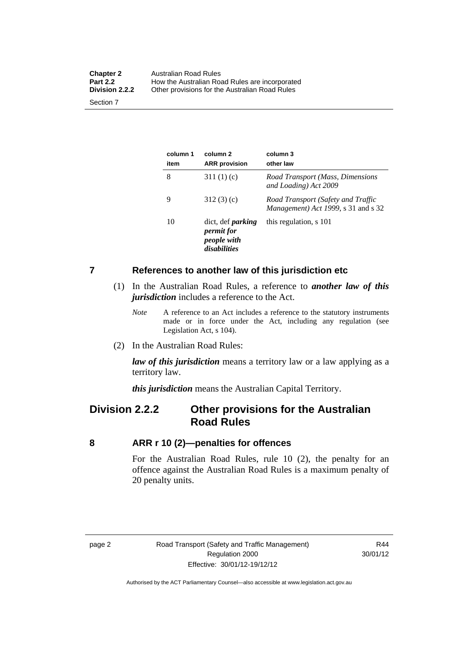| <b>Chapter 2</b>      | Australian Road Rules                          |
|-----------------------|------------------------------------------------|
| <b>Part 2.2</b>       | How the Australian Road Rules are incorporated |
| <b>Division 2.2.2</b> | Other provisions for the Australian Road Rules |
| Section 7             |                                                |

**column 1 item column 2 ARR provision column 3 other law**  8 311 (1) (c) *Road Transport (Mass, Dimensions and Loading) Act 2009*  9 312 (3) (c) *Road Transport (Safety and Traffic Management) Act 1999*, s 31 and s 32 10 dict, def *parking permit for people with disabilities* this regulation, s 101

### <span id="page-20-0"></span>**7 References to another law of this jurisdiction etc**

- (1) In the Australian Road Rules, a reference to *another law of this jurisdiction* includes a reference to the Act.
	- *Note* A reference to an Act includes a reference to the statutory instruments made or in force under the Act, including any regulation (see Legislation Act, s 104).
- (2) In the Australian Road Rules:

*law of this jurisdiction* means a territory law or a law applying as a territory law.

*this jurisdiction* means the Australian Capital Territory.

## <span id="page-20-1"></span>**Division 2.2.2 Other provisions for the Australian Road Rules**

### <span id="page-20-2"></span>**8 ARR r 10 (2)—penalties for offences**

For the Australian Road Rules, rule 10 (2), the penalty for an offence against the Australian Road Rules is a maximum penalty of 20 penalty units.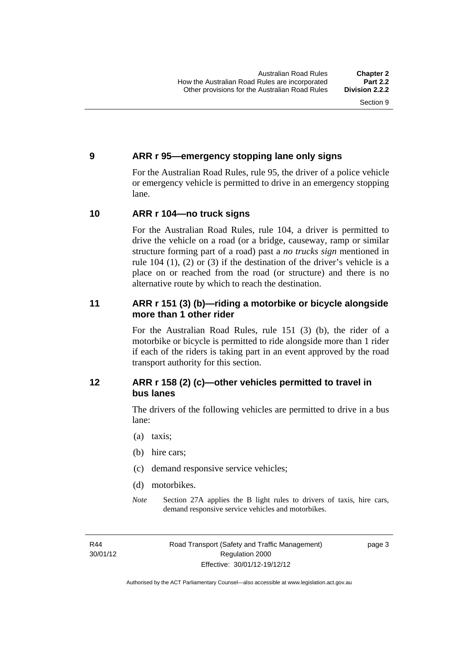### <span id="page-21-0"></span>**9 ARR r 95—emergency stopping lane only signs**

For the Australian Road Rules, rule 95, the driver of a police vehicle or emergency vehicle is permitted to drive in an emergency stopping lane.

### <span id="page-21-1"></span>**10 ARR r 104—no truck signs**

For the Australian Road Rules, rule 104, a driver is permitted to drive the vehicle on a road (or a bridge, causeway, ramp or similar structure forming part of a road) past a *no trucks sign* mentioned in rule 104 (1), (2) or (3) if the destination of the driver's vehicle is a place on or reached from the road (or structure) and there is no alternative route by which to reach the destination.

### <span id="page-21-2"></span>**11 ARR r 151 (3) (b)—riding a motorbike or bicycle alongside more than 1 other rider**

For the Australian Road Rules, rule 151 (3) (b), the rider of a motorbike or bicycle is permitted to ride alongside more than 1 rider if each of the riders is taking part in an event approved by the road transport authority for this section.

### <span id="page-21-3"></span>**12 ARR r 158 (2) (c)—other vehicles permitted to travel in bus lanes**

The drivers of the following vehicles are permitted to drive in a bus lane:

- (a) taxis;
- (b) hire cars;
- (c) demand responsive service vehicles;
- (d) motorbikes.
- *Note* Section 27A applies the B light rules to drivers of taxis, hire cars, demand responsive service vehicles and motorbikes.

R44 30/01/12 page 3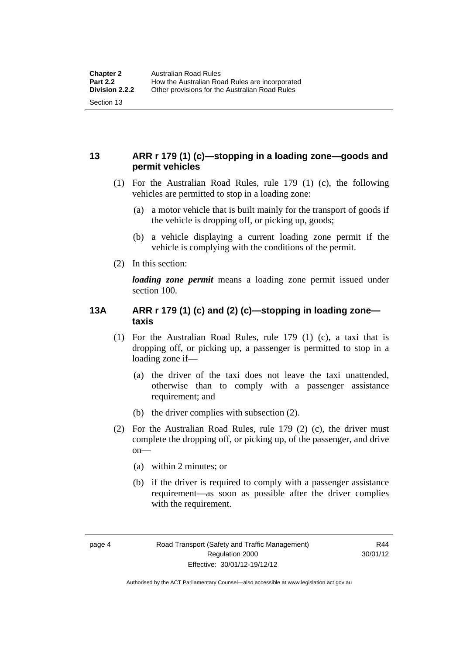### <span id="page-22-0"></span>**13 ARR r 179 (1) (c)—stopping in a loading zone—goods and permit vehicles**

- (1) For the Australian Road Rules, rule 179 (1) (c), the following vehicles are permitted to stop in a loading zone:
	- (a) a motor vehicle that is built mainly for the transport of goods if the vehicle is dropping off, or picking up, goods;
	- (b) a vehicle displaying a current loading zone permit if the vehicle is complying with the conditions of the permit.
- (2) In this section:

*loading zone permit* means a loading zone permit issued under section 100.

### <span id="page-22-1"></span>**13A ARR r 179 (1) (c) and (2) (c)—stopping in loading zone taxis**

- (1) For the Australian Road Rules, rule 179 (1) (c), a taxi that is dropping off, or picking up, a passenger is permitted to stop in a loading zone if—
	- (a) the driver of the taxi does not leave the taxi unattended, otherwise than to comply with a passenger assistance requirement; and
	- (b) the driver complies with subsection (2).
- (2) For the Australian Road Rules, rule 179 (2) (c), the driver must complete the dropping off, or picking up, of the passenger, and drive on—
	- (a) within 2 minutes; or
	- (b) if the driver is required to comply with a passenger assistance requirement—as soon as possible after the driver complies with the requirement.

Authorised by the ACT Parliamentary Counsel—also accessible at www.legislation.act.gov.au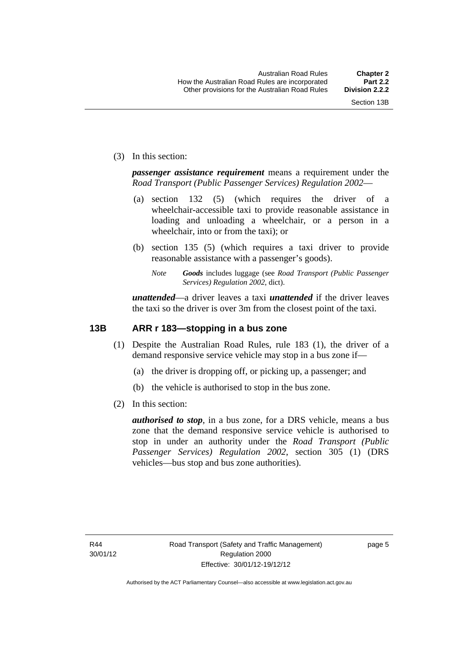(3) In this section:

*passenger assistance requirement* means a requirement under the *Road Transport (Public Passenger Services) Regulation 2002*—

- (a) section 132 (5) (which requires the driver of a wheelchair-accessible taxi to provide reasonable assistance in loading and unloading a wheelchair, or a person in a wheelchair, into or from the taxi); or
- (b) section 135 (5) (which requires a taxi driver to provide reasonable assistance with a passenger's goods).
	- *Note Goods* includes luggage (see *Road Transport (Public Passenger Services) Regulation 2002*, dict).

*unattended*—a driver leaves a taxi *unattended* if the driver leaves the taxi so the driver is over 3m from the closest point of the taxi.

### <span id="page-23-0"></span>**13B ARR r 183—stopping in a bus zone**

- (1) Despite the Australian Road Rules, rule 183 (1), the driver of a demand responsive service vehicle may stop in a bus zone if—
	- (a) the driver is dropping off, or picking up, a passenger; and
	- (b) the vehicle is authorised to stop in the bus zone.
- (2) In this section:

*authorised to stop*, in a bus zone, for a DRS vehicle, means a bus zone that the demand responsive service vehicle is authorised to stop in under an authority under the *Road Transport (Public Passenger Services) Regulation 2002*, section 305 (1) (DRS vehicles—bus stop and bus zone authorities).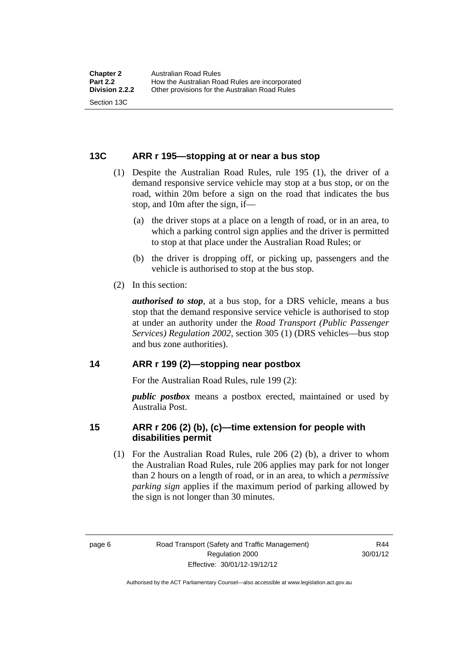### <span id="page-24-0"></span>**13C ARR r 195—stopping at or near a bus stop**

- (1) Despite the Australian Road Rules, rule 195 (1), the driver of a demand responsive service vehicle may stop at a bus stop, or on the road, within 20m before a sign on the road that indicates the bus stop, and 10m after the sign, if—
	- (a) the driver stops at a place on a length of road, or in an area, to which a parking control sign applies and the driver is permitted to stop at that place under the Australian Road Rules; or
	- (b) the driver is dropping off, or picking up, passengers and the vehicle is authorised to stop at the bus stop.
- (2) In this section:

*authorised to stop*, at a bus stop, for a DRS vehicle, means a bus stop that the demand responsive service vehicle is authorised to stop at under an authority under the *Road Transport (Public Passenger Services) Regulation 2002*, section 305 (1) (DRS vehicles—bus stop and bus zone authorities).

### <span id="page-24-1"></span>**14 ARR r 199 (2)—stopping near postbox**

For the Australian Road Rules, rule 199 (2):

*public postbox* means a postbox erected, maintained or used by Australia Post.

### <span id="page-24-2"></span>**15 ARR r 206 (2) (b), (c)—time extension for people with disabilities permit**

 (1) For the Australian Road Rules, rule 206 (2) (b), a driver to whom the Australian Road Rules, rule 206 applies may park for not longer than 2 hours on a length of road, or in an area, to which a *permissive parking sign* applies if the maximum period of parking allowed by the sign is not longer than 30 minutes.

R44 30/01/12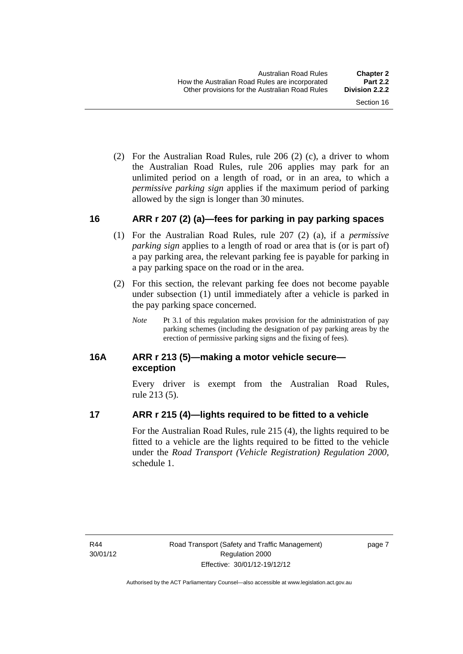(2) For the Australian Road Rules, rule 206 (2) (c), a driver to whom the Australian Road Rules, rule 206 applies may park for an unlimited period on a length of road, or in an area, to which a *permissive parking sign* applies if the maximum period of parking allowed by the sign is longer than 30 minutes.

### <span id="page-25-0"></span>**16 ARR r 207 (2) (a)—fees for parking in pay parking spaces**

- (1) For the Australian Road Rules, rule 207 (2) (a), if a *permissive parking sign* applies to a length of road or area that is (or is part of) a pay parking area, the relevant parking fee is payable for parking in a pay parking space on the road or in the area.
- (2) For this section, the relevant parking fee does not become payable under subsection (1) until immediately after a vehicle is parked in the pay parking space concerned.
	- *Note* Pt 3.1 of this regulation makes provision for the administration of pay parking schemes (including the designation of pay parking areas by the erection of permissive parking signs and the fixing of fees).

### <span id="page-25-1"></span>**16A ARR r 213 (5)—making a motor vehicle secure exception**

Every driver is exempt from the Australian Road Rules, rule 213 (5).

### <span id="page-25-2"></span>**17 ARR r 215 (4)—lights required to be fitted to a vehicle**

For the Australian Road Rules, rule 215 (4), the lights required to be fitted to a vehicle are the lights required to be fitted to the vehicle under the *Road Transport (Vehicle Registration) Regulation 2000,*  schedule 1.

R44 30/01/12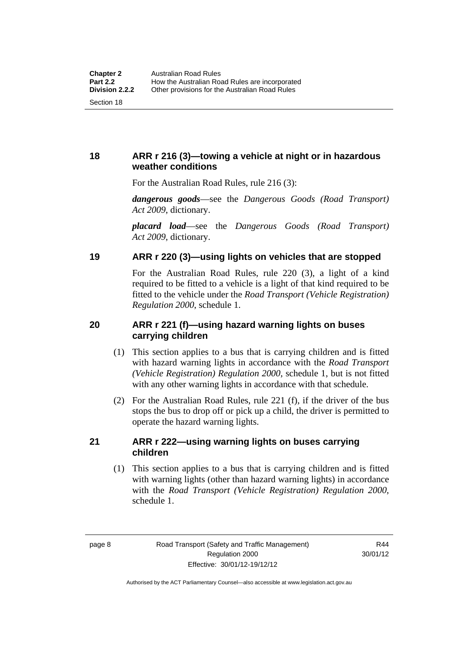### <span id="page-26-0"></span>**18 ARR r 216 (3)—towing a vehicle at night or in hazardous weather conditions**

For the Australian Road Rules, rule 216 (3):

*dangerous goods*—see the *Dangerous Goods (Road Transport) Act 2009*, dictionary.

*placard load*—see the *Dangerous Goods (Road Transport) Act 2009*, dictionary.

### <span id="page-26-1"></span>**19 ARR r 220 (3)—using lights on vehicles that are stopped**

For the Australian Road Rules, rule 220 (3), a light of a kind required to be fitted to a vehicle is a light of that kind required to be fitted to the vehicle under the *Road Transport (Vehicle Registration) Regulation 2000*, schedule 1.

### <span id="page-26-2"></span>**20 ARR r 221 (f)—using hazard warning lights on buses carrying children**

- (1) This section applies to a bus that is carrying children and is fitted with hazard warning lights in accordance with the *Road Transport (Vehicle Registration) Regulation 2000*, schedule 1, but is not fitted with any other warning lights in accordance with that schedule.
- (2) For the Australian Road Rules, rule 221 (f), if the driver of the bus stops the bus to drop off or pick up a child, the driver is permitted to operate the hazard warning lights.

### <span id="page-26-3"></span>**21 ARR r 222—using warning lights on buses carrying children**

(1) This section applies to a bus that is carrying children and is fitted with warning lights (other than hazard warning lights) in accordance with the *Road Transport (Vehicle Registration) Regulation 2000*, schedule 1.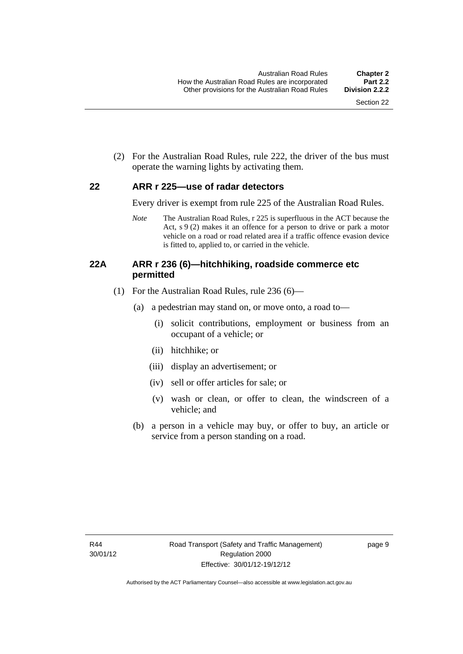(2) For the Australian Road Rules, rule 222, the driver of the bus must operate the warning lights by activating them.

### <span id="page-27-0"></span>**22 ARR r 225—use of radar detectors**

Every driver is exempt from rule 225 of the Australian Road Rules.

*Note* The Australian Road Rules, r 225 is superfluous in the ACT because the Act, s 9 (2) makes it an offence for a person to drive or park a motor vehicle on a road or road related area if a traffic offence evasion device is fitted to, applied to, or carried in the vehicle.

### <span id="page-27-1"></span>**22A ARR r 236 (6)—hitchhiking, roadside commerce etc permitted**

- (1) For the Australian Road Rules, rule 236 (6)—
	- (a) a pedestrian may stand on, or move onto, a road to—
		- (i) solicit contributions, employment or business from an occupant of a vehicle; or
		- (ii) hitchhike; or
		- (iii) display an advertisement; or
		- (iv) sell or offer articles for sale; or
		- (v) wash or clean, or offer to clean, the windscreen of a vehicle; and
	- (b) a person in a vehicle may buy, or offer to buy, an article or service from a person standing on a road.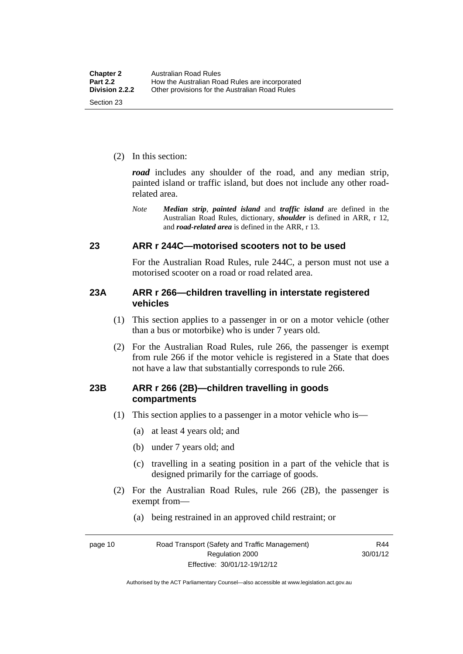(2) In this section:

*road* includes any shoulder of the road, and any median strip, painted island or traffic island, but does not include any other roadrelated area.

*Note Median strip*, *painted island* and *traffic island* are defined in the Australian Road Rules, dictionary, *shoulder* is defined in ARR, r 12, and *road-related area* is defined in the ARR, r 13.

### <span id="page-28-0"></span>**23 ARR r 244C—motorised scooters not to be used**

For the Australian Road Rules, rule 244C, a person must not use a motorised scooter on a road or road related area.

### <span id="page-28-1"></span>**23A ARR r 266—children travelling in interstate registered vehicles**

- (1) This section applies to a passenger in or on a motor vehicle (other than a bus or motorbike) who is under 7 years old.
- (2) For the Australian Road Rules, rule 266, the passenger is exempt from rule 266 if the motor vehicle is registered in a State that does not have a law that substantially corresponds to rule 266.

### <span id="page-28-2"></span>**23B ARR r 266 (2B)—children travelling in goods compartments**

- (1) This section applies to a passenger in a motor vehicle who is—
	- (a) at least 4 years old; and
	- (b) under 7 years old; and
	- (c) travelling in a seating position in a part of the vehicle that is designed primarily for the carriage of goods.
- (2) For the Australian Road Rules, rule 266 (2B), the passenger is exempt from—
	- (a) being restrained in an approved child restraint; or

page 10 Road Transport (Safety and Traffic Management) Regulation 2000 Effective: 30/01/12-19/12/12

R44 30/01/12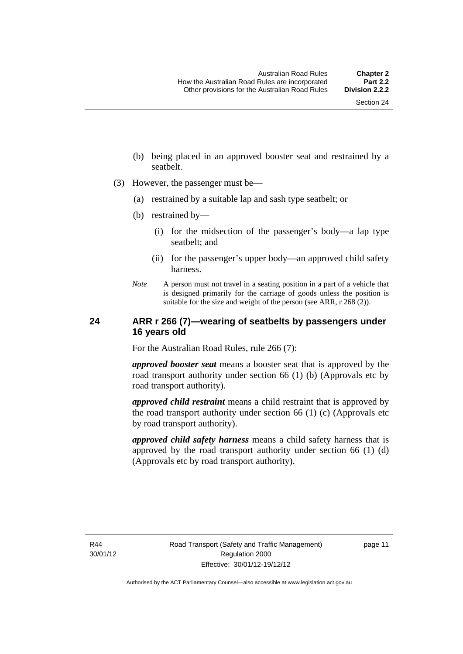- (b) being placed in an approved booster seat and restrained by a seatbelt.
- (3) However, the passenger must be—
	- (a) restrained by a suitable lap and sash type seatbelt; or
	- (b) restrained by—
		- (i) for the midsection of the passenger's body—a lap type seatbelt; and
		- (ii) for the passenger's upper body—an approved child safety harness.
	- *Note* A person must not travel in a seating position in a part of a vehicle that is designed primarily for the carriage of goods unless the position is suitable for the size and weight of the person (see ARR, r 268 (2)).

### <span id="page-29-0"></span>**24 ARR r 266 (7)—wearing of seatbelts by passengers under 16 years old**

For the Australian Road Rules, rule 266 (7):

*approved booster seat* means a booster seat that is approved by the road transport authority under section 66 (1) (b) (Approvals etc by road transport authority).

*approved child restraint* means a child restraint that is approved by the road transport authority under section 66 (1) (c) (Approvals etc by road transport authority).

*approved child safety harness* means a child safety harness that is approved by the road transport authority under section 66 (1) (d) (Approvals etc by road transport authority).

R44 30/01/12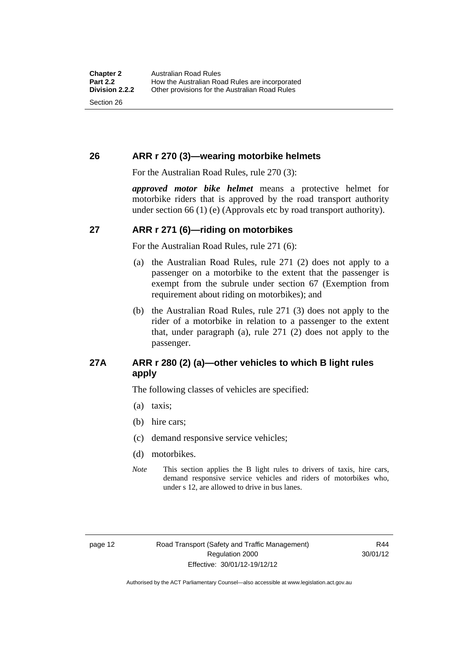### <span id="page-30-0"></span>**26 ARR r 270 (3)—wearing motorbike helmets**

For the Australian Road Rules, rule 270 (3):

*approved motor bike helmet* means a protective helmet for motorbike riders that is approved by the road transport authority under section 66 (1) (e) (Approvals etc by road transport authority).

### <span id="page-30-1"></span>**27 ARR r 271 (6)—riding on motorbikes**

For the Australian Road Rules, rule 271 (6):

- (a) the Australian Road Rules, rule 271 (2) does not apply to a passenger on a motorbike to the extent that the passenger is exempt from the subrule under section 67 (Exemption from requirement about riding on motorbikes); and
- (b) the Australian Road Rules, rule 271 (3) does not apply to the rider of a motorbike in relation to a passenger to the extent that, under paragraph (a), rule 271 (2) does not apply to the passenger.

### <span id="page-30-2"></span>**27A ARR r 280 (2) (a)—other vehicles to which B light rules apply**

The following classes of vehicles are specified:

- (a) taxis;
- (b) hire cars;
- (c) demand responsive service vehicles;
- (d) motorbikes.
- *Note* This section applies the B light rules to drivers of taxis, hire cars, demand responsive service vehicles and riders of motorbikes who, under s 12, are allowed to drive in bus lanes.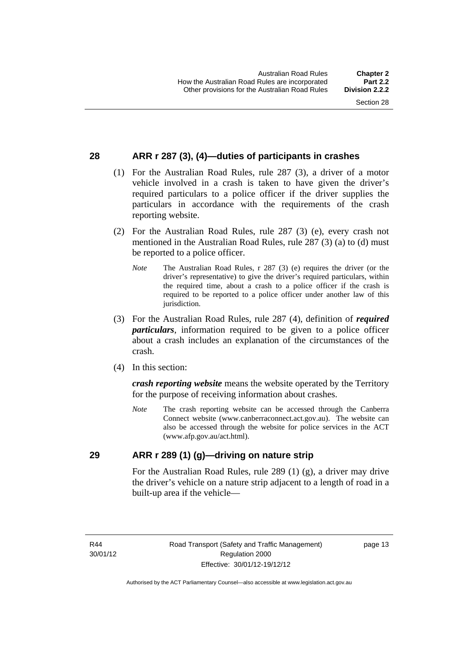### <span id="page-31-0"></span>**28 ARR r 287 (3), (4)—duties of participants in crashes**

- (1) For the Australian Road Rules, rule 287 (3), a driver of a motor vehicle involved in a crash is taken to have given the driver's required particulars to a police officer if the driver supplies the particulars in accordance with the requirements of the crash reporting website.
- (2) For the Australian Road Rules, rule 287 (3) (e), every crash not mentioned in the Australian Road Rules, rule 287 (3) (a) to (d) must be reported to a police officer.
	- *Note* The Australian Road Rules, r 287 (3) (e) requires the driver (or the driver's representative) to give the driver's required particulars, within the required time, about a crash to a police officer if the crash is required to be reported to a police officer under another law of this jurisdiction.
- (3) For the Australian Road Rules, rule 287 (4), definition of *required particulars*, information required to be given to a police officer about a crash includes an explanation of the circumstances of the crash.
- (4) In this section:

*crash reporting website* means the website operated by the Territory for the purpose of receiving information about crashes.

*Note* The crash reporting website can be accessed through the Canberra Connect website (www.canberraconnect.act.gov.au). The website can also be accessed through the website for police services in the ACT (www.afp.gov.au/act.html).

### <span id="page-31-1"></span>**29 ARR r 289 (1) (g)—driving on nature strip**

For the Australian Road Rules, rule 289 (1) (g), a driver may drive the driver's vehicle on a nature strip adjacent to a length of road in a built-up area if the vehicle—

R44 30/01/12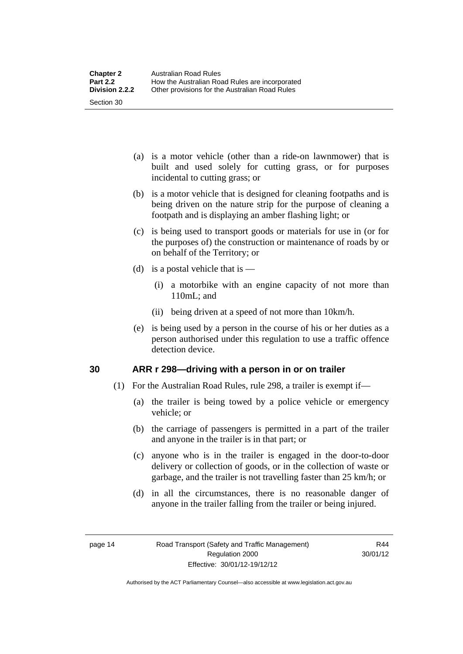- (a) is a motor vehicle (other than a ride-on lawnmower) that is built and used solely for cutting grass, or for purposes incidental to cutting grass; or
- (b) is a motor vehicle that is designed for cleaning footpaths and is being driven on the nature strip for the purpose of cleaning a footpath and is displaying an amber flashing light; or
- (c) is being used to transport goods or materials for use in (or for the purposes of) the construction or maintenance of roads by or on behalf of the Territory; or
- (d) is a postal vehicle that is  $-$ 
	- (i) a motorbike with an engine capacity of not more than 110mL; and
	- (ii) being driven at a speed of not more than 10km/h.
- (e) is being used by a person in the course of his or her duties as a person authorised under this regulation to use a traffic offence detection device.

### <span id="page-32-0"></span>**30 ARR r 298—driving with a person in or on trailer**

- (1) For the Australian Road Rules, rule 298, a trailer is exempt if—
	- (a) the trailer is being towed by a police vehicle or emergency vehicle; or
	- (b) the carriage of passengers is permitted in a part of the trailer and anyone in the trailer is in that part; or
	- (c) anyone who is in the trailer is engaged in the door-to-door delivery or collection of goods, or in the collection of waste or garbage, and the trailer is not travelling faster than 25 km/h; or
	- (d) in all the circumstances, there is no reasonable danger of anyone in the trailer falling from the trailer or being injured.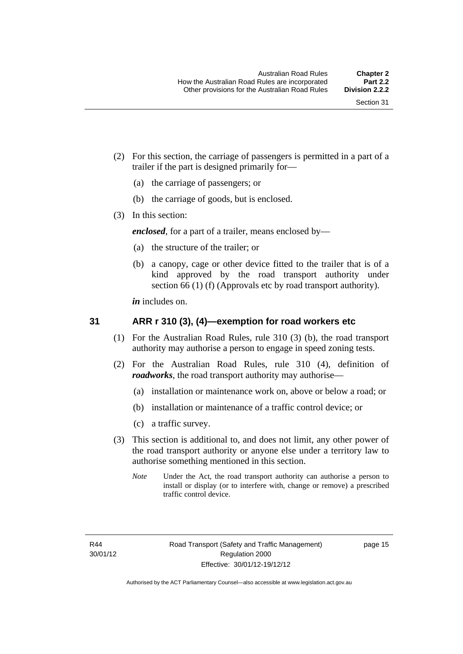- (2) For this section, the carriage of passengers is permitted in a part of a trailer if the part is designed primarily for—
	- (a) the carriage of passengers; or
	- (b) the carriage of goods, but is enclosed.
- (3) In this section:

*enclosed*, for a part of a trailer, means enclosed by—

- (a) the structure of the trailer; or
- (b) a canopy, cage or other device fitted to the trailer that is of a kind approved by the road transport authority under section 66 (1) (f) (Approvals etc by road transport authority).

*in* includes on.

### <span id="page-33-0"></span>**31 ARR r 310 (3), (4)—exemption for road workers etc**

- (1) For the Australian Road Rules, rule 310 (3) (b), the road transport authority may authorise a person to engage in speed zoning tests.
- (2) For the Australian Road Rules, rule 310 (4), definition of *roadworks*, the road transport authority may authorise—
	- (a) installation or maintenance work on, above or below a road; or
	- (b) installation or maintenance of a traffic control device; or
	- (c) a traffic survey.
- (3) This section is additional to, and does not limit, any other power of the road transport authority or anyone else under a territory law to authorise something mentioned in this section.
	- *Note* Under the Act, the road transport authority can authorise a person to install or display (or to interfere with, change or remove) a prescribed traffic control device.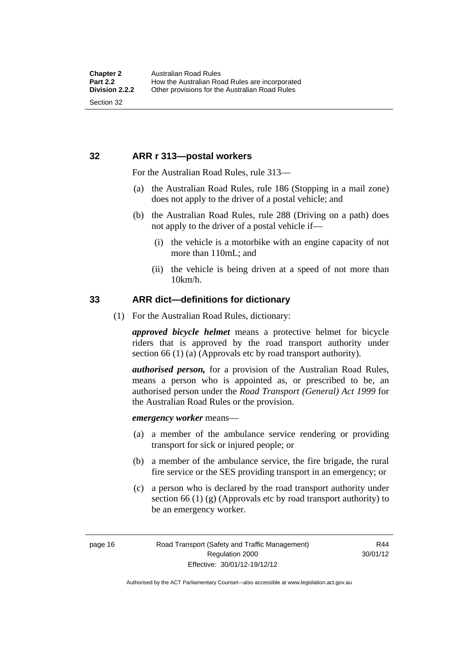### <span id="page-34-0"></span>**32 ARR r 313—postal workers**

For the Australian Road Rules, rule 313—

- (a) the Australian Road Rules, rule 186 (Stopping in a mail zone) does not apply to the driver of a postal vehicle; and
- (b) the Australian Road Rules, rule 288 (Driving on a path) does not apply to the driver of a postal vehicle if—
	- (i) the vehicle is a motorbike with an engine capacity of not more than 110mL; and
	- (ii) the vehicle is being driven at a speed of not more than 10km/h.

### <span id="page-34-1"></span>**33 ARR dict—definitions for dictionary**

(1) For the Australian Road Rules, dictionary:

*approved bicycle helmet* means a protective helmet for bicycle riders that is approved by the road transport authority under section 66 (1) (a) (Approvals etc by road transport authority).

*authorised person,* for a provision of the Australian Road Rules, means a person who is appointed as, or prescribed to be, an authorised person under the *Road Transport (General) Act 1999* for the Australian Road Rules or the provision.

*emergency worker* means—

- (a) a member of the ambulance service rendering or providing transport for sick or injured people; or
- (b) a member of the ambulance service, the fire brigade, the rural fire service or the SES providing transport in an emergency; or
- (c) a person who is declared by the road transport authority under section 66 (1) (g) (Approvals etc by road transport authority) to be an emergency worker.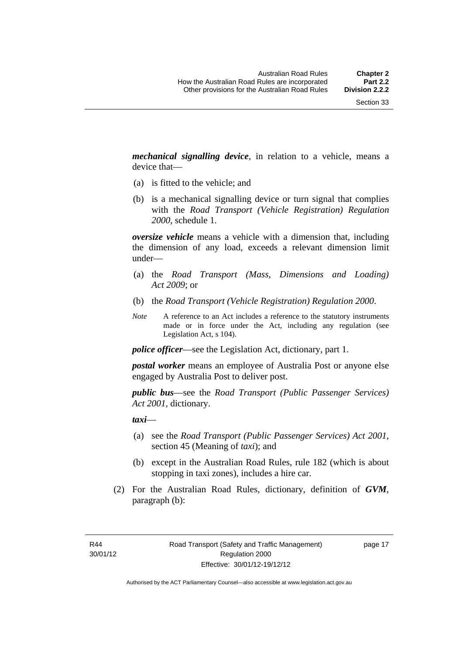*mechanical signalling device*, in relation to a vehicle, means a device that—

- (a) is fitted to the vehicle; and
- (b) is a mechanical signalling device or turn signal that complies with the *Road Transport (Vehicle Registration) Regulation 2000*, schedule 1.

*oversize vehicle* means a vehicle with a dimension that, including the dimension of any load, exceeds a relevant dimension limit under—

- (a) the *Road Transport (Mass, Dimensions and Loading) Act 2009*; or
- (b) the *Road Transport (Vehicle Registration) Regulation 2000*.
- *Note* A reference to an Act includes a reference to the statutory instruments made or in force under the Act, including any regulation (see Legislation Act, s 104).

*police officer*—see the Legislation Act, dictionary, part 1.

*postal worker* means an employee of Australia Post or anyone else engaged by Australia Post to deliver post.

*public bus*—see the *Road Transport (Public Passenger Services) Act 2001*, dictionary.

*taxi*—

- (a) see the *Road Transport (Public Passenger Services) Act 2001*, section 45 (Meaning of *taxi*); and
- (b) except in the Australian Road Rules, rule 182 (which is about stopping in taxi zones), includes a hire car.
- (2) For the Australian Road Rules, dictionary, definition of *GVM*, paragraph (b):

R44 30/01/12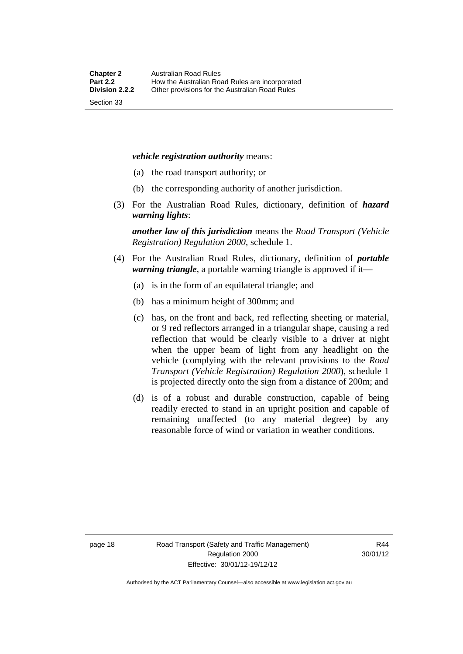#### *vehicle registration authority* means:

- (a) the road transport authority; or
- (b) the corresponding authority of another jurisdiction.
- (3) For the Australian Road Rules, dictionary, definition of *hazard warning lights*:

*another law of this jurisdiction* means the *Road Transport (Vehicle Registration) Regulation 2000*, schedule 1.

- (4) For the Australian Road Rules, dictionary, definition of *portable warning triangle*, a portable warning triangle is approved if it—
	- (a) is in the form of an equilateral triangle; and
	- (b) has a minimum height of 300mm; and
	- (c) has, on the front and back, red reflecting sheeting or material, or 9 red reflectors arranged in a triangular shape, causing a red reflection that would be clearly visible to a driver at night when the upper beam of light from any headlight on the vehicle (complying with the relevant provisions to the *Road Transport (Vehicle Registration) Regulation 2000*), schedule 1 is projected directly onto the sign from a distance of 200m; and
	- (d) is of a robust and durable construction, capable of being readily erected to stand in an upright position and capable of remaining unaffected (to any material degree) by any reasonable force of wind or variation in weather conditions.

page 18 Road Transport (Safety and Traffic Management) Regulation 2000 Effective: 30/01/12-19/12/12

R44 30/01/12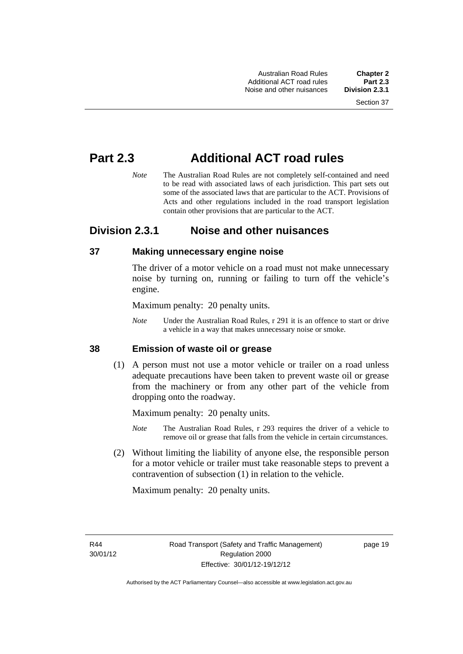Australian Road Rules **Chapter 2** Additional ACT road rules **Part 2.3** Noise and other nuisances

# **Part 2.3 Additional ACT road rules**

*Note* The Australian Road Rules are not completely self-contained and need to be read with associated laws of each jurisdiction. This part sets out some of the associated laws that are particular to the ACT. Provisions of Acts and other regulations included in the road transport legislation contain other provisions that are particular to the ACT.

# **Division 2.3.1 Noise and other nuisances**

#### **37 Making unnecessary engine noise**

The driver of a motor vehicle on a road must not make unnecessary noise by turning on, running or failing to turn off the vehicle's engine.

Maximum penalty: 20 penalty units.

*Note* Under the Australian Road Rules, r 291 it is an offence to start or drive a vehicle in a way that makes unnecessary noise or smoke.

#### **38 Emission of waste oil or grease**

 (1) A person must not use a motor vehicle or trailer on a road unless adequate precautions have been taken to prevent waste oil or grease from the machinery or from any other part of the vehicle from dropping onto the roadway.

Maximum penalty: 20 penalty units.

- *Note* The Australian Road Rules, r 293 requires the driver of a vehicle to remove oil or grease that falls from the vehicle in certain circumstances.
- (2) Without limiting the liability of anyone else, the responsible person for a motor vehicle or trailer must take reasonable steps to prevent a contravention of subsection (1) in relation to the vehicle.

Maximum penalty: 20 penalty units.

R44 30/01/12 page 19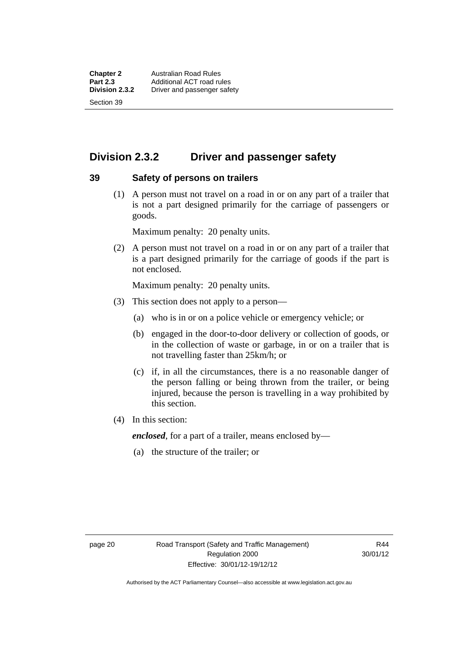**Chapter 2 Australian Road Rules**<br>**Part 2.3 Additional ACT road rules Part 2.3** Additional ACT road rules<br> **Division 2.3.2** Driver and passenger safe **Division 2.3.2** Driver and passenger safety Section 39

# **Division 2.3.2 Driver and passenger safety**

#### **39 Safety of persons on trailers**

 (1) A person must not travel on a road in or on any part of a trailer that is not a part designed primarily for the carriage of passengers or goods.

Maximum penalty: 20 penalty units.

 (2) A person must not travel on a road in or on any part of a trailer that is a part designed primarily for the carriage of goods if the part is not enclosed.

Maximum penalty: 20 penalty units.

- (3) This section does not apply to a person—
	- (a) who is in or on a police vehicle or emergency vehicle; or
	- (b) engaged in the door-to-door delivery or collection of goods, or in the collection of waste or garbage, in or on a trailer that is not travelling faster than 25km/h; or
	- (c) if, in all the circumstances, there is a no reasonable danger of the person falling or being thrown from the trailer, or being injured, because the person is travelling in a way prohibited by this section.
- (4) In this section:

*enclosed*, for a part of a trailer, means enclosed by—

(a) the structure of the trailer; or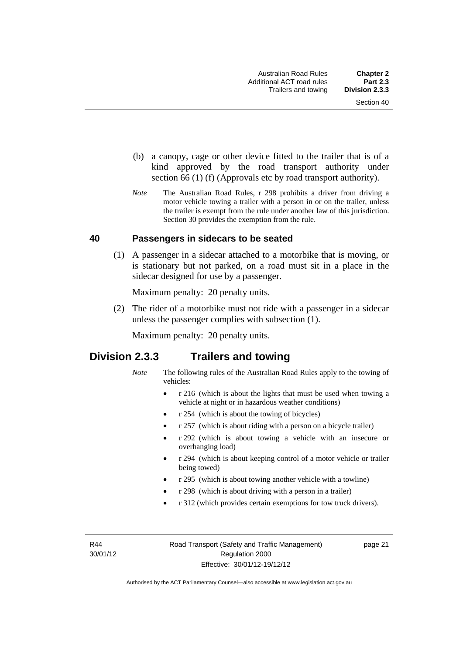- (b) a canopy, cage or other device fitted to the trailer that is of a kind approved by the road transport authority under section 66 (1) (f) (Approvals etc by road transport authority).
- *Note* The Australian Road Rules, r 298 prohibits a driver from driving a motor vehicle towing a trailer with a person in or on the trailer, unless the trailer is exempt from the rule under another law of this jurisdiction. Section 30 provides the exemption from the rule.

#### **40 Passengers in sidecars to be seated**

 (1) A passenger in a sidecar attached to a motorbike that is moving, or is stationary but not parked, on a road must sit in a place in the sidecar designed for use by a passenger.

Maximum penalty: 20 penalty units.

 (2) The rider of a motorbike must not ride with a passenger in a sidecar unless the passenger complies with subsection (1).

Maximum penalty: 20 penalty units.

# **Division 2.3.3 Trailers and towing**

- *Note* The following rules of the Australian Road Rules apply to the towing of vehicles:
	- r 216 (which is about the lights that must be used when towing a vehicle at night or in hazardous weather conditions)
	- r 254 (which is about the towing of bicycles)
	- r 257 (which is about riding with a person on a bicycle trailer)
	- r 292 (which is about towing a vehicle with an insecure or overhanging load)
	- r 294 (which is about keeping control of a motor vehicle or trailer being towed)
	- r 295 (which is about towing another vehicle with a towline)
	- r 298 (which is about driving with a person in a trailer)
	- r 312 (which provides certain exemptions for tow truck drivers).

R44 30/01/12 page 21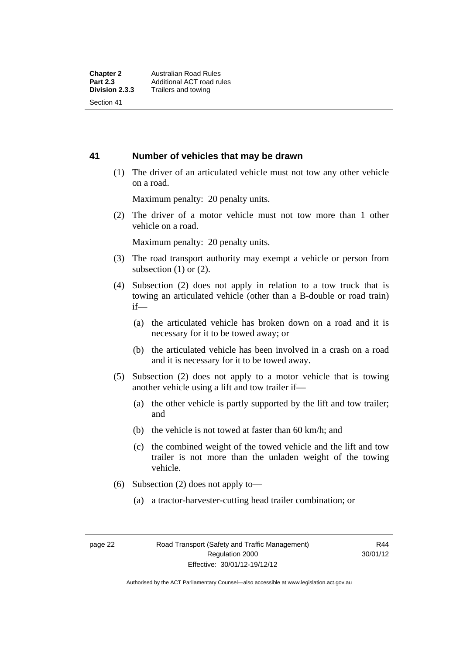#### **41 Number of vehicles that may be drawn**

 (1) The driver of an articulated vehicle must not tow any other vehicle on a road.

Maximum penalty: 20 penalty units.

 (2) The driver of a motor vehicle must not tow more than 1 other vehicle on a road.

Maximum penalty: 20 penalty units.

- (3) The road transport authority may exempt a vehicle or person from subsection  $(1)$  or  $(2)$ .
- (4) Subsection (2) does not apply in relation to a tow truck that is towing an articulated vehicle (other than a B-double or road train) if—
	- (a) the articulated vehicle has broken down on a road and it is necessary for it to be towed away; or
	- (b) the articulated vehicle has been involved in a crash on a road and it is necessary for it to be towed away.
- (5) Subsection (2) does not apply to a motor vehicle that is towing another vehicle using a lift and tow trailer if—
	- (a) the other vehicle is partly supported by the lift and tow trailer; and
	- (b) the vehicle is not towed at faster than 60 km/h; and
	- (c) the combined weight of the towed vehicle and the lift and tow trailer is not more than the unladen weight of the towing vehicle.
- (6) Subsection (2) does not apply to—
	- (a) a tractor-harvester-cutting head trailer combination; or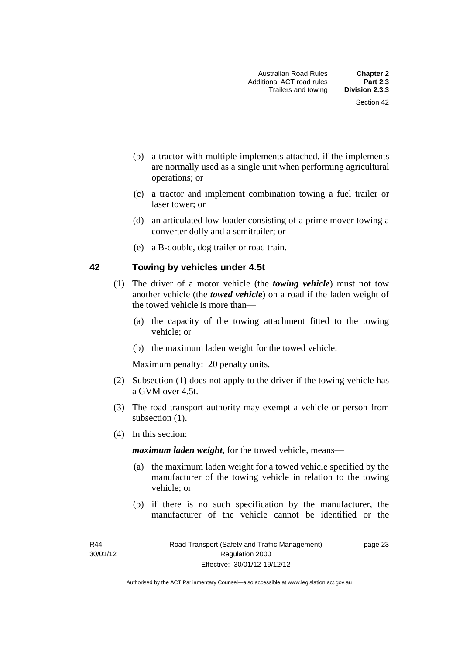- (b) a tractor with multiple implements attached, if the implements are normally used as a single unit when performing agricultural operations; or
- (c) a tractor and implement combination towing a fuel trailer or laser tower; or
- (d) an articulated low-loader consisting of a prime mover towing a converter dolly and a semitrailer; or
- (e) a B-double, dog trailer or road train.

#### **42 Towing by vehicles under 4.5t**

- (1) The driver of a motor vehicle (the *towing vehicle*) must not tow another vehicle (the *towed vehicle*) on a road if the laden weight of the towed vehicle is more than—
	- (a) the capacity of the towing attachment fitted to the towing vehicle; or
	- (b) the maximum laden weight for the towed vehicle.

Maximum penalty: 20 penalty units.

- (2) Subsection (1) does not apply to the driver if the towing vehicle has a GVM over 4.5t.
- (3) The road transport authority may exempt a vehicle or person from subsection  $(1)$ .
- (4) In this section:

*maximum laden weight*, for the towed vehicle, means—

- (a) the maximum laden weight for a towed vehicle specified by the manufacturer of the towing vehicle in relation to the towing vehicle; or
- (b) if there is no such specification by the manufacturer, the manufacturer of the vehicle cannot be identified or the

page 23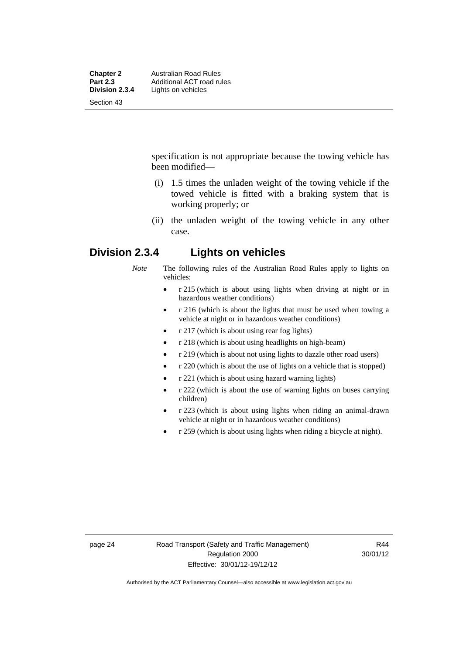| <b>Chapter 2</b><br><b>Part 2.3</b> | <b>Australian Road Rules</b><br>Additional ACT road rules |
|-------------------------------------|-----------------------------------------------------------|
|                                     |                                                           |
| Section 43                          |                                                           |

specification is not appropriate because the towing vehicle has been modified—

- (i) 1.5 times the unladen weight of the towing vehicle if the towed vehicle is fitted with a braking system that is working properly; or
- (ii) the unladen weight of the towing vehicle in any other case.

# **Division 2.3.4 Lights on vehicles**

*Note* The following rules of the Australian Road Rules apply to lights on vehicles:

- r 215 (which is about using lights when driving at night or in hazardous weather conditions)
- r 216 (which is about the lights that must be used when towing a vehicle at night or in hazardous weather conditions)
- r 217 (which is about using rear fog lights)
- r 218 (which is about using headlights on high-beam)
- r 219 (which is about not using lights to dazzle other road users)
- r 220 (which is about the use of lights on a vehicle that is stopped)
- r 221 (which is about using hazard warning lights)
- r 222 (which is about the use of warning lights on buses carrying children)
- r 223 (which is about using lights when riding an animal-drawn vehicle at night or in hazardous weather conditions)
- r 259 (which is about using lights when riding a bicycle at night).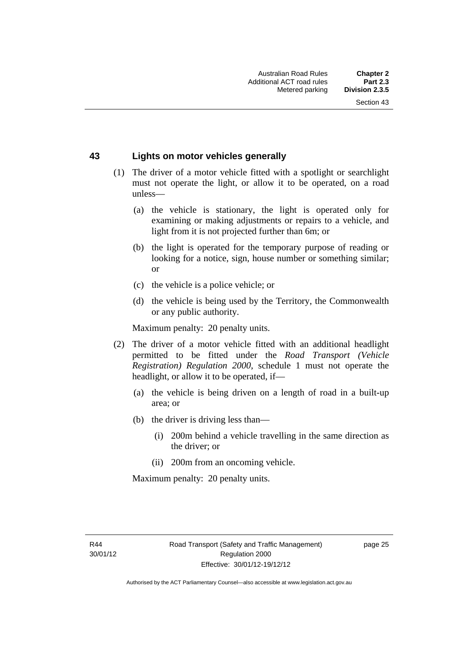#### **43 Lights on motor vehicles generally**

- (1) The driver of a motor vehicle fitted with a spotlight or searchlight must not operate the light, or allow it to be operated, on a road unless—
	- (a) the vehicle is stationary, the light is operated only for examining or making adjustments or repairs to a vehicle, and light from it is not projected further than 6m; or
	- (b) the light is operated for the temporary purpose of reading or looking for a notice, sign, house number or something similar; or
	- (c) the vehicle is a police vehicle; or
	- (d) the vehicle is being used by the Territory, the Commonwealth or any public authority.

Maximum penalty: 20 penalty units.

- (2) The driver of a motor vehicle fitted with an additional headlight permitted to be fitted under the *Road Transport (Vehicle Registration) Regulation 2000*, schedule 1 must not operate the headlight, or allow it to be operated, if—
	- (a) the vehicle is being driven on a length of road in a built-up area; or
	- (b) the driver is driving less than—
		- (i) 200m behind a vehicle travelling in the same direction as the driver; or
		- (ii) 200m from an oncoming vehicle.

Maximum penalty: 20 penalty units.

page 25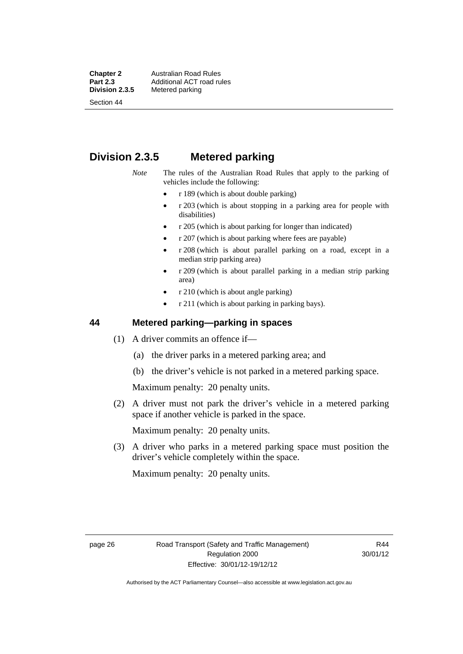#### **Chapter 2 Australian Road Rules**<br>**Part 2.3 Additional ACT road rules Part 2.3 Additional ACT road rules**<br>**Division 2.3.5** Metered parking **Metered parking**

Section 44

# **Division 2.3.5 Metered parking**

*Note* The rules of the Australian Road Rules that apply to the parking of vehicles include the following:

- r 189 (which is about double parking)
- r 203 (which is about stopping in a parking area for people with disabilities)
- r 205 (which is about parking for longer than indicated)
- r 207 (which is about parking where fees are payable)
- r 208 (which is about parallel parking on a road, except in a median strip parking area)
- r 209 (which is about parallel parking in a median strip parking area)
- r 210 (which is about angle parking)
- r 211 (which is about parking in parking bays).

#### **44 Metered parking—parking in spaces**

- (1) A driver commits an offence if—
	- (a) the driver parks in a metered parking area; and
	- (b) the driver's vehicle is not parked in a metered parking space.

Maximum penalty: 20 penalty units.

 (2) A driver must not park the driver's vehicle in a metered parking space if another vehicle is parked in the space.

Maximum penalty: 20 penalty units.

 (3) A driver who parks in a metered parking space must position the driver's vehicle completely within the space.

Maximum penalty: 20 penalty units.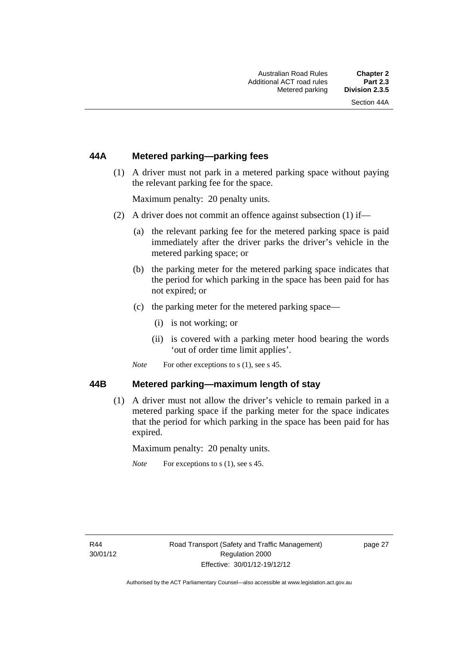### **44A Metered parking—parking fees**

 (1) A driver must not park in a metered parking space without paying the relevant parking fee for the space.

Maximum penalty: 20 penalty units.

- (2) A driver does not commit an offence against subsection (1) if—
	- (a) the relevant parking fee for the metered parking space is paid immediately after the driver parks the driver's vehicle in the metered parking space; or
	- (b) the parking meter for the metered parking space indicates that the period for which parking in the space has been paid for has not expired; or
	- (c) the parking meter for the metered parking space—
		- (i) is not working; or
		- (ii) is covered with a parking meter hood bearing the words 'out of order time limit applies'.
	- *Note* For other exceptions to s (1), see s 45.

#### **44B Metered parking—maximum length of stay**

 (1) A driver must not allow the driver's vehicle to remain parked in a metered parking space if the parking meter for the space indicates that the period for which parking in the space has been paid for has expired.

Maximum penalty: 20 penalty units.

*Note* For exceptions to s (1), see s 45.

page 27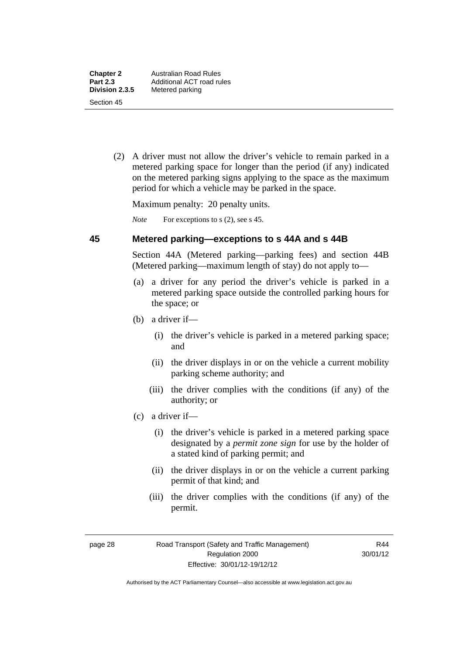(2) A driver must not allow the driver's vehicle to remain parked in a metered parking space for longer than the period (if any) indicated on the metered parking signs applying to the space as the maximum period for which a vehicle may be parked in the space.

Maximum penalty: 20 penalty units.

*Note* For exceptions to s (2), see s 45.

#### **45 Metered parking—exceptions to s 44A and s 44B**

Section 44A (Metered parking—parking fees) and section 44B (Metered parking—maximum length of stay) do not apply to—

- (a) a driver for any period the driver's vehicle is parked in a metered parking space outside the controlled parking hours for the space; or
- (b) a driver if—
	- (i) the driver's vehicle is parked in a metered parking space; and
	- (ii) the driver displays in or on the vehicle a current mobility parking scheme authority; and
	- (iii) the driver complies with the conditions (if any) of the authority; or
- (c) a driver if—
	- (i) the driver's vehicle is parked in a metered parking space designated by a *permit zone sign* for use by the holder of a stated kind of parking permit; and
	- (ii) the driver displays in or on the vehicle a current parking permit of that kind; and
	- (iii) the driver complies with the conditions (if any) of the permit.

R44 30/01/12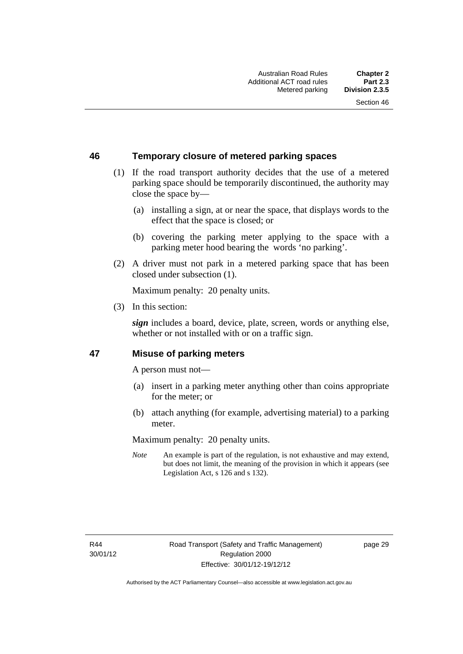## **46 Temporary closure of metered parking spaces**

- (1) If the road transport authority decides that the use of a metered parking space should be temporarily discontinued, the authority may close the space by—
	- (a) installing a sign, at or near the space, that displays words to the effect that the space is closed; or
	- (b) covering the parking meter applying to the space with a parking meter hood bearing the words 'no parking'.
- (2) A driver must not park in a metered parking space that has been closed under subsection (1).

Maximum penalty: 20 penalty units.

(3) In this section:

*sign* includes a board, device, plate, screen, words or anything else, whether or not installed with or on a traffic sign.

#### **47 Misuse of parking meters**

A person must not—

- (a) insert in a parking meter anything other than coins appropriate for the meter; or
- (b) attach anything (for example, advertising material) to a parking meter.

Maximum penalty: 20 penalty units.

*Note* An example is part of the regulation, is not exhaustive and may extend, but does not limit, the meaning of the provision in which it appears (see Legislation Act, s 126 and s 132).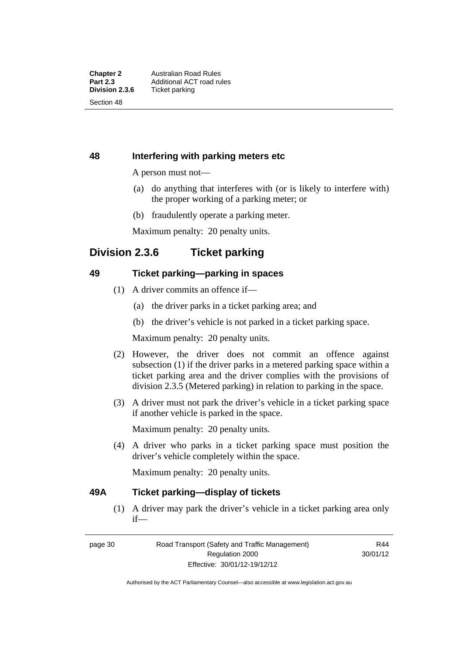### **48 Interfering with parking meters etc**

A person must not—

- (a) do anything that interferes with (or is likely to interfere with) the proper working of a parking meter; or
- (b) fraudulently operate a parking meter.

Maximum penalty: 20 penalty units.

# **Division 2.3.6 Ticket parking**

### **49 Ticket parking—parking in spaces**

- (1) A driver commits an offence if—
	- (a) the driver parks in a ticket parking area; and
	- (b) the driver's vehicle is not parked in a ticket parking space.

Maximum penalty: 20 penalty units.

- (2) However, the driver does not commit an offence against subsection (1) if the driver parks in a metered parking space within a ticket parking area and the driver complies with the provisions of division 2.3.5 (Metered parking) in relation to parking in the space.
- (3) A driver must not park the driver's vehicle in a ticket parking space if another vehicle is parked in the space.

Maximum penalty: 20 penalty units.

 (4) A driver who parks in a ticket parking space must position the driver's vehicle completely within the space.

Maximum penalty: 20 penalty units.

#### **49A Ticket parking—display of tickets**

(1) A driver may park the driver's vehicle in a ticket parking area only if—

page 30 Road Transport (Safety and Traffic Management) Regulation 2000 Effective: 30/01/12-19/12/12

R44 30/01/12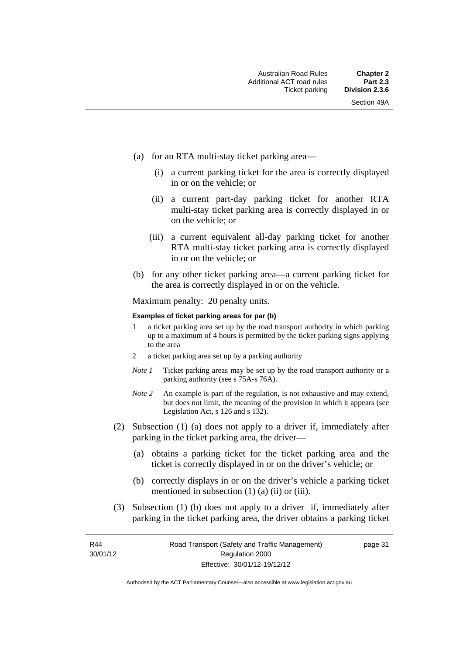- (a) for an RTA multi-stay ticket parking area—
	- (i) a current parking ticket for the area is correctly displayed in or on the vehicle; or
	- (ii) a current part-day parking ticket for another RTA multi-stay ticket parking area is correctly displayed in or on the vehicle; or
	- (iii) a current equivalent all-day parking ticket for another RTA multi-stay ticket parking area is correctly displayed in or on the vehicle; or
- (b) for any other ticket parking area—a current parking ticket for the area is correctly displayed in or on the vehicle.

Maximum penalty: 20 penalty units.

#### **Examples of ticket parking areas for par (b)**

- 1 a ticket parking area set up by the road transport authority in which parking up to a maximum of 4 hours is permitted by the ticket parking signs applying to the area
- 2 a ticket parking area set up by a parking authority
- *Note 1* Ticket parking areas may be set up by the road transport authority or a parking authority (see s 75A-s 76A).
- *Note 2* An example is part of the regulation, is not exhaustive and may extend, but does not limit, the meaning of the provision in which it appears (see Legislation Act, s 126 and s 132).
- (2) Subsection (1) (a) does not apply to a driver if, immediately after parking in the ticket parking area, the driver—
	- (a) obtains a parking ticket for the ticket parking area and the ticket is correctly displayed in or on the driver's vehicle; or
	- (b) correctly displays in or on the driver's vehicle a parking ticket mentioned in subsection  $(1)$   $(a)$   $(ii)$  or  $(iii)$ .
- (3) Subsection (1) (b) does not apply to a driver if, immediately after parking in the ticket parking area, the driver obtains a parking ticket

R44 30/01/12 page 31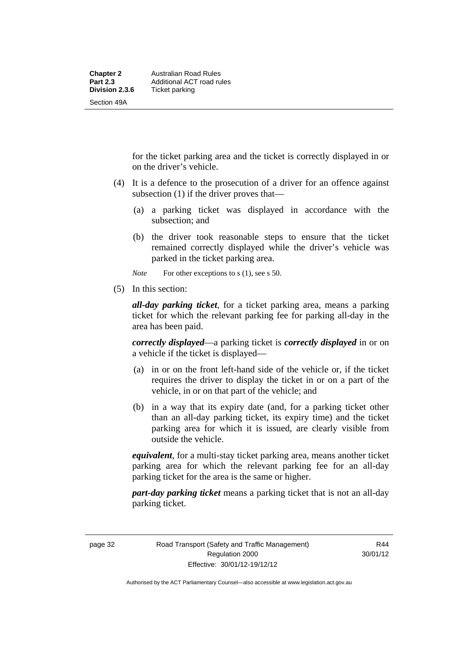for the ticket parking area and the ticket is correctly displayed in or on the driver's vehicle.

- (4) It is a defence to the prosecution of a driver for an offence against subsection (1) if the driver proves that—
	- (a) a parking ticket was displayed in accordance with the subsection; and
	- (b) the driver took reasonable steps to ensure that the ticket remained correctly displayed while the driver's vehicle was parked in the ticket parking area.
	- *Note* For other exceptions to s (1), see s 50.
- (5) In this section:

*all-day parking ticket*, for a ticket parking area, means a parking ticket for which the relevant parking fee for parking all-day in the area has been paid.

*correctly displayed*—a parking ticket is *correctly displayed* in or on a vehicle if the ticket is displayed—

- (a) in or on the front left-hand side of the vehicle or, if the ticket requires the driver to display the ticket in or on a part of the vehicle, in or on that part of the vehicle; and
- (b) in a way that its expiry date (and, for a parking ticket other than an all-day parking ticket, its expiry time) and the ticket parking area for which it is issued, are clearly visible from outside the vehicle.

*equivalent*, for a multi-stay ticket parking area, means another ticket parking area for which the relevant parking fee for an all-day parking ticket for the area is the same or higher.

*part-day parking ticket* means a parking ticket that is not an all-day parking ticket.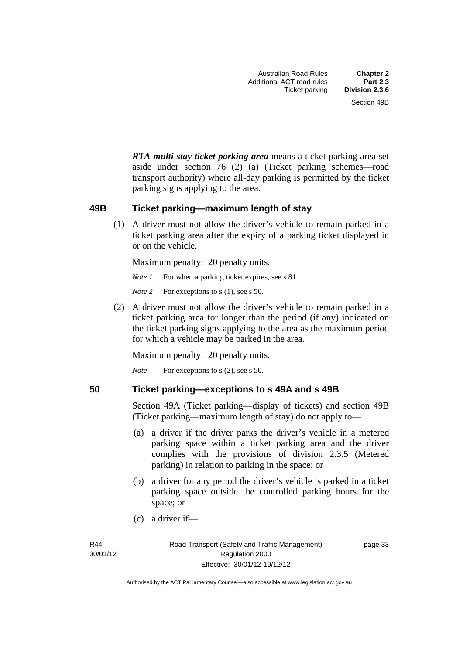*RTA multi-stay ticket parking area* means a ticket parking area set aside under section 76 (2) (a) (Ticket parking schemes—road transport authority) where all-day parking is permitted by the ticket parking signs applying to the area.

#### **49B Ticket parking—maximum length of stay**

(1) A driver must not allow the driver's vehicle to remain parked in a ticket parking area after the expiry of a parking ticket displayed in or on the vehicle.

Maximum penalty: 20 penalty units.

*Note 1* For when a parking ticket expires, see s 81.

*Note* 2 For exceptions to s (1), see s 50.

 (2) A driver must not allow the driver's vehicle to remain parked in a ticket parking area for longer than the period (if any) indicated on the ticket parking signs applying to the area as the maximum period for which a vehicle may be parked in the area.

Maximum penalty: 20 penalty units.

*Note* For exceptions to s (2), see s 50.

#### **50 Ticket parking—exceptions to s 49A and s 49B**

Section 49A (Ticket parking—display of tickets) and section 49B (Ticket parking—maximum length of stay) do not apply to—

- (a) a driver if the driver parks the driver's vehicle in a metered parking space within a ticket parking area and the driver complies with the provisions of division 2.3.5 (Metered parking) in relation to parking in the space; or
- (b) a driver for any period the driver's vehicle is parked in a ticket parking space outside the controlled parking hours for the space; or
- (c) a driver if—

page 33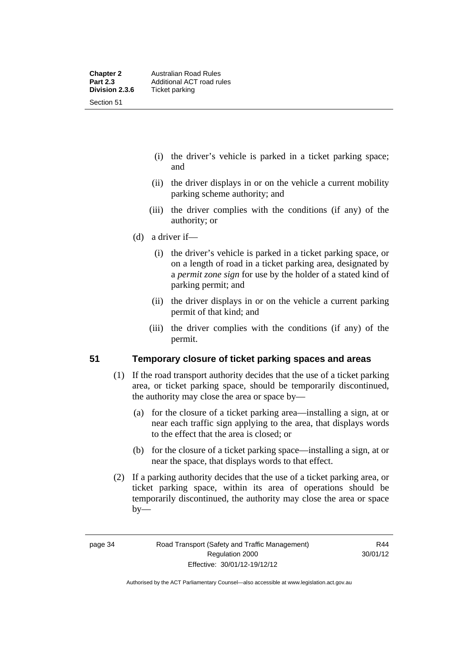- (i) the driver's vehicle is parked in a ticket parking space; and
- (ii) the driver displays in or on the vehicle a current mobility parking scheme authority; and
- (iii) the driver complies with the conditions (if any) of the authority; or
- (d) a driver if—
	- (i) the driver's vehicle is parked in a ticket parking space, or on a length of road in a ticket parking area, designated by a *permit zone sign* for use by the holder of a stated kind of parking permit; and
	- (ii) the driver displays in or on the vehicle a current parking permit of that kind; and
	- (iii) the driver complies with the conditions (if any) of the permit.

#### **51 Temporary closure of ticket parking spaces and areas**

- (1) If the road transport authority decides that the use of a ticket parking area, or ticket parking space, should be temporarily discontinued, the authority may close the area or space by—
	- (a) for the closure of a ticket parking area—installing a sign, at or near each traffic sign applying to the area, that displays words to the effect that the area is closed; or
	- (b) for the closure of a ticket parking space—installing a sign, at or near the space, that displays words to that effect.
- (2) If a parking authority decides that the use of a ticket parking area, or ticket parking space, within its area of operations should be temporarily discontinued, the authority may close the area or space  $by-$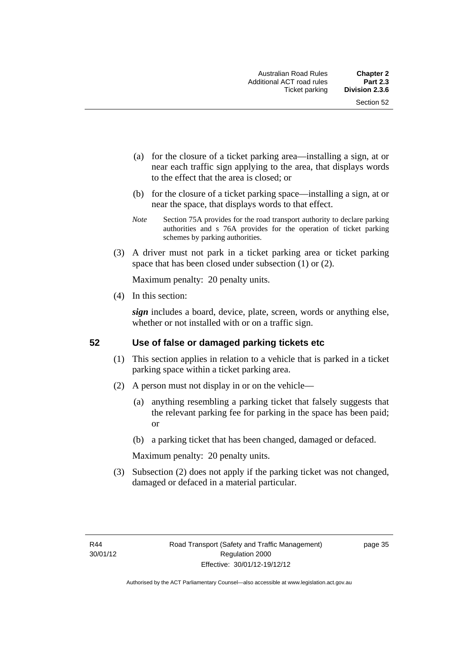- (a) for the closure of a ticket parking area—installing a sign, at or near each traffic sign applying to the area, that displays words to the effect that the area is closed; or
- (b) for the closure of a ticket parking space—installing a sign, at or near the space, that displays words to that effect.
- *Note* Section 75A provides for the road transport authority to declare parking authorities and s 76A provides for the operation of ticket parking schemes by parking authorities.
- (3) A driver must not park in a ticket parking area or ticket parking space that has been closed under subsection (1) or (2).

Maximum penalty: 20 penalty units.

(4) In this section:

*sign* includes a board, device, plate, screen, words or anything else, whether or not installed with or on a traffic sign.

#### **52 Use of false or damaged parking tickets etc**

- (1) This section applies in relation to a vehicle that is parked in a ticket parking space within a ticket parking area.
- (2) A person must not display in or on the vehicle—
	- (a) anything resembling a parking ticket that falsely suggests that the relevant parking fee for parking in the space has been paid; or
	- (b) a parking ticket that has been changed, damaged or defaced.

Maximum penalty: 20 penalty units.

 (3) Subsection (2) does not apply if the parking ticket was not changed, damaged or defaced in a material particular.

page 35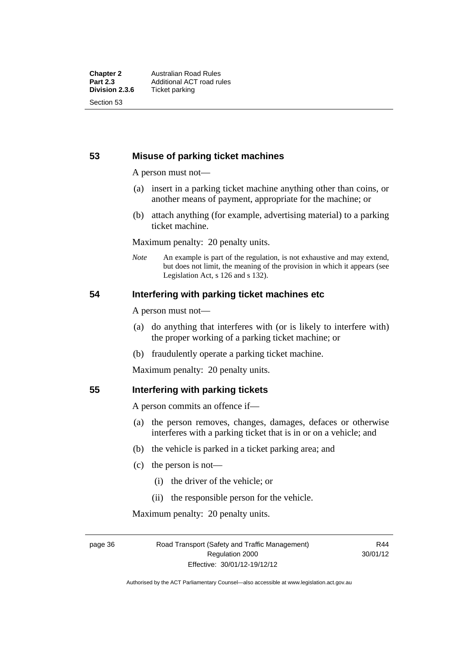#### **53 Misuse of parking ticket machines**

A person must not—

- (a) insert in a parking ticket machine anything other than coins, or another means of payment, appropriate for the machine; or
- (b) attach anything (for example, advertising material) to a parking ticket machine.

Maximum penalty: 20 penalty units.

*Note* An example is part of the regulation, is not exhaustive and may extend, but does not limit, the meaning of the provision in which it appears (see Legislation Act, s 126 and s 132).

#### **54 Interfering with parking ticket machines etc**

A person must not—

- (a) do anything that interferes with (or is likely to interfere with) the proper working of a parking ticket machine; or
- (b) fraudulently operate a parking ticket machine.

Maximum penalty: 20 penalty units.

#### **55 Interfering with parking tickets**

A person commits an offence if—

- (a) the person removes, changes, damages, defaces or otherwise interferes with a parking ticket that is in or on a vehicle; and
- (b) the vehicle is parked in a ticket parking area; and
- (c) the person is not—
	- (i) the driver of the vehicle; or
	- (ii) the responsible person for the vehicle.

Maximum penalty: 20 penalty units.

page 36 Road Transport (Safety and Traffic Management) Regulation 2000 Effective: 30/01/12-19/12/12

R44 30/01/12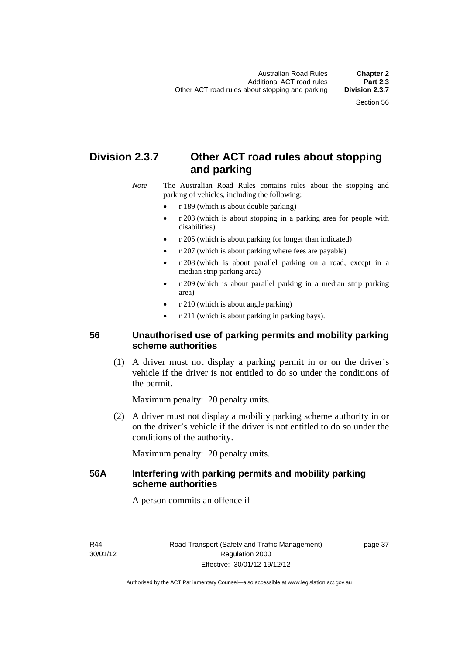# **Division 2.3.7 Other ACT road rules about stopping and parking**

*Note* The Australian Road Rules contains rules about the stopping and parking of vehicles, including the following:

- r 189 (which is about double parking)
- r 203 (which is about stopping in a parking area for people with disabilities)
- r 205 (which is about parking for longer than indicated)
- r 207 (which is about parking where fees are payable)
- r 208 (which is about parallel parking on a road, except in a median strip parking area)
- r 209 (which is about parallel parking in a median strip parking area)
- r 210 (which is about angle parking)
- r 211 (which is about parking in parking bays).

### **56 Unauthorised use of parking permits and mobility parking scheme authorities**

 (1) A driver must not display a parking permit in or on the driver's vehicle if the driver is not entitled to do so under the conditions of the permit.

Maximum penalty: 20 penalty units.

 (2) A driver must not display a mobility parking scheme authority in or on the driver's vehicle if the driver is not entitled to do so under the conditions of the authority.

Maximum penalty: 20 penalty units.

## **56A Interfering with parking permits and mobility parking scheme authorities**

A person commits an offence if—

R44 30/01/12 page 37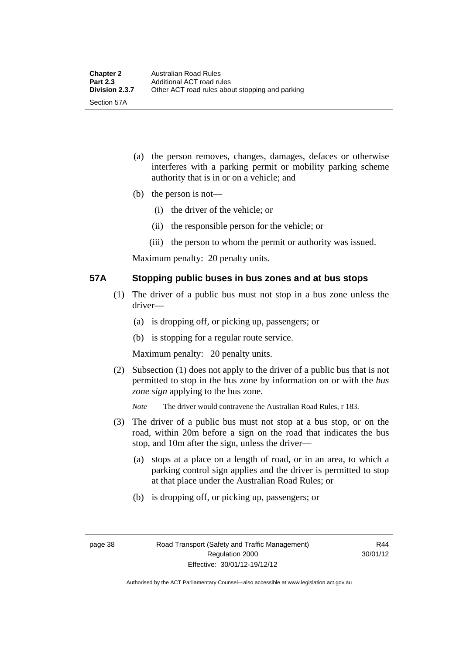- (a) the person removes, changes, damages, defaces or otherwise interferes with a parking permit or mobility parking scheme authority that is in or on a vehicle; and
- (b) the person is not—
	- (i) the driver of the vehicle; or
	- (ii) the responsible person for the vehicle; or
	- (iii) the person to whom the permit or authority was issued.

Maximum penalty: 20 penalty units.

#### **57A Stopping public buses in bus zones and at bus stops**

- (1) The driver of a public bus must not stop in a bus zone unless the driver—
	- (a) is dropping off, or picking up, passengers; or
	- (b) is stopping for a regular route service.

Maximum penalty: 20 penalty units.

- (2) Subsection (1) does not apply to the driver of a public bus that is not permitted to stop in the bus zone by information on or with the *bus zone sign* applying to the bus zone.
	- *Note* The driver would contravene the Australian Road Rules, r 183.
- (3) The driver of a public bus must not stop at a bus stop, or on the road, within 20m before a sign on the road that indicates the bus stop, and 10m after the sign, unless the driver—
	- (a) stops at a place on a length of road, or in an area, to which a parking control sign applies and the driver is permitted to stop at that place under the Australian Road Rules; or
	- (b) is dropping off, or picking up, passengers; or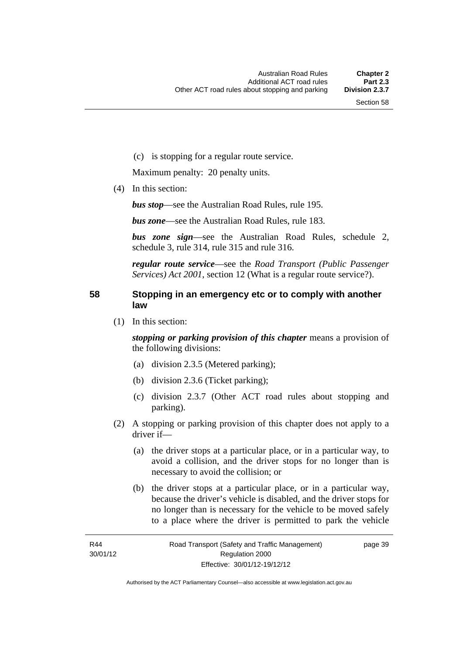(c) is stopping for a regular route service.

Maximum penalty: 20 penalty units.

(4) In this section:

*bus stop*—see the Australian Road Rules, rule 195.

*bus zone*—see the Australian Road Rules, rule 183.

*bus zone sign*—see the Australian Road Rules, schedule 2, schedule 3, rule 314, rule 315 and rule 316.

*regular route service*—see the *Road Transport (Public Passenger Services) Act 2001*, section 12 (What is a regular route service?).

#### **58 Stopping in an emergency etc or to comply with another law**

(1) In this section:

*stopping or parking provision of this chapter* means a provision of the following divisions:

- (a) division 2.3.5 (Metered parking);
- (b) division 2.3.6 (Ticket parking);
- (c) division 2.3.7 (Other ACT road rules about stopping and parking).
- (2) A stopping or parking provision of this chapter does not apply to a driver if—
	- (a) the driver stops at a particular place, or in a particular way, to avoid a collision, and the driver stops for no longer than is necessary to avoid the collision; or
	- (b) the driver stops at a particular place, or in a particular way, because the driver's vehicle is disabled, and the driver stops for no longer than is necessary for the vehicle to be moved safely to a place where the driver is permitted to park the vehicle

page 39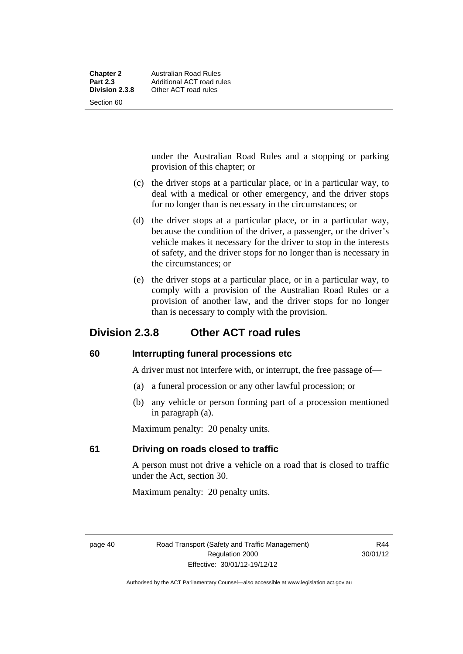| <b>Chapter 2</b> | Australian Road Rules     |
|------------------|---------------------------|
| <b>Part 2.3</b>  | Additional ACT road rules |
| Division 2.3.8   | Other ACT road rules      |
| Section 60       |                           |

under the Australian Road Rules and a stopping or parking provision of this chapter; or

- (c) the driver stops at a particular place, or in a particular way, to deal with a medical or other emergency, and the driver stops for no longer than is necessary in the circumstances; or
- (d) the driver stops at a particular place, or in a particular way, because the condition of the driver, a passenger, or the driver's vehicle makes it necessary for the driver to stop in the interests of safety, and the driver stops for no longer than is necessary in the circumstances; or
- (e) the driver stops at a particular place, or in a particular way, to comply with a provision of the Australian Road Rules or a provision of another law, and the driver stops for no longer than is necessary to comply with the provision.

# **Division 2.3.8 Other ACT road rules**

#### **60 Interrupting funeral processions etc**

A driver must not interfere with, or interrupt, the free passage of—

- (a) a funeral procession or any other lawful procession; or
- (b) any vehicle or person forming part of a procession mentioned in paragraph (a).

Maximum penalty: 20 penalty units.

# **61 Driving on roads closed to traffic**

A person must not drive a vehicle on a road that is closed to traffic under the Act, section 30.

Maximum penalty: 20 penalty units.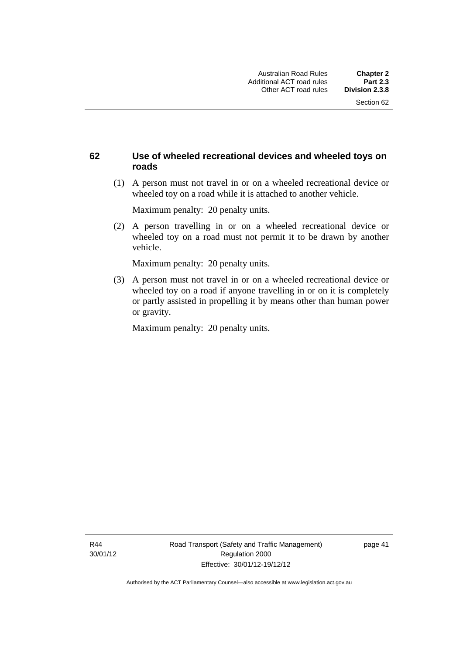## **62 Use of wheeled recreational devices and wheeled toys on roads**

 (1) A person must not travel in or on a wheeled recreational device or wheeled toy on a road while it is attached to another vehicle.

Maximum penalty: 20 penalty units.

 (2) A person travelling in or on a wheeled recreational device or wheeled toy on a road must not permit it to be drawn by another vehicle.

Maximum penalty: 20 penalty units.

 (3) A person must not travel in or on a wheeled recreational device or wheeled toy on a road if anyone travelling in or on it is completely or partly assisted in propelling it by means other than human power or gravity.

Maximum penalty: 20 penalty units.

R44 30/01/12 page 41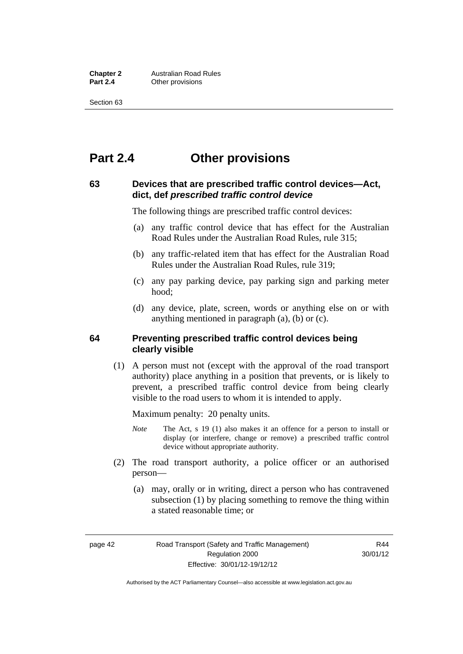**Chapter 2 Australian Road Rules**<br>**Part 2.4 Other provisions Other provisions** 

Section 63

# **Part 2.4 Other provisions**

#### **63 Devices that are prescribed traffic control devices—Act, dict, def** *prescribed traffic control device*

The following things are prescribed traffic control devices:

- (a) any traffic control device that has effect for the Australian Road Rules under the Australian Road Rules, rule 315;
- (b) any traffic-related item that has effect for the Australian Road Rules under the Australian Road Rules, rule 319;
- (c) any pay parking device, pay parking sign and parking meter hood;
- (d) any device, plate, screen, words or anything else on or with anything mentioned in paragraph (a), (b) or (c).

#### **64 Preventing prescribed traffic control devices being clearly visible**

 (1) A person must not (except with the approval of the road transport authority) place anything in a position that prevents, or is likely to prevent, a prescribed traffic control device from being clearly visible to the road users to whom it is intended to apply.

Maximum penalty: 20 penalty units.

- *Note* The Act, s 19 (1) also makes it an offence for a person to install or display (or interfere, change or remove) a prescribed traffic control device without appropriate authority.
- (2) The road transport authority, a police officer or an authorised person—
	- (a) may, orally or in writing, direct a person who has contravened subsection (1) by placing something to remove the thing within a stated reasonable time; or

page 42 Road Transport (Safety and Traffic Management) Regulation 2000 Effective: 30/01/12-19/12/12

R44 30/01/12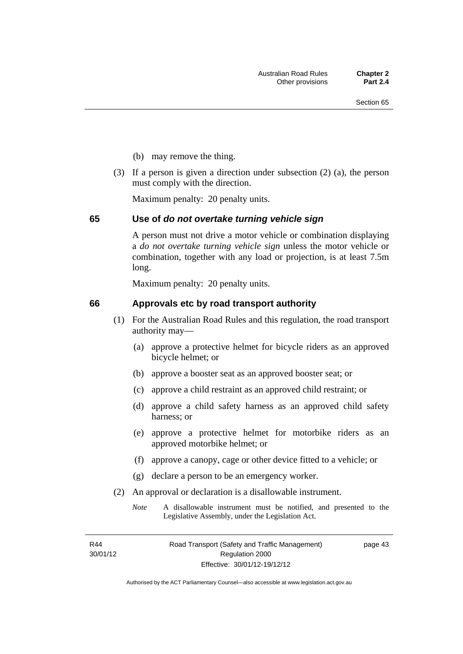- (b) may remove the thing.
- (3) If a person is given a direction under subsection (2) (a), the person must comply with the direction.

Maximum penalty: 20 penalty units.

#### **65 Use of** *do not overtake turning vehicle sign*

A person must not drive a motor vehicle or combination displaying a *do not overtake turning vehicle sign* unless the motor vehicle or combination, together with any load or projection, is at least 7.5m long.

Maximum penalty: 20 penalty units.

#### **66 Approvals etc by road transport authority**

- (1) For the Australian Road Rules and this regulation, the road transport authority may—
	- (a) approve a protective helmet for bicycle riders as an approved bicycle helmet; or
	- (b) approve a booster seat as an approved booster seat; or
	- (c) approve a child restraint as an approved child restraint; or
	- (d) approve a child safety harness as an approved child safety harness; or
	- (e) approve a protective helmet for motorbike riders as an approved motorbike helmet; or
	- (f) approve a canopy, cage or other device fitted to a vehicle; or
	- (g) declare a person to be an emergency worker.
- (2) An approval or declaration is a disallowable instrument.
	- *Note* A disallowable instrument must be notified, and presented to the Legislative Assembly, under the Legislation Act.

R44 30/01/12 page 43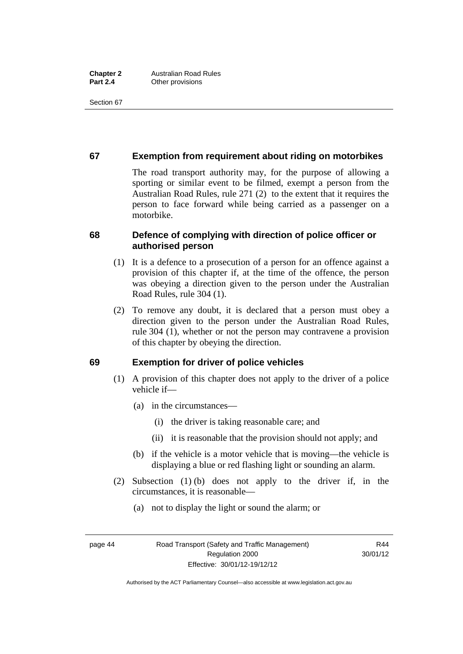Section 67

## **67 Exemption from requirement about riding on motorbikes**

The road transport authority may, for the purpose of allowing a sporting or similar event to be filmed, exempt a person from the Australian Road Rules, rule 271 (2) to the extent that it requires the person to face forward while being carried as a passenger on a motorbike.

## **68 Defence of complying with direction of police officer or authorised person**

- (1) It is a defence to a prosecution of a person for an offence against a provision of this chapter if, at the time of the offence, the person was obeying a direction given to the person under the Australian Road Rules, rule 304 (1).
- (2) To remove any doubt, it is declared that a person must obey a direction given to the person under the Australian Road Rules, rule 304 (1), whether or not the person may contravene a provision of this chapter by obeying the direction.

#### **69 Exemption for driver of police vehicles**

- (1) A provision of this chapter does not apply to the driver of a police vehicle if—
	- (a) in the circumstances—
		- (i) the driver is taking reasonable care; and
		- (ii) it is reasonable that the provision should not apply; and
	- (b) if the vehicle is a motor vehicle that is moving—the vehicle is displaying a blue or red flashing light or sounding an alarm.
- (2) Subsection (1) (b) does not apply to the driver if, in the circumstances, it is reasonable—
	- (a) not to display the light or sound the alarm; or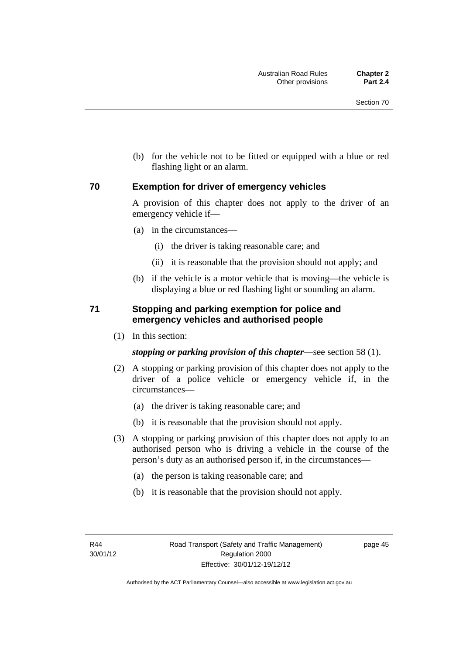(b) for the vehicle not to be fitted or equipped with a blue or red flashing light or an alarm.

#### **70 Exemption for driver of emergency vehicles**

A provision of this chapter does not apply to the driver of an emergency vehicle if—

- (a) in the circumstances—
	- (i) the driver is taking reasonable care; and
	- (ii) it is reasonable that the provision should not apply; and
- (b) if the vehicle is a motor vehicle that is moving—the vehicle is displaying a blue or red flashing light or sounding an alarm.

### **71 Stopping and parking exemption for police and emergency vehicles and authorised people**

(1) In this section:

*stopping or parking provision of this chapter*—see section 58 (1).

- (2) A stopping or parking provision of this chapter does not apply to the driver of a police vehicle or emergency vehicle if, in the circumstances—
	- (a) the driver is taking reasonable care; and
	- (b) it is reasonable that the provision should not apply.
- (3) A stopping or parking provision of this chapter does not apply to an authorised person who is driving a vehicle in the course of the person's duty as an authorised person if, in the circumstances—
	- (a) the person is taking reasonable care; and
	- (b) it is reasonable that the provision should not apply.

page 45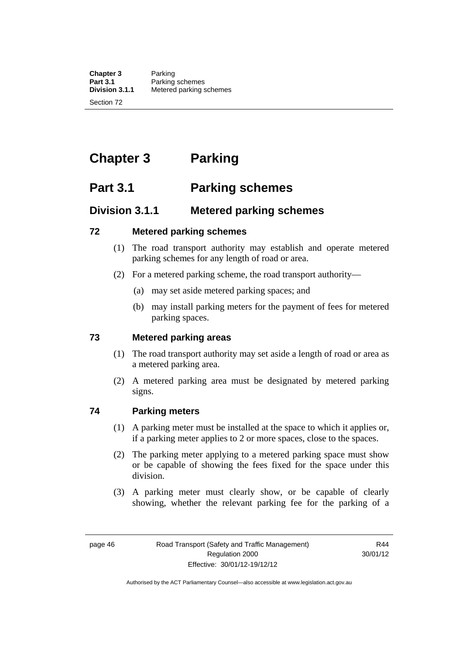**Chapter 3** Parking<br>**Part 3.1** Parking **Part 3.1** Parking schemes<br>**Division 3.1.1** Metered parking s **Division 3.1.1** Metered parking schemes

Section 72

# **Chapter 3 Parking**

# **Part 3.1 Parking schemes**

# **Division 3.1.1 Metered parking schemes**

### **72 Metered parking schemes**

- (1) The road transport authority may establish and operate metered parking schemes for any length of road or area.
- (2) For a metered parking scheme, the road transport authority—
	- (a) may set aside metered parking spaces; and
	- (b) may install parking meters for the payment of fees for metered parking spaces.

# **73 Metered parking areas**

- (1) The road transport authority may set aside a length of road or area as a metered parking area.
- (2) A metered parking area must be designated by metered parking signs.

# **74 Parking meters**

- (1) A parking meter must be installed at the space to which it applies or, if a parking meter applies to 2 or more spaces, close to the spaces.
- (2) The parking meter applying to a metered parking space must show or be capable of showing the fees fixed for the space under this division.
- (3) A parking meter must clearly show, or be capable of clearly showing, whether the relevant parking fee for the parking of a

R44 30/01/12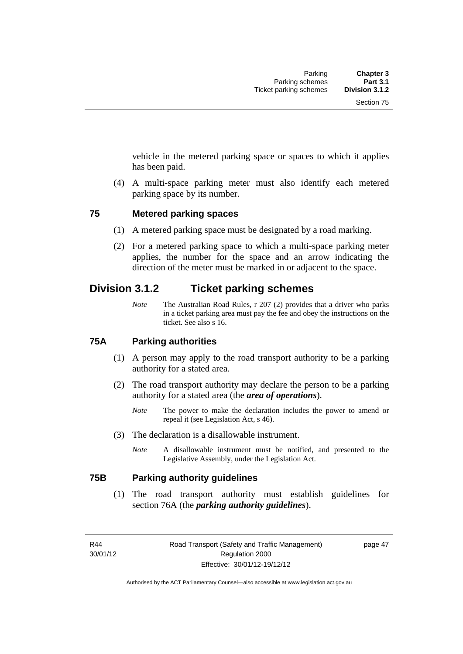vehicle in the metered parking space or spaces to which it applies has been paid.

 (4) A multi-space parking meter must also identify each metered parking space by its number.

#### **75 Metered parking spaces**

- (1) A metered parking space must be designated by a road marking.
- (2) For a metered parking space to which a multi-space parking meter applies, the number for the space and an arrow indicating the direction of the meter must be marked in or adjacent to the space.

# **Division 3.1.2 Ticket parking schemes**

*Note* The Australian Road Rules, r 207 (2) provides that a driver who parks in a ticket parking area must pay the fee and obey the instructions on the ticket. See also s 16.

#### **75A Parking authorities**

- (1) A person may apply to the road transport authority to be a parking authority for a stated area.
- (2) The road transport authority may declare the person to be a parking authority for a stated area (the *area of operations*).
	- *Note* The power to make the declaration includes the power to amend or repeal it (see Legislation Act, s 46).
- (3) The declaration is a disallowable instrument.
	- *Note* A disallowable instrument must be notified, and presented to the Legislative Assembly, under the Legislation Act.

#### **75B Parking authority guidelines**

 (1) The road transport authority must establish guidelines for section 76A (the *parking authority guidelines*).

R44 30/01/12 page 47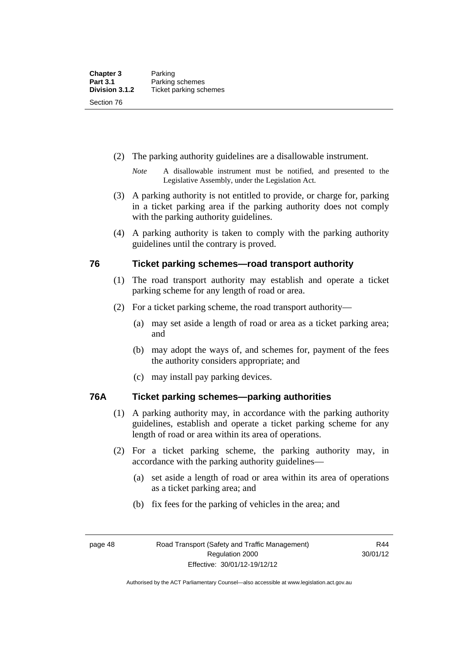- (2) The parking authority guidelines are a disallowable instrument.
	- *Note* A disallowable instrument must be notified, and presented to the Legislative Assembly, under the Legislation Act.
- (3) A parking authority is not entitled to provide, or charge for, parking in a ticket parking area if the parking authority does not comply with the parking authority guidelines.
- (4) A parking authority is taken to comply with the parking authority guidelines until the contrary is proved.

### **76 Ticket parking schemes—road transport authority**

- (1) The road transport authority may establish and operate a ticket parking scheme for any length of road or area.
- (2) For a ticket parking scheme, the road transport authority—
	- (a) may set aside a length of road or area as a ticket parking area; and
	- (b) may adopt the ways of, and schemes for, payment of the fees the authority considers appropriate; and
	- (c) may install pay parking devices.

#### **76A Ticket parking schemes—parking authorities**

- (1) A parking authority may, in accordance with the parking authority guidelines, establish and operate a ticket parking scheme for any length of road or area within its area of operations.
- (2) For a ticket parking scheme, the parking authority may, in accordance with the parking authority guidelines—
	- (a) set aside a length of road or area within its area of operations as a ticket parking area; and
	- (b) fix fees for the parking of vehicles in the area; and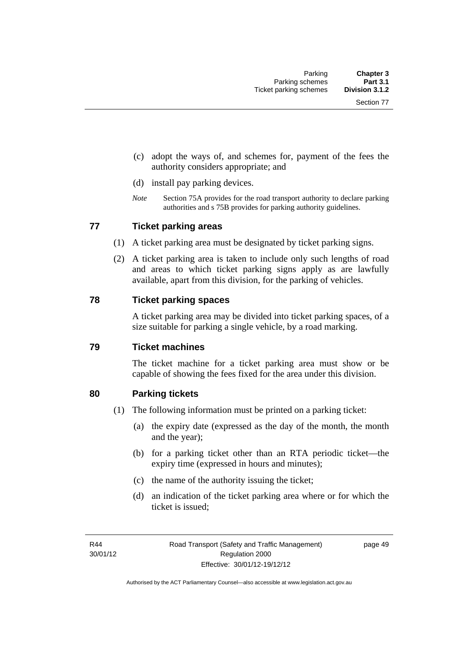- (c) adopt the ways of, and schemes for, payment of the fees the authority considers appropriate; and
- (d) install pay parking devices.
- *Note* Section 75A provides for the road transport authority to declare parking authorities and s 75B provides for parking authority guidelines.

#### **77 Ticket parking areas**

- (1) A ticket parking area must be designated by ticket parking signs.
- (2) A ticket parking area is taken to include only such lengths of road and areas to which ticket parking signs apply as are lawfully available, apart from this division, for the parking of vehicles.

#### **78 Ticket parking spaces**

A ticket parking area may be divided into ticket parking spaces, of a size suitable for parking a single vehicle, by a road marking.

#### **79 Ticket machines**

The ticket machine for a ticket parking area must show or be capable of showing the fees fixed for the area under this division.

#### **80 Parking tickets**

- (1) The following information must be printed on a parking ticket:
	- (a) the expiry date (expressed as the day of the month, the month and the year);
	- (b) for a parking ticket other than an RTA periodic ticket—the expiry time (expressed in hours and minutes);
	- (c) the name of the authority issuing the ticket;
	- (d) an indication of the ticket parking area where or for which the ticket is issued;

page 49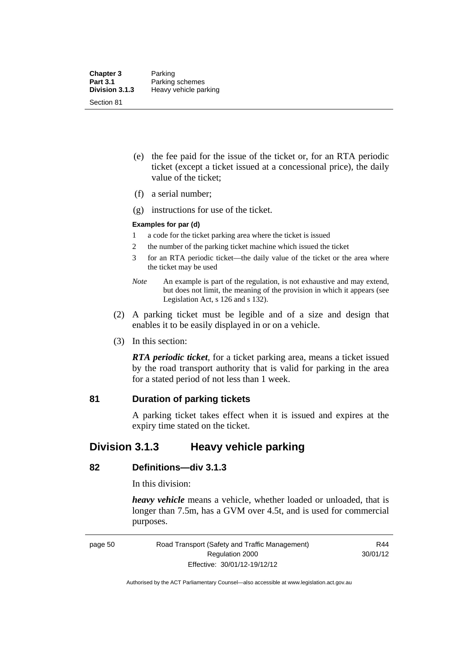- (e) the fee paid for the issue of the ticket or, for an RTA periodic ticket (except a ticket issued at a concessional price), the daily value of the ticket;
- (f) a serial number;
- (g) instructions for use of the ticket.

#### **Examples for par (d)**

- 1 a code for the ticket parking area where the ticket is issued
- 2 the number of the parking ticket machine which issued the ticket
- 3 for an RTA periodic ticket—the daily value of the ticket or the area where the ticket may be used
- *Note* An example is part of the regulation, is not exhaustive and may extend, but does not limit, the meaning of the provision in which it appears (see Legislation Act, s 126 and s 132).
- (2) A parking ticket must be legible and of a size and design that enables it to be easily displayed in or on a vehicle.
- (3) In this section:

*RTA periodic ticket*, for a ticket parking area, means a ticket issued by the road transport authority that is valid for parking in the area for a stated period of not less than 1 week.

#### **81 Duration of parking tickets**

A parking ticket takes effect when it is issued and expires at the expiry time stated on the ticket.

# **Division 3.1.3 Heavy vehicle parking**

#### **82 Definitions—div 3.1.3**

In this division:

*heavy vehicle* means a vehicle, whether loaded or unloaded, that is longer than 7.5m, has a GVM over 4.5t, and is used for commercial purposes.

page 50 Road Transport (Safety and Traffic Management) Regulation 2000 Effective: 30/01/12-19/12/12

R44 30/01/12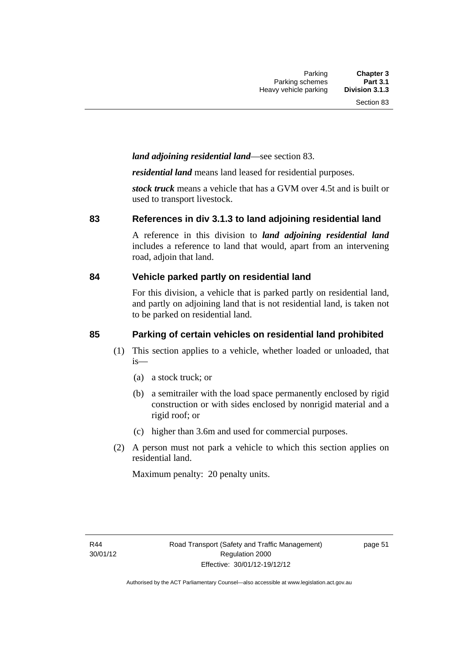### *land adjoining residential land*—see section 83.

*residential land* means land leased for residential purposes.

*stock truck* means a vehicle that has a GVM over 4.5t and is built or used to transport livestock.

#### **83 References in div 3.1.3 to land adjoining residential land**

A reference in this division to *land adjoining residential land* includes a reference to land that would, apart from an intervening road, adjoin that land.

#### **84 Vehicle parked partly on residential land**

For this division, a vehicle that is parked partly on residential land, and partly on adjoining land that is not residential land, is taken not to be parked on residential land.

# **85 Parking of certain vehicles on residential land prohibited**

- (1) This section applies to a vehicle, whether loaded or unloaded, that is—
	- (a) a stock truck; or
	- (b) a semitrailer with the load space permanently enclosed by rigid construction or with sides enclosed by nonrigid material and a rigid roof; or
	- (c) higher than 3.6m and used for commercial purposes.
- (2) A person must not park a vehicle to which this section applies on residential land.

Maximum penalty: 20 penalty units.

page 51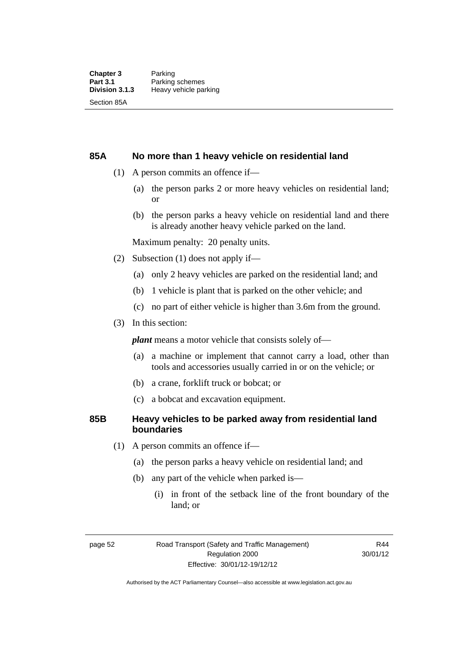#### **85A No more than 1 heavy vehicle on residential land**

- (1) A person commits an offence if—
	- (a) the person parks 2 or more heavy vehicles on residential land; or
	- (b) the person parks a heavy vehicle on residential land and there is already another heavy vehicle parked on the land.

Maximum penalty: 20 penalty units.

- (2) Subsection (1) does not apply if—
	- (a) only 2 heavy vehicles are parked on the residential land; and
	- (b) 1 vehicle is plant that is parked on the other vehicle; and
	- (c) no part of either vehicle is higher than 3.6m from the ground.
- (3) In this section:

*plant* means a motor vehicle that consists solely of—

- (a) a machine or implement that cannot carry a load, other than tools and accessories usually carried in or on the vehicle; or
- (b) a crane, forklift truck or bobcat; or
- (c) a bobcat and excavation equipment.

#### **85B Heavy vehicles to be parked away from residential land boundaries**

- (1) A person commits an offence if—
	- (a) the person parks a heavy vehicle on residential land; and
	- (b) any part of the vehicle when parked is—
		- (i) in front of the setback line of the front boundary of the land; or

R44 30/01/12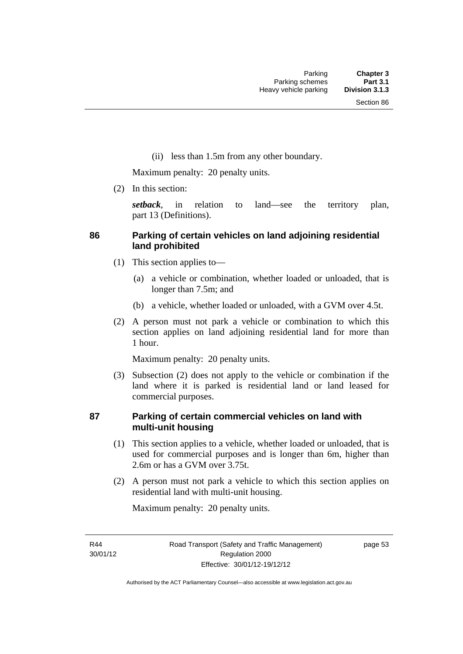(ii) less than 1.5m from any other boundary.

Maximum penalty: 20 penalty units.

(2) In this section:

*setback*, in relation to land—see the territory plan, part 13 (Definitions).

## **86 Parking of certain vehicles on land adjoining residential land prohibited**

- (1) This section applies to—
	- (a) a vehicle or combination, whether loaded or unloaded, that is longer than 7.5m; and
	- (b) a vehicle, whether loaded or unloaded, with a GVM over 4.5t.
- (2) A person must not park a vehicle or combination to which this section applies on land adjoining residential land for more than 1 hour.

Maximum penalty: 20 penalty units.

 (3) Subsection (2) does not apply to the vehicle or combination if the land where it is parked is residential land or land leased for commercial purposes.

### **87 Parking of certain commercial vehicles on land with multi-unit housing**

- (1) This section applies to a vehicle, whether loaded or unloaded, that is used for commercial purposes and is longer than 6m, higher than 2.6m or has a GVM over 3.75t.
- (2) A person must not park a vehicle to which this section applies on residential land with multi-unit housing.

Maximum penalty: 20 penalty units.

R44 30/01/12 page 53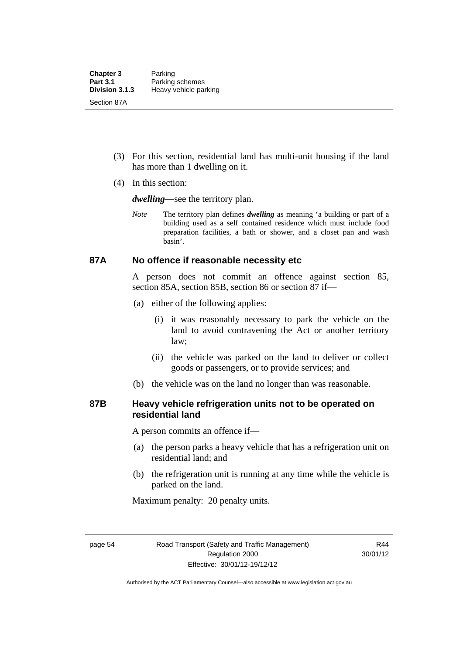- (3) For this section, residential land has multi-unit housing if the land has more than 1 dwelling on it.
- (4) In this section:

*dwelling—*see the territory plan.

*Note* The territory plan defines *dwelling* as meaning 'a building or part of a building used as a self contained residence which must include food preparation facilities, a bath or shower, and a closet pan and wash basin'.

#### **87A No offence if reasonable necessity etc**

A person does not commit an offence against section 85, section 85A, section 85B, section 86 or section 87 if—

- (a) either of the following applies:
	- (i) it was reasonably necessary to park the vehicle on the land to avoid contravening the Act or another territory law;
	- (ii) the vehicle was parked on the land to deliver or collect goods or passengers, or to provide services; and
- (b) the vehicle was on the land no longer than was reasonable.

#### **87B Heavy vehicle refrigeration units not to be operated on residential land**

A person commits an offence if—

- (a) the person parks a heavy vehicle that has a refrigeration unit on residential land; and
- (b) the refrigeration unit is running at any time while the vehicle is parked on the land.

Maximum penalty: 20 penalty units.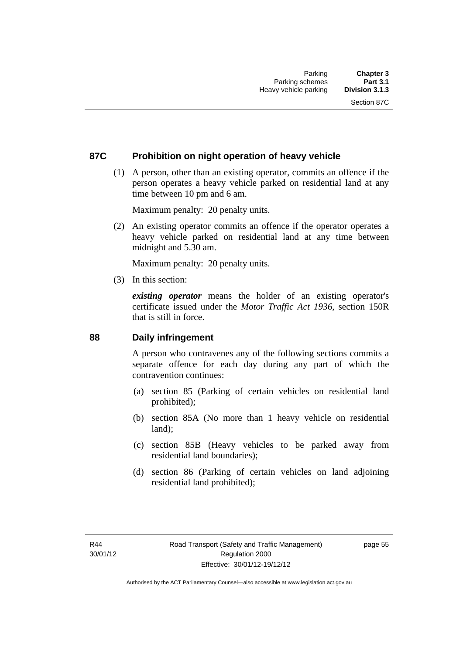## **87C Prohibition on night operation of heavy vehicle**

 (1) A person, other than an existing operator, commits an offence if the person operates a heavy vehicle parked on residential land at any time between 10 pm and 6 am.

Maximum penalty: 20 penalty units.

 (2) An existing operator commits an offence if the operator operates a heavy vehicle parked on residential land at any time between midnight and 5.30 am.

Maximum penalty: 20 penalty units.

(3) In this section:

*existing operator* means the holder of an existing operator's certificate issued under the *Motor Traffic Act 1936*, section 150R that is still in force.

#### **88 Daily infringement**

A person who contravenes any of the following sections commits a separate offence for each day during any part of which the contravention continues:

- (a) section 85 (Parking of certain vehicles on residential land prohibited);
- (b) section 85A (No more than 1 heavy vehicle on residential land);
- (c) section 85B (Heavy vehicles to be parked away from residential land boundaries);
- (d) section 86 (Parking of certain vehicles on land adjoining residential land prohibited);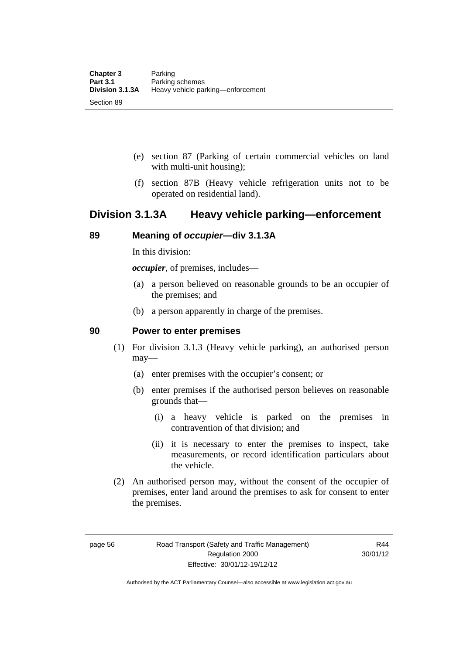- (e) section 87 (Parking of certain commercial vehicles on land with multi-unit housing);
- (f) section 87B (Heavy vehicle refrigeration units not to be operated on residential land).

## **Division 3.1.3A Heavy vehicle parking—enforcement**

## **89 Meaning of** *occupier***—div 3.1.3A**

In this division:

*occupier*, of premises, includes—

- (a) a person believed on reasonable grounds to be an occupier of the premises; and
- (b) a person apparently in charge of the premises.

#### **90 Power to enter premises**

- (1) For division 3.1.3 (Heavy vehicle parking), an authorised person may—
	- (a) enter premises with the occupier's consent; or
	- (b) enter premises if the authorised person believes on reasonable grounds that—
		- (i) a heavy vehicle is parked on the premises in contravention of that division; and
		- (ii) it is necessary to enter the premises to inspect, take measurements, or record identification particulars about the vehicle.
- (2) An authorised person may, without the consent of the occupier of premises, enter land around the premises to ask for consent to enter the premises.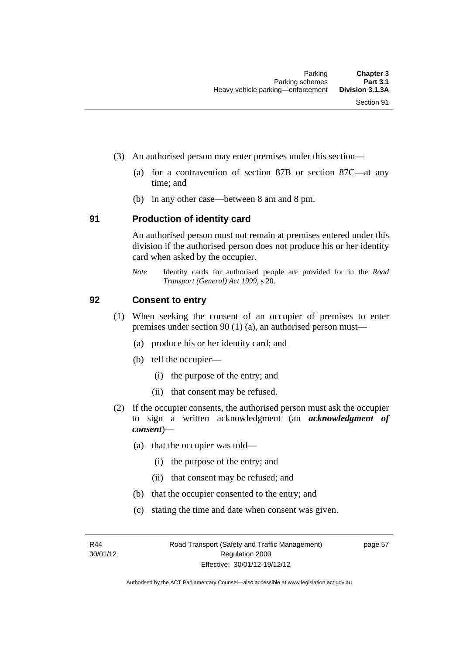- (3) An authorised person may enter premises under this section––
	- (a) for a contravention of section 87B or section 87C––at any time; and
	- (b) in any other case––between 8 am and 8 pm.

#### **91 Production of identity card**

An authorised person must not remain at premises entered under this division if the authorised person does not produce his or her identity card when asked by the occupier.

*Note* Identity cards for authorised people are provided for in the *Road Transport (General) Act 1999*, s 20.

#### **92 Consent to entry**

- (1) When seeking the consent of an occupier of premises to enter premises under section 90 (1) (a), an authorised person must—
	- (a) produce his or her identity card; and
	- (b) tell the occupier—
		- (i) the purpose of the entry; and
		- (ii) that consent may be refused.
- (2) If the occupier consents, the authorised person must ask the occupier to sign a written acknowledgment (an *acknowledgment of consent*)—
	- (a) that the occupier was told—
		- (i) the purpose of the entry; and
		- (ii) that consent may be refused; and
	- (b) that the occupier consented to the entry; and
	- (c) stating the time and date when consent was given.

R44 30/01/12 page 57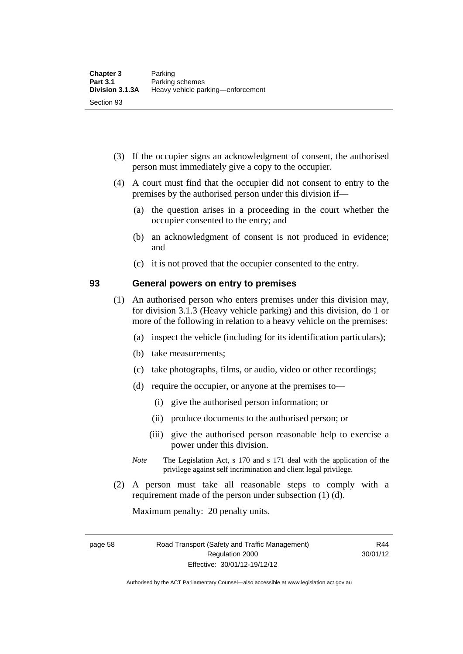- (3) If the occupier signs an acknowledgment of consent, the authorised person must immediately give a copy to the occupier.
- (4) A court must find that the occupier did not consent to entry to the premises by the authorised person under this division if—
	- (a) the question arises in a proceeding in the court whether the occupier consented to the entry; and
	- (b) an acknowledgment of consent is not produced in evidence; and
	- (c) it is not proved that the occupier consented to the entry.

#### **93 General powers on entry to premises**

- (1) An authorised person who enters premises under this division may, for division 3.1.3 (Heavy vehicle parking) and this division, do 1 or more of the following in relation to a heavy vehicle on the premises:
	- (a) inspect the vehicle (including for its identification particulars);
	- (b) take measurements;
	- (c) take photographs, films, or audio, video or other recordings;
	- (d) require the occupier, or anyone at the premises to—
		- (i) give the authorised person information; or
		- (ii) produce documents to the authorised person; or
		- (iii) give the authorised person reasonable help to exercise a power under this division.
	- *Note* The Legislation Act, s 170 and s 171 deal with the application of the privilege against self incrimination and client legal privilege.
- (2) A person must take all reasonable steps to comply with a requirement made of the person under subsection (1) (d).

Maximum penalty: 20 penalty units.

Authorised by the ACT Parliamentary Counsel—also accessible at www.legislation.act.gov.au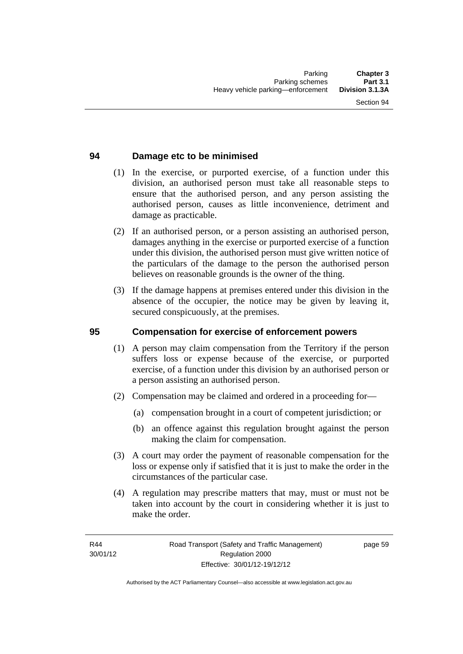## **94 Damage etc to be minimised**

- (1) In the exercise, or purported exercise, of a function under this division, an authorised person must take all reasonable steps to ensure that the authorised person, and any person assisting the authorised person, causes as little inconvenience, detriment and damage as practicable.
- (2) If an authorised person, or a person assisting an authorised person, damages anything in the exercise or purported exercise of a function under this division, the authorised person must give written notice of the particulars of the damage to the person the authorised person believes on reasonable grounds is the owner of the thing.
- (3) If the damage happens at premises entered under this division in the absence of the occupier, the notice may be given by leaving it, secured conspicuously, at the premises.

#### **95 Compensation for exercise of enforcement powers**

- (1) A person may claim compensation from the Territory if the person suffers loss or expense because of the exercise, or purported exercise, of a function under this division by an authorised person or a person assisting an authorised person.
- (2) Compensation may be claimed and ordered in a proceeding for—
	- (a) compensation brought in a court of competent jurisdiction; or
	- (b) an offence against this regulation brought against the person making the claim for compensation.
- (3) A court may order the payment of reasonable compensation for the loss or expense only if satisfied that it is just to make the order in the circumstances of the particular case.
- (4) A regulation may prescribe matters that may, must or must not be taken into account by the court in considering whether it is just to make the order.

page 59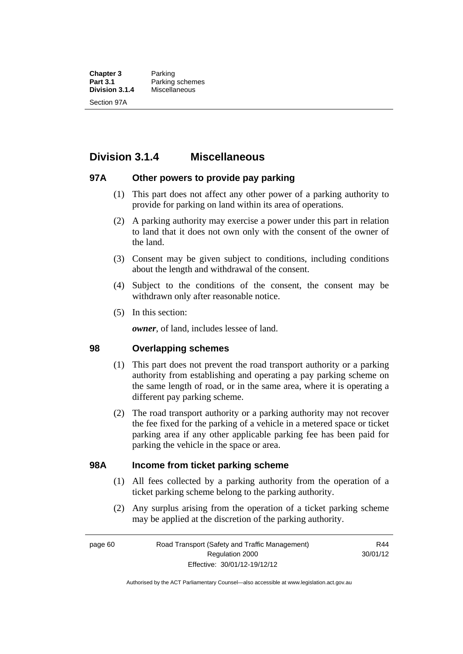**Chapter 3** Parking<br>**Part 3.1** Parking **Part 3.1** Parking schemes<br>Division 3.1.4 Miscellaneous **Division 3.1.4** Miscellaneous Section 97A

**Division 3.1.4 Miscellaneous** 

#### **97A Other powers to provide pay parking**

- (1) This part does not affect any other power of a parking authority to provide for parking on land within its area of operations.
- (2) A parking authority may exercise a power under this part in relation to land that it does not own only with the consent of the owner of the land.
- (3) Consent may be given subject to conditions, including conditions about the length and withdrawal of the consent.
- (4) Subject to the conditions of the consent, the consent may be withdrawn only after reasonable notice.
- (5) In this section:

*owner*, of land, includes lessee of land.

#### **98 Overlapping schemes**

- (1) This part does not prevent the road transport authority or a parking authority from establishing and operating a pay parking scheme on the same length of road, or in the same area, where it is operating a different pay parking scheme.
- (2) The road transport authority or a parking authority may not recover the fee fixed for the parking of a vehicle in a metered space or ticket parking area if any other applicable parking fee has been paid for parking the vehicle in the space or area.

#### **98A Income from ticket parking scheme**

- (1) All fees collected by a parking authority from the operation of a ticket parking scheme belong to the parking authority.
- (2) Any surplus arising from the operation of a ticket parking scheme may be applied at the discretion of the parking authority.

page 60 Road Transport (Safety and Traffic Management) Regulation 2000 Effective: 30/01/12-19/12/12

R44 30/01/12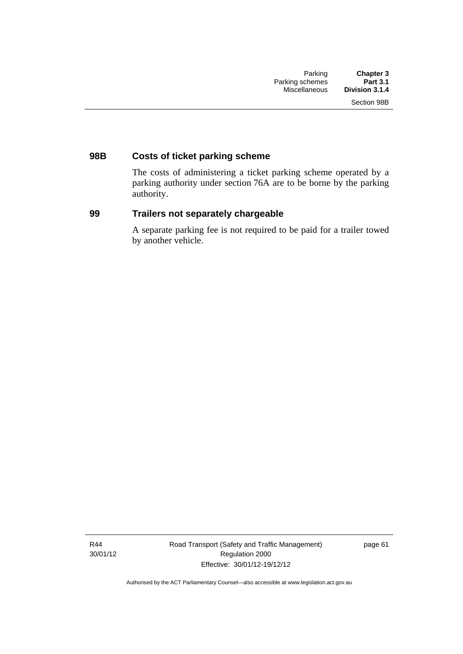## **98B Costs of ticket parking scheme**

The costs of administering a ticket parking scheme operated by a parking authority under section 76A are to be borne by the parking authority.

## **99 Trailers not separately chargeable**

A separate parking fee is not required to be paid for a trailer towed by another vehicle.

R44 30/01/12 Road Transport (Safety and Traffic Management) Regulation 2000 Effective: 30/01/12-19/12/12

page 61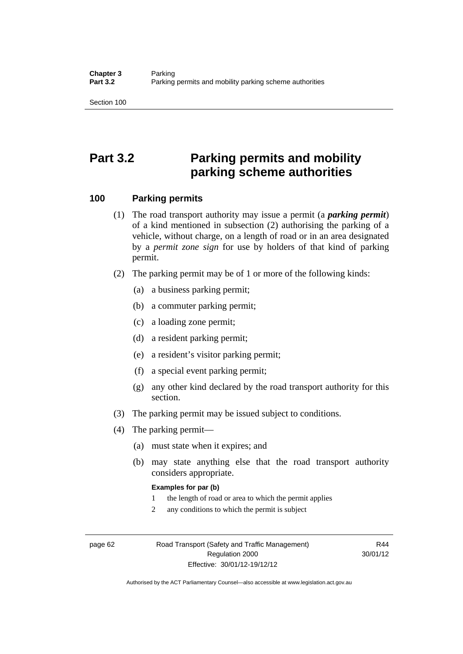Section 100

# **Part 3.2 Parking permits and mobility parking scheme authorities**

#### **100 Parking permits**

- (1) The road transport authority may issue a permit (a *parking permit*) of a kind mentioned in subsection (2) authorising the parking of a vehicle, without charge, on a length of road or in an area designated by a *permit zone sign* for use by holders of that kind of parking permit.
- (2) The parking permit may be of 1 or more of the following kinds:
	- (a) a business parking permit;
	- (b) a commuter parking permit;
	- (c) a loading zone permit;
	- (d) a resident parking permit;
	- (e) a resident's visitor parking permit;
	- (f) a special event parking permit;
	- (g) any other kind declared by the road transport authority for this section.
- (3) The parking permit may be issued subject to conditions.
- (4) The parking permit—
	- (a) must state when it expires; and
	- (b) may state anything else that the road transport authority considers appropriate.

#### **Examples for par (b)**

- 1 the length of road or area to which the permit applies
- 2 any conditions to which the permit is subject

page 62 Road Transport (Safety and Traffic Management) Regulation 2000 Effective: 30/01/12-19/12/12

R44 30/01/12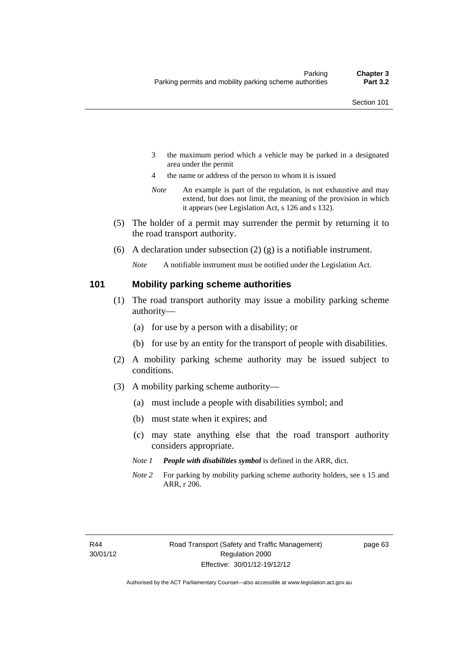- 3 the maximum period which a vehicle may be parked in a designated area under the permit
- 4 the name or address of the person to whom it is issued
- *Note* An example is part of the regulation, is not exhaustive and may extend, but does not limit, the meaning of the provision in which it appears (see Legislation Act, s 126 and s 132).
- (5) The holder of a permit may surrender the permit by returning it to the road transport authority.
- (6) A declaration under subsection  $(2)$  (g) is a notifiable instrument.

*Note* A notifiable instrument must be notified under the Legislation Act.

#### **101 Mobility parking scheme authorities**

- (1) The road transport authority may issue a mobility parking scheme authority—
	- (a) for use by a person with a disability; or
	- (b) for use by an entity for the transport of people with disabilities.
- (2) A mobility parking scheme authority may be issued subject to conditions.
- (3) A mobility parking scheme authority—
	- (a) must include a people with disabilities symbol; and
	- (b) must state when it expires; and
	- (c) may state anything else that the road transport authority considers appropriate.
	- *Note 1 People with disabilities symbol* is defined in the ARR, dict.
	- *Note 2* For parking by mobility parking scheme authority holders, see s 15 and ARR, r 206.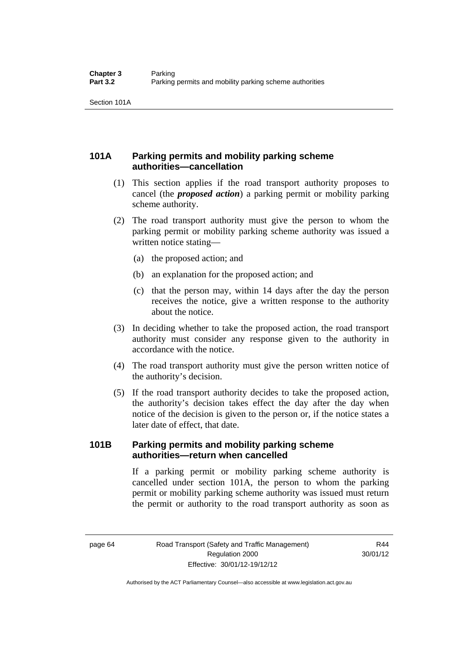Section 101A

## **101A Parking permits and mobility parking scheme authorities—cancellation**

- (1) This section applies if the road transport authority proposes to cancel (the *proposed action*) a parking permit or mobility parking scheme authority.
- (2) The road transport authority must give the person to whom the parking permit or mobility parking scheme authority was issued a written notice stating—
	- (a) the proposed action; and
	- (b) an explanation for the proposed action; and
	- (c) that the person may, within 14 days after the day the person receives the notice, give a written response to the authority about the notice.
- (3) In deciding whether to take the proposed action, the road transport authority must consider any response given to the authority in accordance with the notice.
- (4) The road transport authority must give the person written notice of the authority's decision.
- (5) If the road transport authority decides to take the proposed action, the authority's decision takes effect the day after the day when notice of the decision is given to the person or, if the notice states a later date of effect, that date.

## **101B Parking permits and mobility parking scheme authorities—return when cancelled**

If a parking permit or mobility parking scheme authority is cancelled under section 101A, the person to whom the parking permit or mobility parking scheme authority was issued must return the permit or authority to the road transport authority as soon as

R44 30/01/12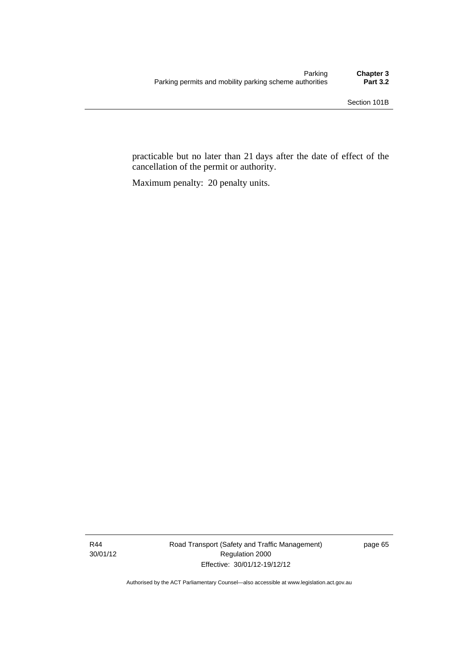practicable but no later than 21 days after the date of effect of the cancellation of the permit or authority.

Maximum penalty: 20 penalty units.

R44 30/01/12 Road Transport (Safety and Traffic Management) Regulation 2000 Effective: 30/01/12-19/12/12

page 65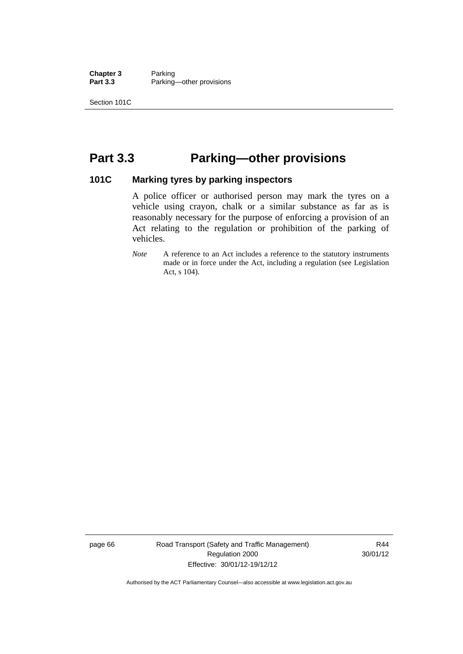**Chapter 3** Parking<br>**Part 3.3** Parking Parking—other provisions

Section 101C

# **Part 3.3 Parking—other provisions**

#### **101C Marking tyres by parking inspectors**

A police officer or authorised person may mark the tyres on a vehicle using crayon, chalk or a similar substance as far as is reasonably necessary for the purpose of enforcing a provision of an Act relating to the regulation or prohibition of the parking of vehicles.

*Note* A reference to an Act includes a reference to the statutory instruments made or in force under the Act, including a regulation (see Legislation Act, s 104).

page 66 Road Transport (Safety and Traffic Management) Regulation 2000 Effective: 30/01/12-19/12/12

R44 30/01/12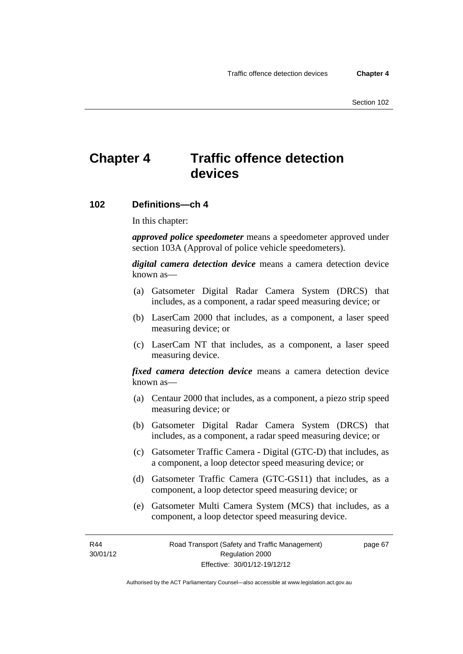# **Chapter 4 Traffic offence detection devices**

#### **102 Definitions—ch 4**

In this chapter:

*approved police speedometer* means a speedometer approved under section 103A (Approval of police vehicle speedometers).

*digital camera detection device* means a camera detection device known as—

- (a) Gatsometer Digital Radar Camera System (DRCS) that includes, as a component, a radar speed measuring device; or
- (b) LaserCam 2000 that includes, as a component, a laser speed measuring device; or
- (c) LaserCam NT that includes, as a component, a laser speed measuring device.

*fixed camera detection device* means a camera detection device known as—

- (a) Centaur 2000 that includes, as a component, a piezo strip speed measuring device; or
- (b) Gatsometer Digital Radar Camera System (DRCS) that includes, as a component, a radar speed measuring device; or
- (c) Gatsometer Traffic Camera Digital (GTC-D) that includes, as a component, a loop detector speed measuring device; or
- (d) Gatsometer Traffic Camera (GTC-GS11) that includes, as a component, a loop detector speed measuring device; or
- (e) Gatsometer Multi Camera System (MCS) that includes, as a component, a loop detector speed measuring device.

R44 30/01/12 page 67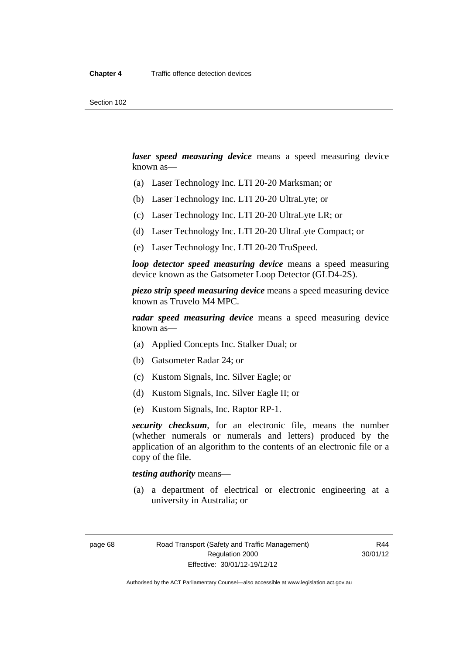*laser speed measuring device* means a speed measuring device known as—

- (a) Laser Technology Inc. LTI 20-20 Marksman; or
- (b) Laser Technology Inc. LTI 20-20 UltraLyte; or
- (c) Laser Technology Inc. LTI 20-20 UltraLyte LR; or
- (d) Laser Technology Inc. LTI 20-20 UltraLyte Compact; or
- (e) Laser Technology Inc. LTI 20-20 TruSpeed.

*loop detector speed measuring device* means a speed measuring device known as the Gatsometer Loop Detector (GLD4-2S).

*piezo strip speed measuring device* means a speed measuring device known as Truvelo M4 MPC.

*radar speed measuring device* means a speed measuring device known as—

- (a) Applied Concepts Inc. Stalker Dual; or
- (b) Gatsometer Radar 24; or
- (c) Kustom Signals, Inc. Silver Eagle; or
- (d) Kustom Signals, Inc. Silver Eagle II; or
- (e) Kustom Signals, Inc. Raptor RP-1.

*security checksum*, for an electronic file, means the number (whether numerals or numerals and letters) produced by the application of an algorithm to the contents of an electronic file or a copy of the file.

#### *testing authority* means—

 (a) a department of electrical or electronic engineering at a university in Australia; or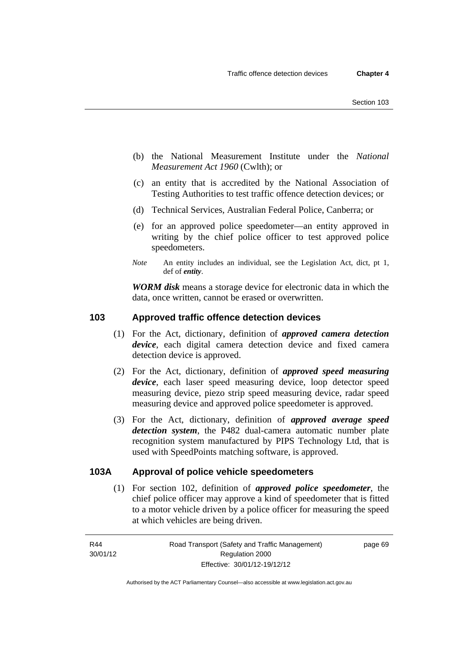- (b) the National Measurement Institute under the *National Measurement Act 1960* (Cwlth); or
- (c) an entity that is accredited by the National Association of Testing Authorities to test traffic offence detection devices; or
- (d) Technical Services, Australian Federal Police, Canberra; or
- (e) for an approved police speedometer—an entity approved in writing by the chief police officer to test approved police speedometers.
- *Note* An entity includes an individual, see the Legislation Act, dict, pt 1, def of *entity*.

*WORM disk* means a storage device for electronic data in which the data, once written, cannot be erased or overwritten.

#### **103 Approved traffic offence detection devices**

- (1) For the Act, dictionary, definition of *approved camera detection device*, each digital camera detection device and fixed camera detection device is approved.
- (2) For the Act, dictionary, definition of *approved speed measuring device*, each laser speed measuring device, loop detector speed measuring device, piezo strip speed measuring device, radar speed measuring device and approved police speedometer is approved.
- (3) For the Act, dictionary, definition of *approved average speed detection system*, the P482 dual-camera automatic number plate recognition system manufactured by PIPS Technology Ltd, that is used with SpeedPoints matching software, is approved.

#### **103A Approval of police vehicle speedometers**

(1) For section 102, definition of *approved police speedometer*, the chief police officer may approve a kind of speedometer that is fitted to a motor vehicle driven by a police officer for measuring the speed at which vehicles are being driven.

page 69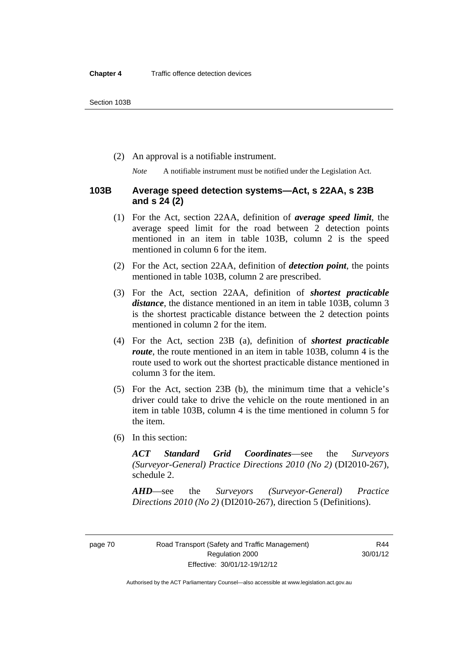(2) An approval is a notifiable instrument.

*Note* A notifiable instrument must be notified under the Legislation Act.

#### **103B Average speed detection systems—Act, s 22AA, s 23B and s 24 (2)**

- (1) For the Act, section 22AA, definition of *average speed limit*, the average speed limit for the road between 2 detection points mentioned in an item in table 103B, column 2 is the speed mentioned in column 6 for the item.
- (2) For the Act, section 22AA, definition of *detection point*, the points mentioned in table 103B, column 2 are prescribed.
- (3) For the Act, section 22AA, definition of *shortest practicable distance*, the distance mentioned in an item in table 103B, column 3 is the shortest practicable distance between the 2 detection points mentioned in column 2 for the item.
- (4) For the Act, section 23B (a), definition of *shortest practicable route*, the route mentioned in an item in table 103B, column 4 is the route used to work out the shortest practicable distance mentioned in column 3 for the item.
- (5) For the Act, section 23B (b), the minimum time that a vehicle's driver could take to drive the vehicle on the route mentioned in an item in table 103B, column 4 is the time mentioned in column 5 for the item.
- (6) In this section:

*ACT Standard Grid Coordinates*—see the *Surveyors (Surveyor-General) Practice Directions 2010 (No 2)* (DI2010-267), schedule 2.

*AHD*—see the *Surveyors (Surveyor-General) Practice Directions 2010 (No 2)* (DI2010-267), direction 5 (Definitions).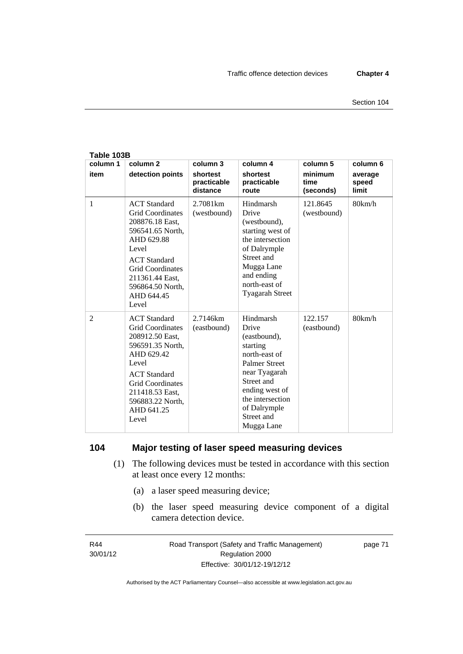| Table 103B       |                                                                                                                                                                                                                              |                                                 |                                                                                                                                                                                                          |                                          |                                       |
|------------------|------------------------------------------------------------------------------------------------------------------------------------------------------------------------------------------------------------------------------|-------------------------------------------------|----------------------------------------------------------------------------------------------------------------------------------------------------------------------------------------------------------|------------------------------------------|---------------------------------------|
| column 1<br>item | column <sub>2</sub><br>detection points                                                                                                                                                                                      | column 3<br>shortest<br>practicable<br>distance | column 4<br>shortest<br>practicable<br>route                                                                                                                                                             | column 5<br>minimum<br>time<br>(seconds) | column 6<br>average<br>speed<br>limit |
| $\mathbf{1}$     | <b>ACT</b> Standard<br><b>Grid Coordinates</b><br>208876.18 East,<br>596541.65 North,<br>AHD 629.88<br>Level<br><b>ACT</b> Standard<br><b>Grid Coordinates</b><br>211361.44 East,<br>596864.50 North,<br>AHD 644.45<br>Level | 2.7081 <sub>km</sub><br>(westbound)             | Hindmarsh<br>Drive<br>(westbound),<br>starting west of<br>the intersection<br>of Dalrymple<br>Street and<br>Mugga Lane<br>and ending<br>north-east of<br><b>Tyagarah Street</b>                          | 121.8645<br>(westbound)                  | 80km/h                                |
| 2                | <b>ACT</b> Standard<br><b>Grid Coordinates</b><br>208912.50 East,<br>596591.35 North,<br>AHD 629.42<br>Level<br><b>ACT</b> Standard<br><b>Grid Coordinates</b><br>211418.53 East,<br>596883.22 North,<br>AHD 641.25<br>Level | 2.7146km<br>(eastbound)                         | Hindmarsh<br>Drive<br>(eastbound),<br>starting<br>north-east of<br><b>Palmer Street</b><br>near Tyagarah<br>Street and<br>ending west of<br>the intersection<br>of Dalrymple<br>Street and<br>Mugga Lane | 122.157<br>(eastbound)                   | 80km/h                                |

## **104 Major testing of laser speed measuring devices**

- (1) The following devices must be tested in accordance with this section at least once every 12 months:
	- (a) a laser speed measuring device;
	- (b) the laser speed measuring device component of a digital camera detection device.

R44 30/01/12 page 71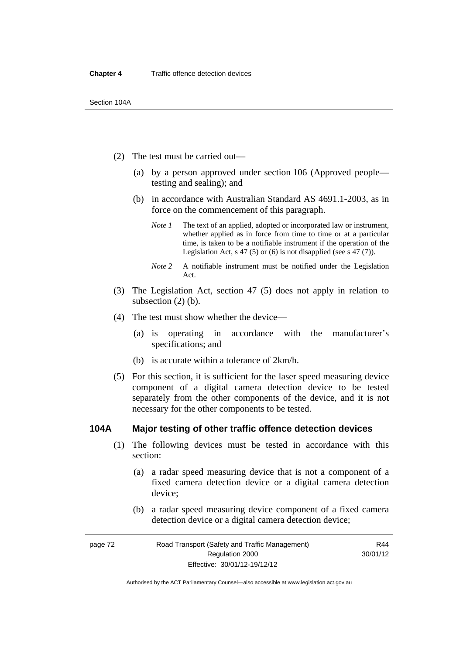- (2) The test must be carried out—
	- (a) by a person approved under section 106 (Approved people testing and sealing); and
	- (b) in accordance with Australian Standard AS 4691.1-2003, as in force on the commencement of this paragraph.
		- *Note 1* The text of an applied, adopted or incorporated law or instrument, whether applied as in force from time to time or at a particular time, is taken to be a notifiable instrument if the operation of the Legislation Act, s 47 (5) or (6) is not disapplied (see s 47 (7)).
		- *Note 2* A notifiable instrument must be notified under the Legislation Act.
- (3) The Legislation Act, section 47 (5) does not apply in relation to subsection (2) (b).
- (4) The test must show whether the device—
	- (a) is operating in accordance with the manufacturer's specifications; and
	- (b) is accurate within a tolerance of 2km/h.
- (5) For this section, it is sufficient for the laser speed measuring device component of a digital camera detection device to be tested separately from the other components of the device, and it is not necessary for the other components to be tested.

#### **104A Major testing of other traffic offence detection devices**

- (1) The following devices must be tested in accordance with this section:
	- (a) a radar speed measuring device that is not a component of a fixed camera detection device or a digital camera detection device;
	- (b) a radar speed measuring device component of a fixed camera detection device or a digital camera detection device;

page 72 Road Transport (Safety and Traffic Management) Regulation 2000 Effective: 30/01/12-19/12/12 R44 30/01/12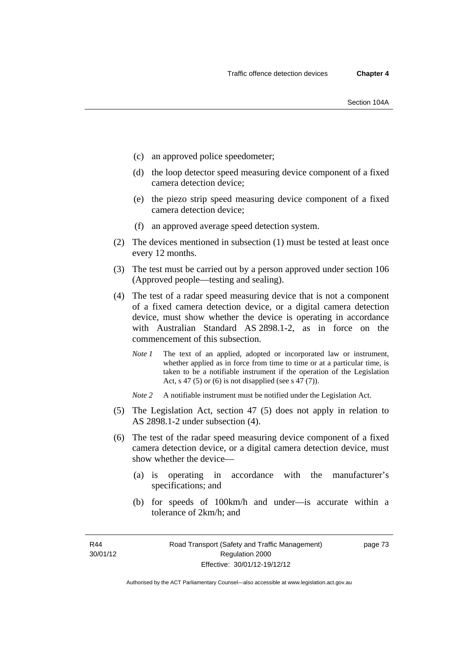- (c) an approved police speedometer;
- (d) the loop detector speed measuring device component of a fixed camera detection device;
- (e) the piezo strip speed measuring device component of a fixed camera detection device;
- (f) an approved average speed detection system.
- (2) The devices mentioned in subsection (1) must be tested at least once every 12 months.
- (3) The test must be carried out by a person approved under section 106 (Approved people—testing and sealing).
- (4) The test of a radar speed measuring device that is not a component of a fixed camera detection device, or a digital camera detection device, must show whether the device is operating in accordance with Australian Standard AS 2898.1-2, as in force on the commencement of this subsection.
	- *Note 1* The text of an applied, adopted or incorporated law or instrument, whether applied as in force from time to time or at a particular time, is taken to be a notifiable instrument if the operation of the Legislation Act, s 47 (5) or (6) is not disapplied (see s 47 (7)).
	- *Note 2* A notifiable instrument must be notified under the Legislation Act.
- (5) The Legislation Act, section 47 (5) does not apply in relation to AS 2898.1-2 under subsection (4).
- (6) The test of the radar speed measuring device component of a fixed camera detection device, or a digital camera detection device, must show whether the device—
	- (a) is operating in accordance with the manufacturer's specifications; and
	- (b) for speeds of 100km/h and under—is accurate within a tolerance of 2km/h; and

Authorised by the ACT Parliamentary Counsel—also accessible at www.legislation.act.gov.au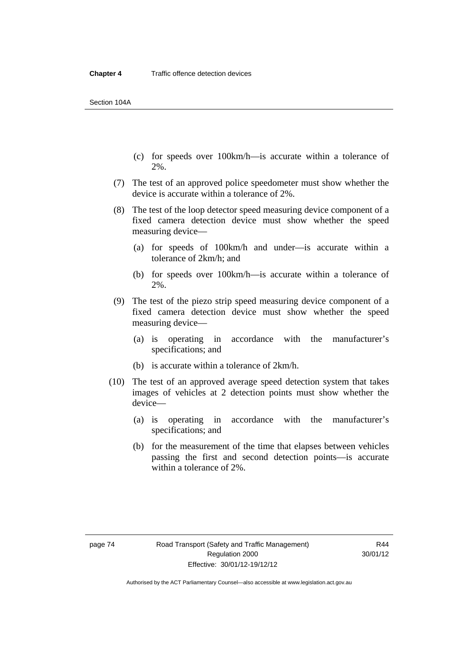- (c) for speeds over 100km/h—is accurate within a tolerance of 2%.
- (7) The test of an approved police speedometer must show whether the device is accurate within a tolerance of 2%.
- (8) The test of the loop detector speed measuring device component of a fixed camera detection device must show whether the speed measuring device—
	- (a) for speeds of 100km/h and under—is accurate within a tolerance of 2km/h; and
	- (b) for speeds over 100km/h—is accurate within a tolerance of 2%.
- (9) The test of the piezo strip speed measuring device component of a fixed camera detection device must show whether the speed measuring device—
	- (a) is operating in accordance with the manufacturer's specifications; and
	- (b) is accurate within a tolerance of 2km/h.
- (10) The test of an approved average speed detection system that takes images of vehicles at 2 detection points must show whether the device—
	- (a) is operating in accordance with the manufacturer's specifications; and
	- (b) for the measurement of the time that elapses between vehicles passing the first and second detection points—is accurate within a tolerance of 2%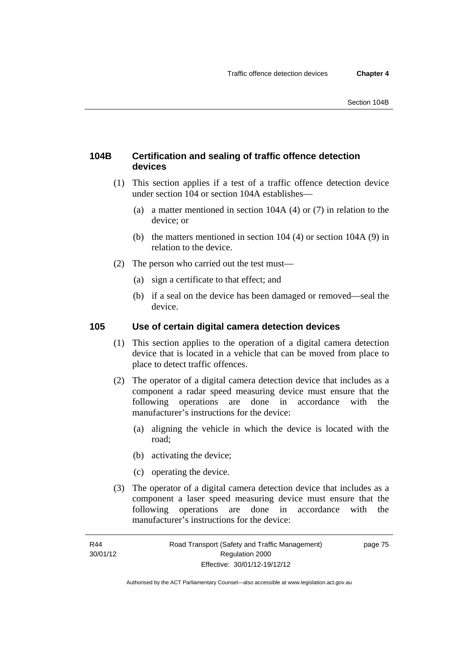## **104B Certification and sealing of traffic offence detection devices**

- (1) This section applies if a test of a traffic offence detection device under section 104 or section 104A establishes—
	- (a) a matter mentioned in section 104A (4) or (7) in relation to the device; or
	- (b) the matters mentioned in section 104 (4) or section 104A (9) in relation to the device.
- (2) The person who carried out the test must—
	- (a) sign a certificate to that effect; and
	- (b) if a seal on the device has been damaged or removed—seal the device.

## **105 Use of certain digital camera detection devices**

- (1) This section applies to the operation of a digital camera detection device that is located in a vehicle that can be moved from place to place to detect traffic offences.
- (2) The operator of a digital camera detection device that includes as a component a radar speed measuring device must ensure that the following operations are done in accordance with the manufacturer's instructions for the device:
	- (a) aligning the vehicle in which the device is located with the road;
	- (b) activating the device;
	- (c) operating the device.
- (3) The operator of a digital camera detection device that includes as a component a laser speed measuring device must ensure that the following operations are done in accordance with the manufacturer's instructions for the device:

page 75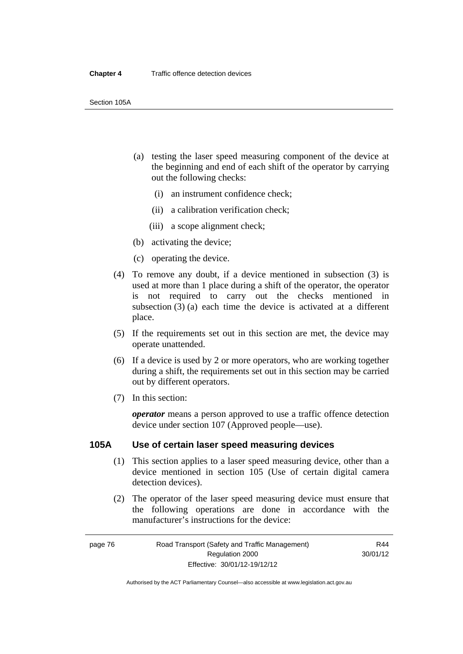Section 105A

- (a) testing the laser speed measuring component of the device at the beginning and end of each shift of the operator by carrying out the following checks:
	- (i) an instrument confidence check;
	- (ii) a calibration verification check;
	- (iii) a scope alignment check;
- (b) activating the device;
- (c) operating the device.
- (4) To remove any doubt, if a device mentioned in subsection (3) is used at more than 1 place during a shift of the operator, the operator is not required to carry out the checks mentioned in subsection (3) (a) each time the device is activated at a different place.
- (5) If the requirements set out in this section are met, the device may operate unattended.
- (6) If a device is used by 2 or more operators, who are working together during a shift, the requirements set out in this section may be carried out by different operators.
- (7) In this section:

*operator* means a person approved to use a traffic offence detection device under section 107 (Approved people—use).

#### **105A Use of certain laser speed measuring devices**

- (1) This section applies to a laser speed measuring device, other than a device mentioned in section 105 (Use of certain digital camera detection devices).
- (2) The operator of the laser speed measuring device must ensure that the following operations are done in accordance with the manufacturer's instructions for the device:

page 76 Road Transport (Safety and Traffic Management) Regulation 2000 Effective: 30/01/12-19/12/12

R44 30/01/12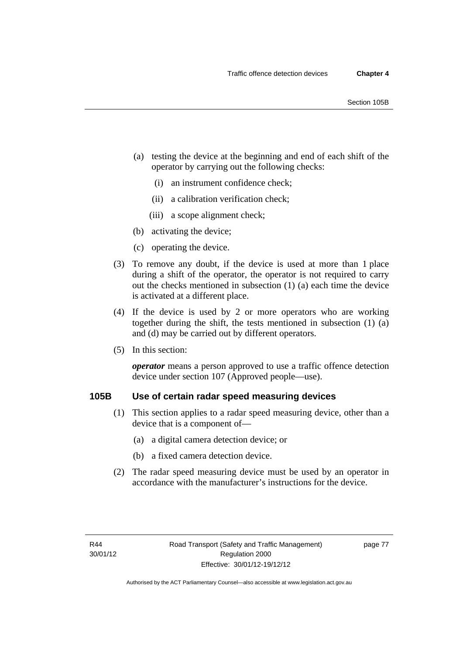- (a) testing the device at the beginning and end of each shift of the operator by carrying out the following checks:
	- (i) an instrument confidence check;
	- (ii) a calibration verification check;
	- (iii) a scope alignment check;
- (b) activating the device;
- (c) operating the device.
- (3) To remove any doubt, if the device is used at more than 1 place during a shift of the operator, the operator is not required to carry out the checks mentioned in subsection (1) (a) each time the device is activated at a different place.
- (4) If the device is used by 2 or more operators who are working together during the shift, the tests mentioned in subsection (1) (a) and (d) may be carried out by different operators.
- (5) In this section:

*operator* means a person approved to use a traffic offence detection device under section 107 (Approved people—use).

## **105B Use of certain radar speed measuring devices**

- (1) This section applies to a radar speed measuring device, other than a device that is a component of—
	- (a) a digital camera detection device; or
	- (b) a fixed camera detection device.
- (2) The radar speed measuring device must be used by an operator in accordance with the manufacturer's instructions for the device.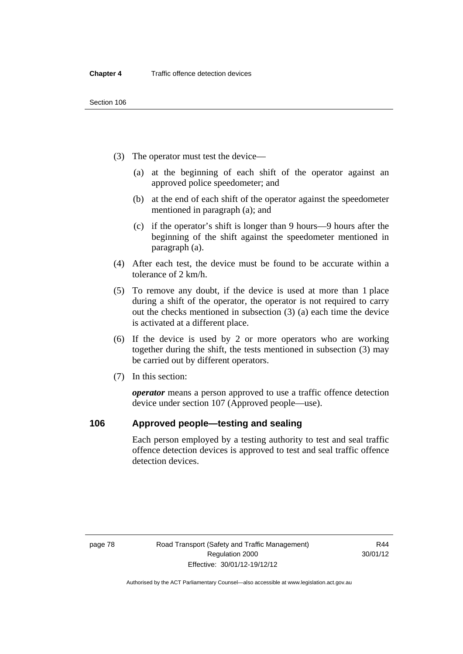- (3) The operator must test the device—
	- (a) at the beginning of each shift of the operator against an approved police speedometer; and
	- (b) at the end of each shift of the operator against the speedometer mentioned in paragraph (a); and
	- (c) if the operator's shift is longer than 9 hours—9 hours after the beginning of the shift against the speedometer mentioned in paragraph (a).
- (4) After each test, the device must be found to be accurate within a tolerance of 2 km/h.
- (5) To remove any doubt, if the device is used at more than 1 place during a shift of the operator, the operator is not required to carry out the checks mentioned in subsection (3) (a) each time the device is activated at a different place.
- (6) If the device is used by 2 or more operators who are working together during the shift, the tests mentioned in subsection (3) may be carried out by different operators.
- (7) In this section:

*operator* means a person approved to use a traffic offence detection device under section 107 (Approved people—use).

#### **106 Approved people—testing and sealing**

Each person employed by a testing authority to test and seal traffic offence detection devices is approved to test and seal traffic offence detection devices.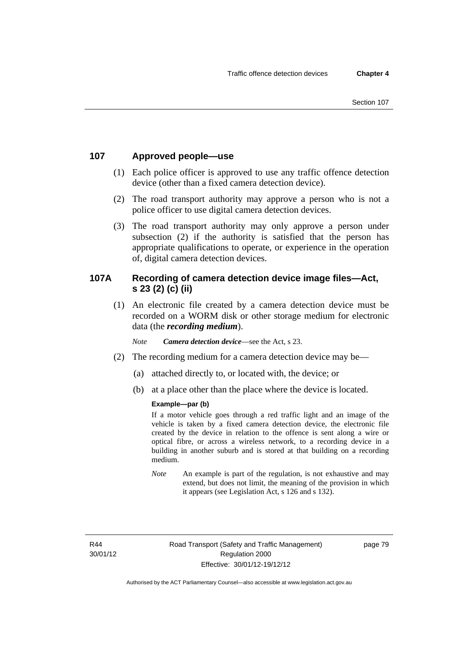## **107 Approved people—use**

- (1) Each police officer is approved to use any traffic offence detection device (other than a fixed camera detection device).
- (2) The road transport authority may approve a person who is not a police officer to use digital camera detection devices.
- (3) The road transport authority may only approve a person under subsection (2) if the authority is satisfied that the person has appropriate qualifications to operate, or experience in the operation of, digital camera detection devices.

## **107A Recording of camera detection device image files—Act, s 23 (2) (c) (ii)**

(1) An electronic file created by a camera detection device must be recorded on a WORM disk or other storage medium for electronic data (the *recording medium*).

*Note Camera detection device*—see the Act, s 23.

- (2) The recording medium for a camera detection device may be—
	- (a) attached directly to, or located with, the device; or
	- (b) at a place other than the place where the device is located.

#### **Example—par (b)**

If a motor vehicle goes through a red traffic light and an image of the vehicle is taken by a fixed camera detection device, the electronic file created by the device in relation to the offence is sent along a wire or optical fibre, or across a wireless network, to a recording device in a building in another suburb and is stored at that building on a recording medium.

*Note* An example is part of the regulation, is not exhaustive and may extend, but does not limit, the meaning of the provision in which it appears (see Legislation Act, s 126 and s 132).

R44 30/01/12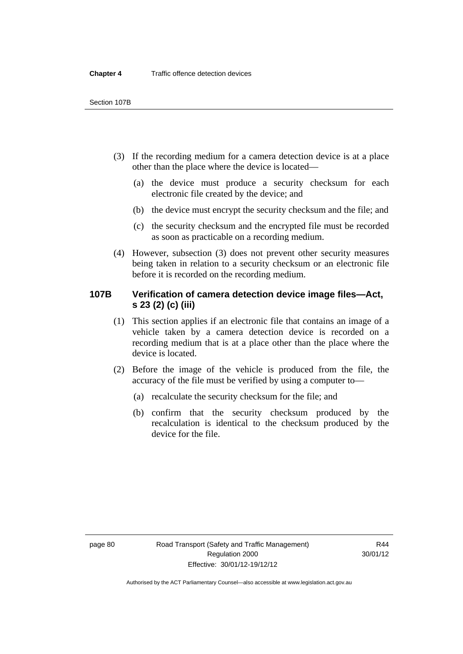- (3) If the recording medium for a camera detection device is at a place other than the place where the device is located—
	- (a) the device must produce a security checksum for each electronic file created by the device; and
	- (b) the device must encrypt the security checksum and the file; and
	- (c) the security checksum and the encrypted file must be recorded as soon as practicable on a recording medium.
- (4) However, subsection (3) does not prevent other security measures being taken in relation to a security checksum or an electronic file before it is recorded on the recording medium.

## **107B Verification of camera detection device image files—Act, s 23 (2) (c) (iii)**

- (1) This section applies if an electronic file that contains an image of a vehicle taken by a camera detection device is recorded on a recording medium that is at a place other than the place where the device is located.
- (2) Before the image of the vehicle is produced from the file, the accuracy of the file must be verified by using a computer to—
	- (a) recalculate the security checksum for the file; and
	- (b) confirm that the security checksum produced by the recalculation is identical to the checksum produced by the device for the file.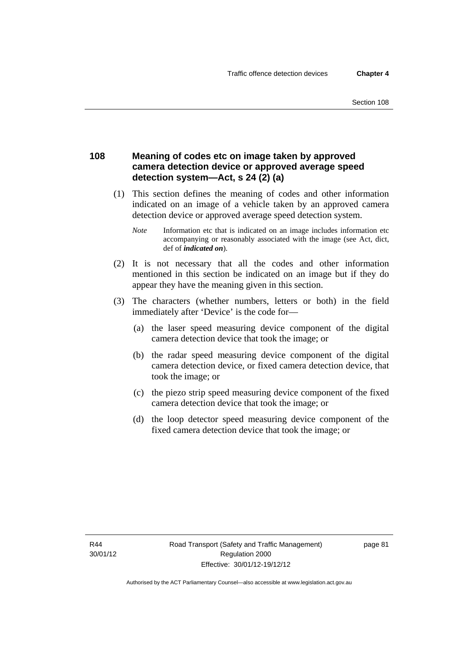### **108 Meaning of codes etc on image taken by approved camera detection device or approved average speed detection system—Act, s 24 (2) (a)**

- (1) This section defines the meaning of codes and other information indicated on an image of a vehicle taken by an approved camera detection device or approved average speed detection system.
	- *Note* Information etc that is indicated on an image includes information etc accompanying or reasonably associated with the image (see Act, dict, def of *indicated on*).
- (2) It is not necessary that all the codes and other information mentioned in this section be indicated on an image but if they do appear they have the meaning given in this section.
- (3) The characters (whether numbers, letters or both) in the field immediately after 'Device' is the code for—
	- (a) the laser speed measuring device component of the digital camera detection device that took the image; or
	- (b) the radar speed measuring device component of the digital camera detection device, or fixed camera detection device, that took the image; or
	- (c) the piezo strip speed measuring device component of the fixed camera detection device that took the image; or
	- (d) the loop detector speed measuring device component of the fixed camera detection device that took the image; or

R44 30/01/12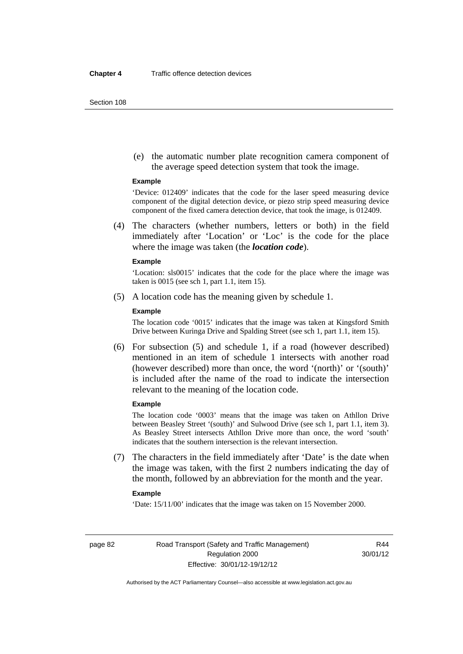Section 108

 (e) the automatic number plate recognition camera component of the average speed detection system that took the image.

#### **Example**

'Device: 012409' indicates that the code for the laser speed measuring device component of the digital detection device, or piezo strip speed measuring device component of the fixed camera detection device, that took the image, is 012409.

 (4) The characters (whether numbers, letters or both) in the field immediately after 'Location' or 'Loc' is the code for the place where the image was taken (the *location code*).

#### **Example**

'Location: sls0015' indicates that the code for the place where the image was taken is 0015 (see sch 1, part 1.1, item 15).

(5) A location code has the meaning given by schedule 1.

#### **Example**

The location code '0015' indicates that the image was taken at Kingsford Smith Drive between Kuringa Drive and Spalding Street (see sch 1, part 1.1, item 15).

 (6) For subsection (5) and schedule 1, if a road (however described) mentioned in an item of schedule 1 intersects with another road (however described) more than once, the word '(north)' or '(south)' is included after the name of the road to indicate the intersection relevant to the meaning of the location code.

#### **Example**

The location code '0003' means that the image was taken on Athllon Drive between Beasley Street '(south)' and Sulwood Drive (see sch 1, part 1.1, item 3). As Beasley Street intersects Athllon Drive more than once, the word 'south' indicates that the southern intersection is the relevant intersection.

 (7) The characters in the field immediately after 'Date' is the date when the image was taken, with the first 2 numbers indicating the day of the month, followed by an abbreviation for the month and the year.

#### **Example**

'Date: 15/11/00' indicates that the image was taken on 15 November 2000.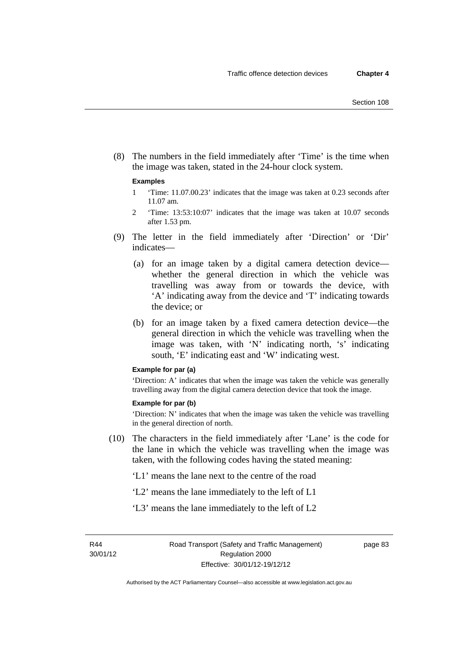(8) The numbers in the field immediately after 'Time' is the time when the image was taken, stated in the 24-hour clock system.

#### **Examples**

- 1 'Time: 11.07.00.23' indicates that the image was taken at 0.23 seconds after 11.07 am.
- 2 'Time: 13:53:10:07' indicates that the image was taken at 10.07 seconds after 1.53 pm.
- (9) The letter in the field immediately after 'Direction' or 'Dir' indicates—
	- (a) for an image taken by a digital camera detection device whether the general direction in which the vehicle was travelling was away from or towards the device, with 'A' indicating away from the device and 'T' indicating towards the device; or
	- (b) for an image taken by a fixed camera detection device—the general direction in which the vehicle was travelling when the image was taken, with 'N' indicating north, 's' indicating south, 'E' indicating east and 'W' indicating west.

#### **Example for par (a)**

'Direction: A' indicates that when the image was taken the vehicle was generally travelling away from the digital camera detection device that took the image.

#### **Example for par (b)**

'Direction: N' indicates that when the image was taken the vehicle was travelling in the general direction of north.

 (10) The characters in the field immediately after 'Lane' is the code for the lane in which the vehicle was travelling when the image was taken, with the following codes having the stated meaning:

'L1' means the lane next to the centre of the road

- 'L2' means the lane immediately to the left of L1
- 'L3' means the lane immediately to the left of L2

R44 30/01/12 page 83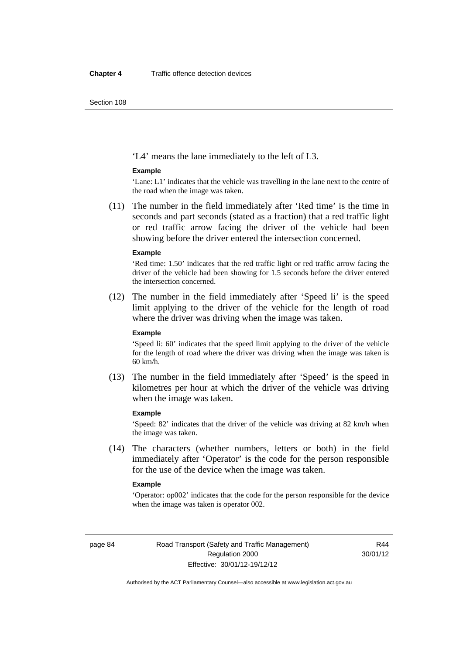Section 108

'L4' means the lane immediately to the left of L3.

#### **Example**

'Lane: L1' indicates that the vehicle was travelling in the lane next to the centre of the road when the image was taken.

 (11) The number in the field immediately after 'Red time' is the time in seconds and part seconds (stated as a fraction) that a red traffic light or red traffic arrow facing the driver of the vehicle had been showing before the driver entered the intersection concerned.

#### **Example**

'Red time: 1.50' indicates that the red traffic light or red traffic arrow facing the driver of the vehicle had been showing for 1.5 seconds before the driver entered the intersection concerned.

 (12) The number in the field immediately after 'Speed li' is the speed limit applying to the driver of the vehicle for the length of road where the driver was driving when the image was taken.

#### **Example**

'Speed li: 60' indicates that the speed limit applying to the driver of the vehicle for the length of road where the driver was driving when the image was taken is 60 km/h.

 (13) The number in the field immediately after 'Speed' is the speed in kilometres per hour at which the driver of the vehicle was driving when the image was taken.

#### **Example**

'Speed: 82' indicates that the driver of the vehicle was driving at 82 km/h when the image was taken.

 (14) The characters (whether numbers, letters or both) in the field immediately after 'Operator' is the code for the person responsible for the use of the device when the image was taken.

#### **Example**

'Operator: op002' indicates that the code for the person responsible for the device when the image was taken is operator 002.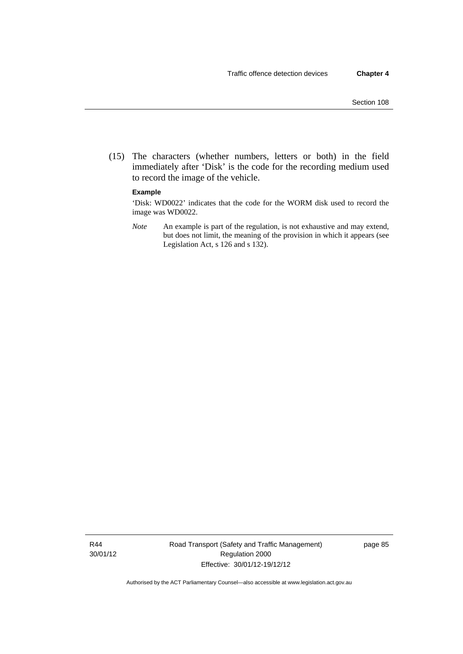(15) The characters (whether numbers, letters or both) in the field immediately after 'Disk' is the code for the recording medium used to record the image of the vehicle.

#### **Example**

'Disk: WD0022' indicates that the code for the WORM disk used to record the image was WD0022.

*Note* An example is part of the regulation, is not exhaustive and may extend, but does not limit, the meaning of the provision in which it appears (see Legislation Act, s 126 and s 132).

R44 30/01/12 Road Transport (Safety and Traffic Management) Regulation 2000 Effective: 30/01/12-19/12/12

page 85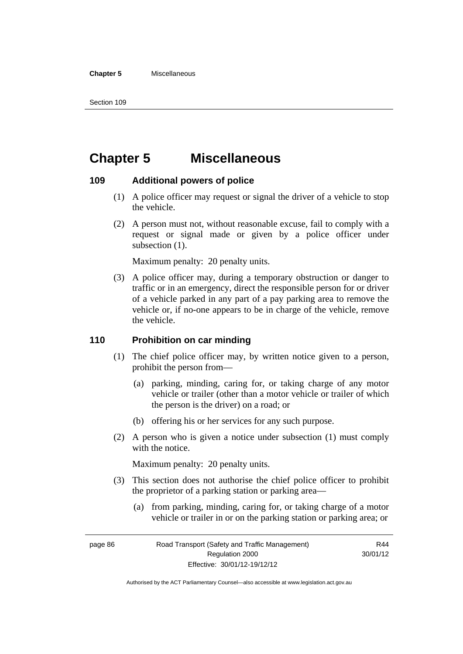#### **Chapter 5** Miscellaneous

Section 109

# **Chapter 5 Miscellaneous**

## **109 Additional powers of police**

- (1) A police officer may request or signal the driver of a vehicle to stop the vehicle.
- (2) A person must not, without reasonable excuse, fail to comply with a request or signal made or given by a police officer under subsection  $(1)$ .

Maximum penalty: 20 penalty units.

 (3) A police officer may, during a temporary obstruction or danger to traffic or in an emergency, direct the responsible person for or driver of a vehicle parked in any part of a pay parking area to remove the vehicle or, if no-one appears to be in charge of the vehicle, remove the vehicle.

#### **110 Prohibition on car minding**

- (1) The chief police officer may, by written notice given to a person, prohibit the person from—
	- (a) parking, minding, caring for, or taking charge of any motor vehicle or trailer (other than a motor vehicle or trailer of which the person is the driver) on a road; or
	- (b) offering his or her services for any such purpose.
- (2) A person who is given a notice under subsection (1) must comply with the notice.

Maximum penalty: 20 penalty units.

- (3) This section does not authorise the chief police officer to prohibit the proprietor of a parking station or parking area—
	- (a) from parking, minding, caring for, or taking charge of a motor vehicle or trailer in or on the parking station or parking area; or

R44 30/01/12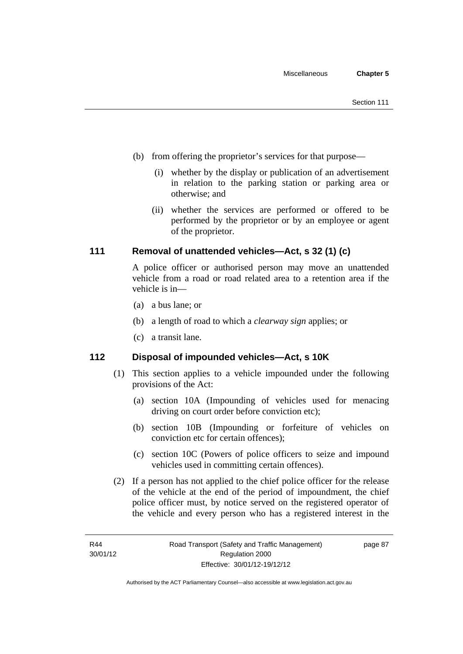- (b) from offering the proprietor's services for that purpose—
	- (i) whether by the display or publication of an advertisement in relation to the parking station or parking area or otherwise; and
	- (ii) whether the services are performed or offered to be performed by the proprietor or by an employee or agent of the proprietor.

## **111 Removal of unattended vehicles—Act, s 32 (1) (c)**

A police officer or authorised person may move an unattended vehicle from a road or road related area to a retention area if the vehicle is in—

- (a) a bus lane; or
- (b) a length of road to which a *clearway sign* applies; or
- (c) a transit lane.

#### **112 Disposal of impounded vehicles—Act, s 10K**

- (1) This section applies to a vehicle impounded under the following provisions of the Act:
	- (a) section 10A (Impounding of vehicles used for menacing driving on court order before conviction etc);
	- (b) section 10B (Impounding or forfeiture of vehicles on conviction etc for certain offences);
	- (c) section 10C (Powers of police officers to seize and impound vehicles used in committing certain offences).
- (2) If a person has not applied to the chief police officer for the release of the vehicle at the end of the period of impoundment, the chief police officer must, by notice served on the registered operator of the vehicle and every person who has a registered interest in the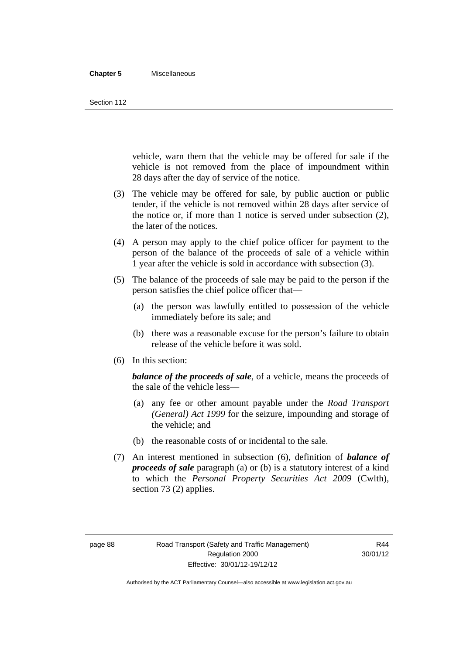#### **Chapter 5** Miscellaneous

Section 112

vehicle, warn them that the vehicle may be offered for sale if the vehicle is not removed from the place of impoundment within 28 days after the day of service of the notice.

- (3) The vehicle may be offered for sale, by public auction or public tender, if the vehicle is not removed within 28 days after service of the notice or, if more than 1 notice is served under subsection (2), the later of the notices.
- (4) A person may apply to the chief police officer for payment to the person of the balance of the proceeds of sale of a vehicle within 1 year after the vehicle is sold in accordance with subsection (3).
- (5) The balance of the proceeds of sale may be paid to the person if the person satisfies the chief police officer that—
	- (a) the person was lawfully entitled to possession of the vehicle immediately before its sale; and
	- (b) there was a reasonable excuse for the person's failure to obtain release of the vehicle before it was sold.
- (6) In this section:

*balance of the proceeds of sale*, of a vehicle, means the proceeds of the sale of the vehicle less—

- (a) any fee or other amount payable under the *Road Transport (General) Act 1999* for the seizure, impounding and storage of the vehicle; and
- (b) the reasonable costs of or incidental to the sale.
- (7) An interest mentioned in subsection (6), definition of *balance of proceeds of sale* paragraph (a) or (b) is a statutory interest of a kind to which the *Personal Property Securities Act 2009* (Cwlth), section 73 (2) applies.

R44 30/01/12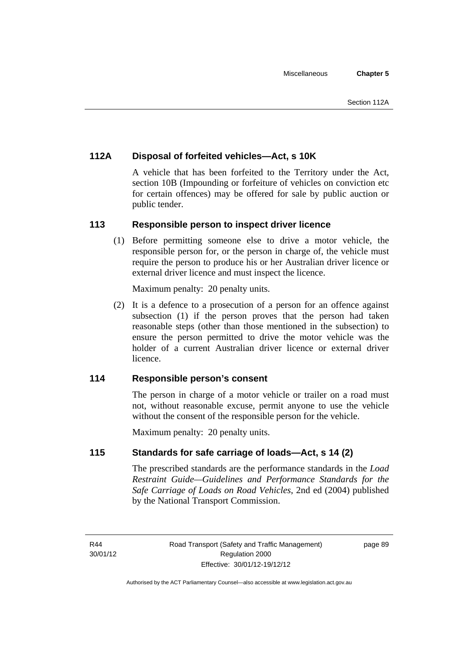## **112A Disposal of forfeited vehicles—Act, s 10K**

A vehicle that has been forfeited to the Territory under the Act, section 10B (Impounding or forfeiture of vehicles on conviction etc for certain offences) may be offered for sale by public auction or public tender.

## **113 Responsible person to inspect driver licence**

(1) Before permitting someone else to drive a motor vehicle, the responsible person for, or the person in charge of, the vehicle must require the person to produce his or her Australian driver licence or external driver licence and must inspect the licence.

Maximum penalty: 20 penalty units.

 (2) It is a defence to a prosecution of a person for an offence against subsection (1) if the person proves that the person had taken reasonable steps (other than those mentioned in the subsection) to ensure the person permitted to drive the motor vehicle was the holder of a current Australian driver licence or external driver licence.

## **114 Responsible person's consent**

The person in charge of a motor vehicle or trailer on a road must not, without reasonable excuse, permit anyone to use the vehicle without the consent of the responsible person for the vehicle.

Maximum penalty: 20 penalty units.

## **115 Standards for safe carriage of loads—Act, s 14 (2)**

The prescribed standards are the performance standards in the *Load Restraint Guide—Guidelines and Performance Standards for the Safe Carriage of Loads on Road Vehicles*, 2nd ed (2004) published by the National Transport Commission.

R<sub>44</sub> 30/01/12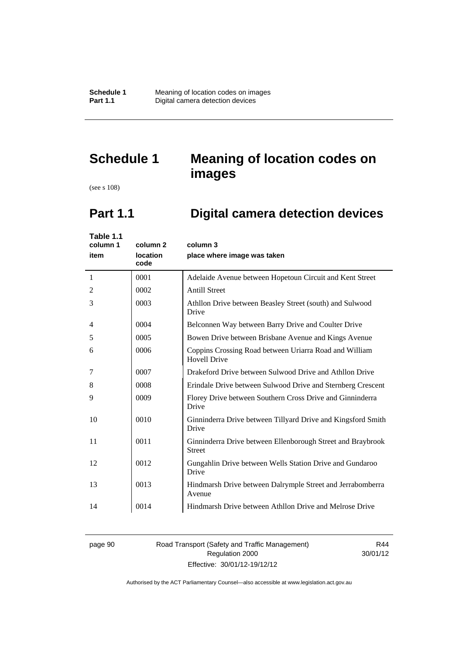# **Schedule 1 Meaning of location codes on images**

(see s 108)

# **Part 1.1 Digital camera detection devices**

| Table 1.1<br>column 1<br>item | column <sub>2</sub><br>location<br>code | column 3<br>place where image was taken                                       |
|-------------------------------|-----------------------------------------|-------------------------------------------------------------------------------|
| 1                             | 0001                                    | Adelaide Avenue between Hopetoun Circuit and Kent Street                      |
| 2                             | 0002                                    | <b>Antill Street</b>                                                          |
| 3                             | 0003                                    | Athllon Drive between Beasley Street (south) and Sulwood<br>Drive             |
| 4                             | 0004                                    | Belconnen Way between Barry Drive and Coulter Drive                           |
| 5                             | 0005                                    | Bowen Drive between Brisbane Avenue and Kings Avenue                          |
| 6                             | 0006                                    | Coppins Crossing Road between Uriarra Road and William<br><b>Hovell Drive</b> |
| 7                             | 0007                                    | Drakeford Drive between Sulwood Drive and Athllon Drive                       |
| 8                             | 0008                                    | Erindale Drive between Sulwood Drive and Sternberg Crescent                   |
| 9                             | 0009                                    | Florey Drive between Southern Cross Drive and Ginninderra<br>Drive            |
| 10                            | 0010                                    | Ginninderra Drive between Tillyard Drive and Kingsford Smith<br>Drive         |
| 11                            | 0011                                    | Ginninderra Drive between Ellenborough Street and Braybrook<br><b>Street</b>  |
| 12                            | 0012                                    | Gungahlin Drive between Wells Station Drive and Gundaroo<br>Drive             |
| 13                            | 0013                                    | Hindmarsh Drive between Dalrymple Street and Jerrabomberra<br>Avenue          |
| 14                            | 0014                                    | Hindmarsh Drive between Athllon Drive and Melrose Drive                       |

page 90 Road Transport (Safety and Traffic Management) Regulation 2000 Effective: 30/01/12-19/12/12

R44 30/01/12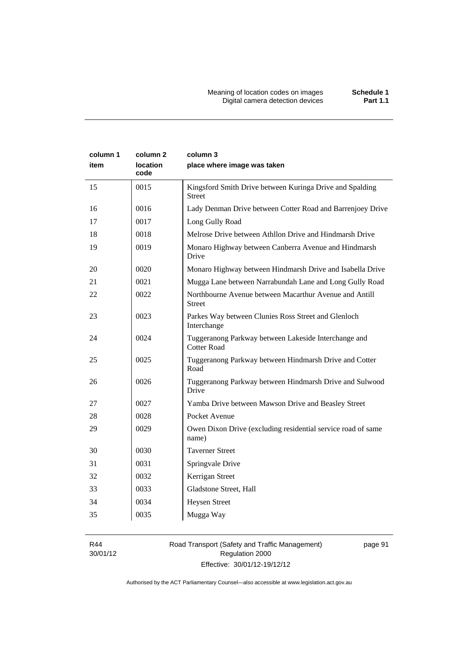| column 1<br>item | column 2<br><b>location</b><br>code | column 3<br>place where image was taken                                    |
|------------------|-------------------------------------|----------------------------------------------------------------------------|
| 15               | 0015                                | Kingsford Smith Drive between Kuringa Drive and Spalding<br><b>Street</b>  |
| 16               | 0016                                | Lady Denman Drive between Cotter Road and Barrenjoey Drive                 |
| 17               | 0017                                | Long Gully Road                                                            |
| 18               | 0018                                | Melrose Drive between Athllon Drive and Hindmarsh Drive                    |
| 19               | 0019                                | Monaro Highway between Canberra Avenue and Hindmarsh<br>Drive              |
| 20               | 0020                                | Monaro Highway between Hindmarsh Drive and Isabella Drive                  |
| 21               | 0021                                | Mugga Lane between Narrabundah Lane and Long Gully Road                    |
| 22               | 0022                                | Northbourne Avenue between Macarthur Avenue and Antill<br><b>Street</b>    |
| 23               | 0023                                | Parkes Way between Clunies Ross Street and Glenloch<br>Interchange         |
| 24               | 0024                                | Tuggeranong Parkway between Lakeside Interchange and<br><b>Cotter Road</b> |
| 25               | 0025                                | Tuggeranong Parkway between Hindmarsh Drive and Cotter<br>Road             |
| 26               | 0026                                | Tuggeranong Parkway between Hindmarsh Drive and Sulwood<br>Drive           |
| 27               | 0027                                | Yamba Drive between Mawson Drive and Beasley Street                        |
| 28               | 0028                                | Pocket Avenue                                                              |
| 29               | 0029                                | Owen Dixon Drive (excluding residential service road of same<br>name)      |
| 30               | 0030                                | <b>Taverner Street</b>                                                     |
| 31               | 0031                                | Springvale Drive                                                           |
| 32               | 0032                                | Kerrigan Street                                                            |
| 33               | 0033                                | Gladstone Street, Hall                                                     |
| 34               | 0034                                | <b>Heysen Street</b>                                                       |
| 35               | 0035                                | Mugga Way                                                                  |

R44 30/01/12

# Road Transport (Safety and Traffic Management) Regulation 2000 Effective: 30/01/12-19/12/12

page 91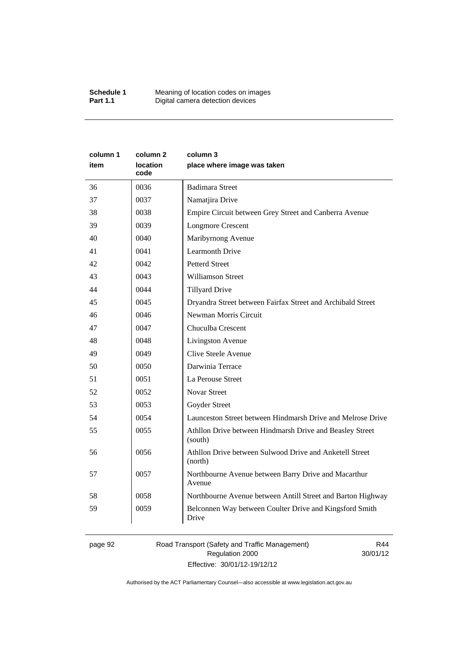| column 1<br>item | column 2<br>location<br>code | column 3<br>place where image was taken                             |
|------------------|------------------------------|---------------------------------------------------------------------|
| 36               | 0036                         | <b>Badimara Street</b>                                              |
| 37               | 0037                         | Namatjira Drive                                                     |
| 38               | 0038                         | Empire Circuit between Grey Street and Canberra Avenue              |
| 39               | 0039                         | <b>Longmore Crescent</b>                                            |
| 40               | 0040                         | Maribyrnong Avenue                                                  |
| 41               | 0041                         | <b>Learmonth Drive</b>                                              |
| 42               | 0042                         | <b>Petterd Street</b>                                               |
| 43               | 0043                         | <b>Williamson Street</b>                                            |
| 44               | 0044                         | <b>Tillyard Drive</b>                                               |
| 45               | 0045                         | Dryandra Street between Fairfax Street and Archibald Street         |
| 46               | 0046                         | Newman Morris Circuit                                               |
| 47               | 0047                         | Chuculba Crescent                                                   |
| 48               | 0048                         | Livingston Avenue                                                   |
| 49               | 0049                         | Clive Steele Avenue                                                 |
| 50               | 0050                         | Darwinia Terrace                                                    |
| 51               | 0051                         | La Perouse Street                                                   |
| 52               | 0052                         | <b>Novar Street</b>                                                 |
| 53               | 0053                         | Goyder Street                                                       |
| 54               | 0054                         | Launceston Street between Hindmarsh Drive and Melrose Drive         |
| 55               | 0055                         | Athllon Drive between Hindmarsh Drive and Beasley Street<br>(south) |
| 56               | 0056                         | Athllon Drive between Sulwood Drive and Anketell Street<br>(north)  |
| 57               | 0057                         | Northbourne Avenue between Barry Drive and Macarthur<br>Avenue      |
| 58               | 0058                         | Northbourne Avenue between Antill Street and Barton Highway         |
| 59               | 0059                         | Belconnen Way between Coulter Drive and Kingsford Smith<br>Drive    |

page 92 Road Transport (Safety and Traffic Management) Regulation 2000 Effective: 30/01/12-19/12/12

R44 30/01/12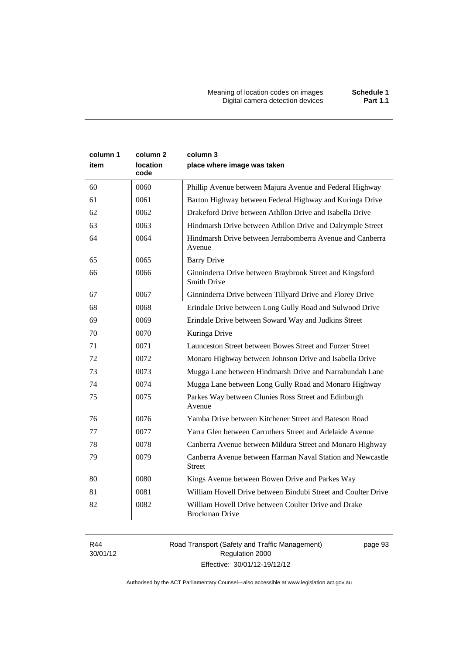Meaning of location codes on images **Schedule 1** Digital camera detection devices **Part 1.1** 

| column 1<br>item | column 2<br>location<br>code | column 3<br>place where image was taken                                       |
|------------------|------------------------------|-------------------------------------------------------------------------------|
| 60               | 0060                         | Phillip Avenue between Majura Avenue and Federal Highway                      |
| 61               | 0061                         | Barton Highway between Federal Highway and Kuringa Drive                      |
| 62               | 0062                         | Drakeford Drive between Athllon Drive and Isabella Drive                      |
| 63               | 0063                         | Hindmarsh Drive between Athllon Drive and Dalrymple Street                    |
| 64               | 0064                         | Hindmarsh Drive between Jerrabomberra Avenue and Canberra<br>Avenue           |
| 65               | 0065                         | <b>Barry Drive</b>                                                            |
| 66               | 0066                         | Ginninderra Drive between Braybrook Street and Kingsford<br>Smith Drive       |
| 67               | 0067                         | Ginninderra Drive between Tillyard Drive and Florey Drive                     |
| 68               | 0068                         | Erindale Drive between Long Gully Road and Sulwood Drive                      |
| 69               | 0069                         | Erindale Drive between Soward Way and Judkins Street                          |
| 70               | 0070                         | Kuringa Drive                                                                 |
| 71               | 0071                         | Launceston Street between Bowes Street and Furzer Street                      |
| 72               | 0072                         | Monaro Highway between Johnson Drive and Isabella Drive                       |
| 73               | 0073                         | Mugga Lane between Hindmarsh Drive and Narrabundah Lane                       |
| 74               | 0074                         | Mugga Lane between Long Gully Road and Monaro Highway                         |
| 75               | 0075                         | Parkes Way between Clunies Ross Street and Edinburgh<br>Avenue                |
| 76               | 0076                         | Yamba Drive between Kitchener Street and Bateson Road                         |
| 77               | 0077                         | Yarra Glen between Carruthers Street and Adelaide Avenue                      |
| 78               | 0078                         | Canberra Avenue between Mildura Street and Monaro Highway                     |
| 79               | 0079                         | Canberra Avenue between Harman Naval Station and Newcastle<br><b>Street</b>   |
| 80               | 0080                         | Kings Avenue between Bowen Drive and Parkes Way                               |
| 81               | 0081                         | William Hovell Drive between Bindubi Street and Coulter Drive                 |
| 82               | 0082                         | William Hovell Drive between Coulter Drive and Drake<br><b>Brockman Drive</b> |

R44 30/01/12 Road Transport (Safety and Traffic Management) Regulation 2000 Effective: 30/01/12-19/12/12

page 93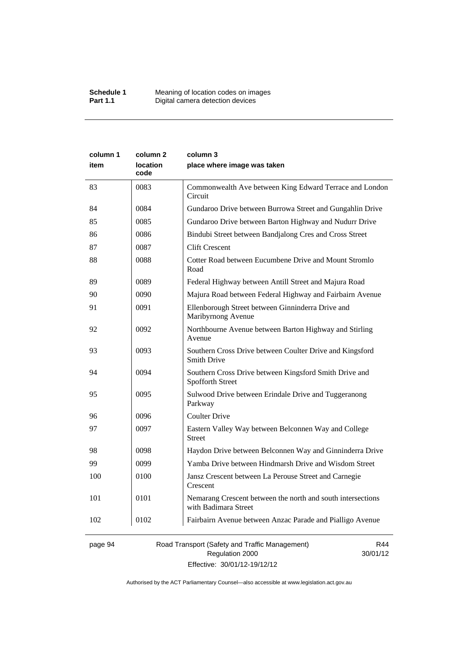| column 1<br>item | column <sub>2</sub><br>location<br>code | column 3<br>place where image was taken                                             |
|------------------|-----------------------------------------|-------------------------------------------------------------------------------------|
| 83               | 0083                                    | Commonwealth Ave between King Edward Terrace and London<br>Circuit                  |
| 84               | 0084                                    | Gundaroo Drive between Burrowa Street and Gungahlin Drive                           |
| 85               | 0085                                    | Gundaroo Drive between Barton Highway and Nudurr Drive                              |
| 86               | 0086                                    | Bindubi Street between Bandjalong Cres and Cross Street                             |
| 87               | 0087                                    | <b>Clift Crescent</b>                                                               |
| 88               | 0088                                    | Cotter Road between Eucumbene Drive and Mount Stromlo<br>Road                       |
| 89               | 0089                                    | Federal Highway between Antill Street and Majura Road                               |
| 90               | 0090                                    | Majura Road between Federal Highway and Fairbairn Avenue                            |
| 91               | 0091                                    | Ellenborough Street between Ginninderra Drive and<br>Maribyrnong Avenue             |
| 92               | 0092                                    | Northbourne Avenue between Barton Highway and Stirling<br>Avenue                    |
| 93               | 0093                                    | Southern Cross Drive between Coulter Drive and Kingsford<br>Smith Drive             |
| 94               | 0094                                    | Southern Cross Drive between Kingsford Smith Drive and<br>Spofforth Street          |
| 95               | 0095                                    | Sulwood Drive between Erindale Drive and Tuggeranong<br>Parkway                     |
| 96               | 0096                                    | <b>Coulter Drive</b>                                                                |
| 97               | 0097                                    | Eastern Valley Way between Belconnen Way and College<br><b>Street</b>               |
| 98               | 0098                                    | Haydon Drive between Belconnen Way and Ginninderra Drive                            |
| 99               | 0099                                    | Yamba Drive between Hindmarsh Drive and Wisdom Street                               |
| 100              | 0100                                    | Jansz Crescent between La Perouse Street and Carnegie<br>Crescent                   |
| 101              | 0101                                    | Nemarang Crescent between the north and south intersections<br>with Badimara Street |
| 102              | 0102                                    | Fairbairn Avenue between Anzac Parade and Pialligo Avenue                           |

page 94 Road Transport (Safety and Traffic Management) Regulation 2000 Effective: 30/01/12-19/12/12

R44 30/01/12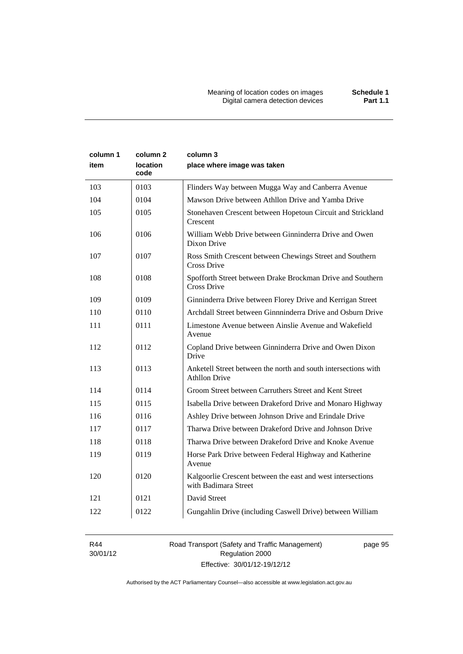| column 1<br>item | column 2<br>location<br>code | column 3<br>place where image was taken                                                |
|------------------|------------------------------|----------------------------------------------------------------------------------------|
| 103              | 0103                         | Flinders Way between Mugga Way and Canberra Avenue                                     |
| 104              | 0104                         | Mawson Drive between Athllon Drive and Yamba Drive                                     |
| 105              | 0105                         | Stonehaven Crescent between Hopetoun Circuit and Strickland<br>Crescent                |
| 106              | 0106                         | William Webb Drive between Ginninderra Drive and Owen<br>Dixon Drive                   |
| 107              | 0107                         | Ross Smith Crescent between Chewings Street and Southern<br>Cross Drive                |
| 108              | 0108                         | Spofforth Street between Drake Brockman Drive and Southern<br>Cross Drive              |
| 109              | 0109                         | Ginninderra Drive between Florey Drive and Kerrigan Street                             |
| 110              | 0110                         | Archdall Street between Ginnninderra Drive and Osburn Drive                            |
| 111              | 0111                         | Limestone Avenue between Ainslie Avenue and Wakefield<br>Avenue                        |
| 112              | 0112                         | Copland Drive between Ginninderra Drive and Owen Dixon<br>Drive                        |
| 113              | 0113                         | Anketell Street between the north and south intersections with<br><b>Athllon Drive</b> |
| 114              | 0114                         | Groom Street between Carruthers Street and Kent Street                                 |
| 115              | 0115                         | Isabella Drive between Drakeford Drive and Monaro Highway                              |
| 116              | 0116                         | Ashley Drive between Johnson Drive and Erindale Drive                                  |
| 117              | 0117                         | Tharwa Drive between Drakeford Drive and Johnson Drive                                 |
| 118              | 0118                         | Tharwa Drive between Drakeford Drive and Knoke Avenue                                  |
| 119              | 0119                         | Horse Park Drive between Federal Highway and Katherine<br>Avenue                       |
| 120              | 0120                         | Kalgoorlie Crescent between the east and west intersections<br>with Badimara Street    |
| 121              | 0121                         | David Street                                                                           |
| 122              | 0122                         | Gungahlin Drive (including Caswell Drive) between William                              |

R44 30/01/12 Road Transport (Safety and Traffic Management) Regulation 2000 Effective: 30/01/12-19/12/12

page 95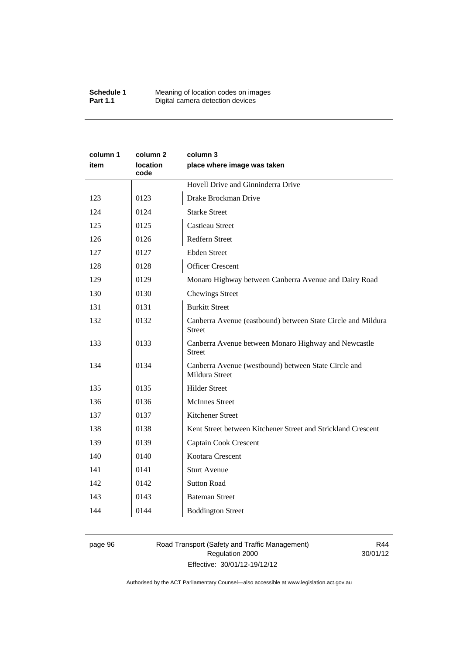| column 1<br>item | column 2<br><b>location</b><br>code | column 3<br>place where image was taken                                       |
|------------------|-------------------------------------|-------------------------------------------------------------------------------|
|                  |                                     | Hovell Drive and Ginninderra Drive                                            |
| 123              | 0123                                | Drake Brockman Drive                                                          |
| 124              | 0124                                | <b>Starke Street</b>                                                          |
| 125              | 0125                                | <b>Castieau Street</b>                                                        |
| 126              | 0126                                | Redfern Street                                                                |
| 127              | 0127                                | <b>Ebden Street</b>                                                           |
| 128              | 0128                                | <b>Officer Crescent</b>                                                       |
| 129              | 0129                                | Monaro Highway between Canberra Avenue and Dairy Road                         |
| 130              | 0130                                | <b>Chewings Street</b>                                                        |
| 131              | 0131                                | <b>Burkitt Street</b>                                                         |
| 132              | 0132                                | Canberra Avenue (eastbound) between State Circle and Mildura<br><b>Street</b> |
| 133              | 0133                                | Canberra Avenue between Monaro Highway and Newcastle<br><b>Street</b>         |
| 134              | 0134                                | Canberra Avenue (westbound) between State Circle and<br>Mildura Street        |
| 135              | 0135                                | <b>Hilder Street</b>                                                          |
| 136              | 0136                                | <b>McInnes Street</b>                                                         |
| 137              | 0137                                | Kitchener Street                                                              |
| 138              | 0138                                | Kent Street between Kitchener Street and Strickland Crescent                  |
| 139              | 0139                                | Captain Cook Crescent                                                         |
| 140              | 0140                                | Kootara Crescent                                                              |
| 141              | 0141                                | <b>Sturt Avenue</b>                                                           |
| 142              | 0142                                | <b>Sutton Road</b>                                                            |
| 143              | 0143                                | <b>Bateman Street</b>                                                         |
| 144              | 0144                                | <b>Boddington Street</b>                                                      |

# page 96 Road Transport (Safety and Traffic Management) Regulation 2000 Effective: 30/01/12-19/12/12

R44 30/01/12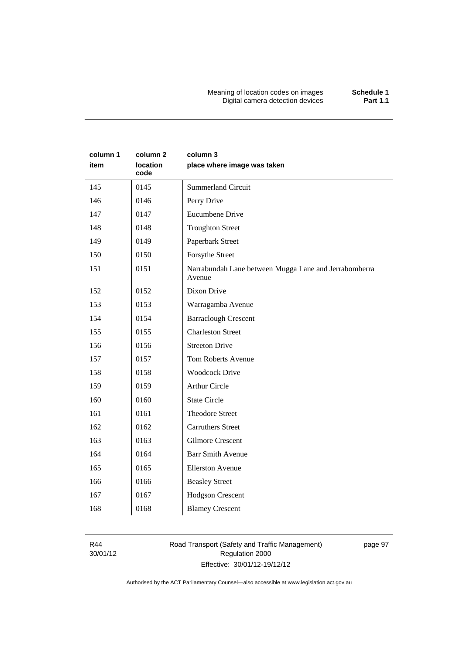Meaning of location codes on images **Schedule 1** Digital camera detection devices **Part 1.1** 

| column 1<br>item | column 2<br>location<br>code | column 3<br>place where image was taken                         |
|------------------|------------------------------|-----------------------------------------------------------------|
| 145              | 0145                         | <b>Summerland Circuit</b>                                       |
| 146              | 0146                         | Perry Drive                                                     |
| 147              | 0147                         | <b>Eucumbene Drive</b>                                          |
| 148              | 0148                         | <b>Troughton Street</b>                                         |
| 149              | 0149                         | Paperbark Street                                                |
| 150              | 0150                         | Forsythe Street                                                 |
| 151              | 0151                         | Narrabundah Lane between Mugga Lane and Jerrabomberra<br>Avenue |
| 152              | 0152                         | Dixon Drive                                                     |
| 153              | 0153                         | Warragamba Avenue                                               |
| 154              | 0154                         | <b>Barraclough Crescent</b>                                     |
| 155              | 0155                         | <b>Charleston Street</b>                                        |
| 156              | 0156                         | <b>Streeton Drive</b>                                           |
| 157              | 0157                         | <b>Tom Roberts Avenue</b>                                       |
| 158              | 0158                         | <b>Woodcock Drive</b>                                           |
| 159              | 0159                         | <b>Arthur Circle</b>                                            |
| 160              | 0160                         | <b>State Circle</b>                                             |
| 161              | 0161                         | <b>Theodore Street</b>                                          |
| 162              | 0162                         | <b>Carruthers Street</b>                                        |
| 163              | 0163                         | <b>Gilmore Crescent</b>                                         |
| 164              | 0164                         | <b>Barr Smith Avenue</b>                                        |
| 165              | 0165                         | <b>Ellerston Avenue</b>                                         |
| 166              | 0166                         | <b>Beasley Street</b>                                           |
| 167              | 0167                         | <b>Hodgson Crescent</b>                                         |
| 168              | 0168                         | <b>Blamey Crescent</b>                                          |

R44 30/01/12 Road Transport (Safety and Traffic Management) Regulation 2000 Effective: 30/01/12-19/12/12

page 97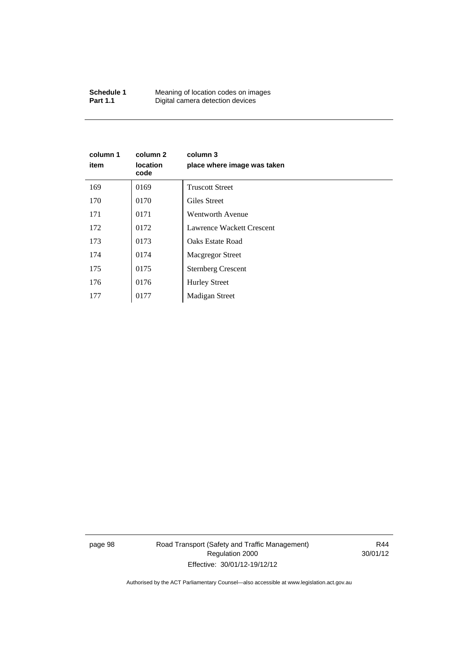| Schedule 1      | Meaning of location codes on images |
|-----------------|-------------------------------------|
| <b>Part 1.1</b> | Digital camera detection devices    |

| column 1<br>item | column 2<br><b>location</b><br>code | column 3<br>place where image was taken |
|------------------|-------------------------------------|-----------------------------------------|
| 169              | 0169                                | <b>Truscott Street</b>                  |
| 170              | 0170                                | Giles Street                            |
| 171              | 0171                                | <b>Wentworth Avenue</b>                 |
| 172              | 0172                                | Lawrence Wackett Crescent               |
| 173              | 0173                                | <b>Oaks Estate Road</b>                 |
| 174              | 0174                                | <b>Macgregor Street</b>                 |
| 175              | 0175                                | <b>Sternberg Crescent</b>               |
| 176              | 0176                                | <b>Hurley Street</b>                    |
| 177              | 0177                                | Madigan Street                          |

page 98 Road Transport (Safety and Traffic Management) Regulation 2000 Effective: 30/01/12-19/12/12

R44 30/01/12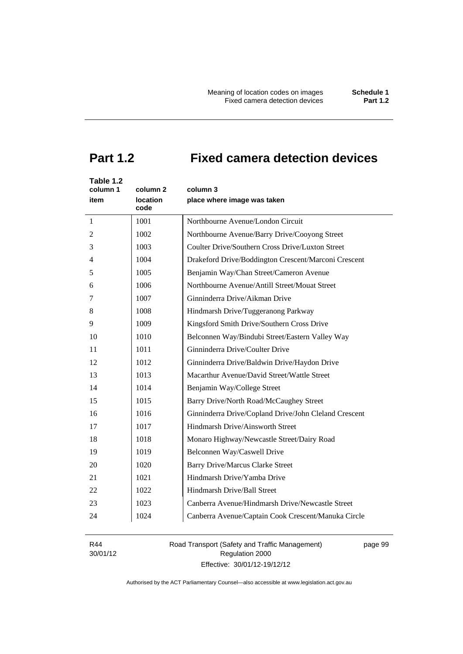# **Part 1.2 Fixed camera detection devices**

| Table 1.2<br>column 1<br>item | column 2<br><b>location</b><br>code | column 3<br>place where image was taken               |
|-------------------------------|-------------------------------------|-------------------------------------------------------|
| 1                             | 1001                                | Northbourne Avenue/London Circuit                     |
| 2                             | 1002                                | Northbourne Avenue/Barry Drive/Cooyong Street         |
| 3                             | 1003                                | Coulter Drive/Southern Cross Drive/Luxton Street      |
| 4                             | 1004                                | Drakeford Drive/Boddington Crescent/Marconi Crescent  |
| 5                             | 1005                                | Benjamin Way/Chan Street/Cameron Avenue               |
| 6                             | 1006                                | Northbourne Avenue/Antill Street/Mouat Street         |
| 7                             | 1007                                | Ginninderra Drive/Aikman Drive                        |
| 8                             | 1008                                | Hindmarsh Drive/Tuggeranong Parkway                   |
| 9                             | 1009                                | Kingsford Smith Drive/Southern Cross Drive            |
| 10                            | 1010                                | Belconnen Way/Bindubi Street/Eastern Valley Way       |
| 11                            | 1011                                | Ginninderra Drive/Coulter Drive                       |
| 12                            | 1012                                | Ginninderra Drive/Baldwin Drive/Haydon Drive          |
| 13                            | 1013                                | Macarthur Avenue/David Street/Wattle Street           |
| 14                            | 1014                                | Benjamin Way/College Street                           |
| 15                            | 1015                                | Barry Drive/North Road/McCaughey Street               |
| 16                            | 1016                                | Ginninderra Drive/Copland Drive/John Cleland Crescent |
| 17                            | 1017                                | Hindmarsh Drive/Ainsworth Street                      |
| 18                            | 1018                                | Monaro Highway/Newcastle Street/Dairy Road            |
| 19                            | 1019                                | Belconnen Way/Caswell Drive                           |
| 20                            | 1020                                | <b>Barry Drive/Marcus Clarke Street</b>               |
| 21                            | 1021                                | Hindmarsh Drive/Yamba Drive                           |
| 22                            | 1022                                | Hindmarsh Drive/Ball Street                           |
| 23                            | 1023                                | Canberra Avenue/Hindmarsh Drive/Newcastle Street      |
| 24                            | 1024                                | Canberra Avenue/Captain Cook Crescent/Manuka Circle   |

R44 30/01/12 Road Transport (Safety and Traffic Management) Regulation 2000 Effective: 30/01/12-19/12/12

page 99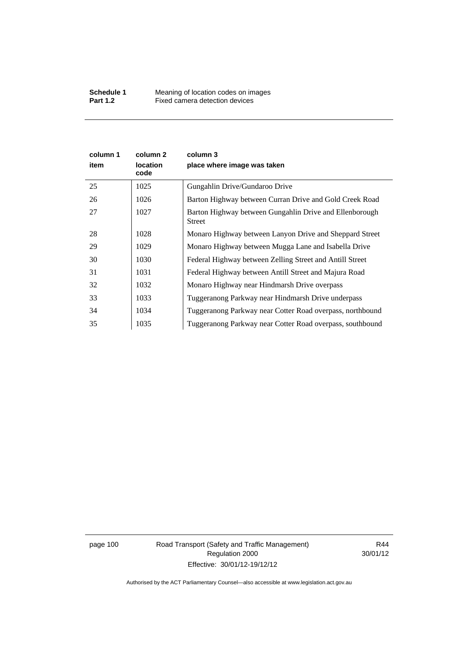| column 1<br>item | column 2<br><b>location</b><br>code | column 3<br>place where image was taken                                  |
|------------------|-------------------------------------|--------------------------------------------------------------------------|
| 25               | 1025                                | Gungahlin Drive/Gundaroo Drive                                           |
| 26               | 1026                                | Barton Highway between Curran Drive and Gold Creek Road                  |
| 27               | 1027                                | Barton Highway between Gungahlin Drive and Ellenborough<br><b>Street</b> |
| 28               | 1028                                | Monaro Highway between Lanyon Drive and Sheppard Street                  |
| 29               | 1029                                | Monaro Highway between Mugga Lane and Isabella Drive                     |
| 30               | 1030                                | Federal Highway between Zelling Street and Antill Street                 |
| 31               | 1031                                | Federal Highway between Antill Street and Majura Road                    |
| 32               | 1032                                | Monaro Highway near Hindmarsh Drive overpass                             |
| 33               | 1033                                | Tuggeranong Parkway near Hindmarsh Drive underpass                       |
| 34               | 1034                                | Tuggeranong Parkway near Cotter Road overpass, northbound                |
| 35               | 1035                                | Tuggeranong Parkway near Cotter Road overpass, southbound                |

page 100 Road Transport (Safety and Traffic Management) Regulation 2000 Effective: 30/01/12-19/12/12

R44 30/01/12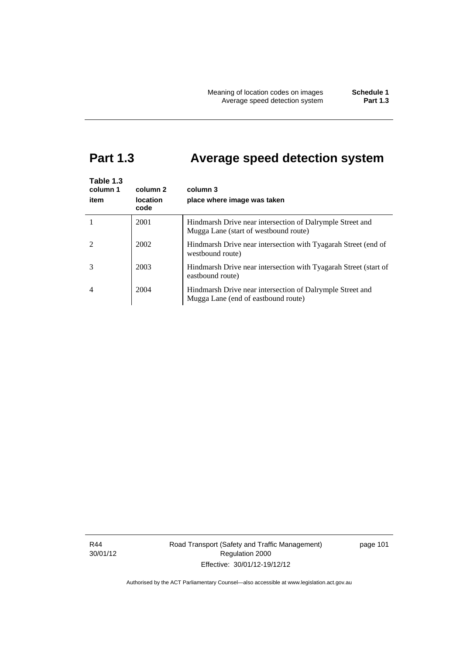# **Part 1.3 Average speed detection system**

| Table 1.3<br>column 1<br>item | column 2<br><b>location</b><br>code | column 3<br>place where image was taken                                                            |
|-------------------------------|-------------------------------------|----------------------------------------------------------------------------------------------------|
|                               | 2001                                | Hindmarsh Drive near intersection of Dalrymple Street and<br>Mugga Lane (start of westbound route) |
|                               | 2002                                | Hindmarsh Drive near intersection with Tyagarah Street (end of<br>westbound route)                 |
|                               | 2003                                | Hindmarsh Drive near intersection with Tyagarah Street (start of<br>eastbound route)               |
| 4                             | 2004                                | Hindmarsh Drive near intersection of Dalrymple Street and<br>Mugga Lane (end of eastbound route)   |

R44 30/01/12 Road Transport (Safety and Traffic Management) Regulation 2000 Effective: 30/01/12-19/12/12

page 101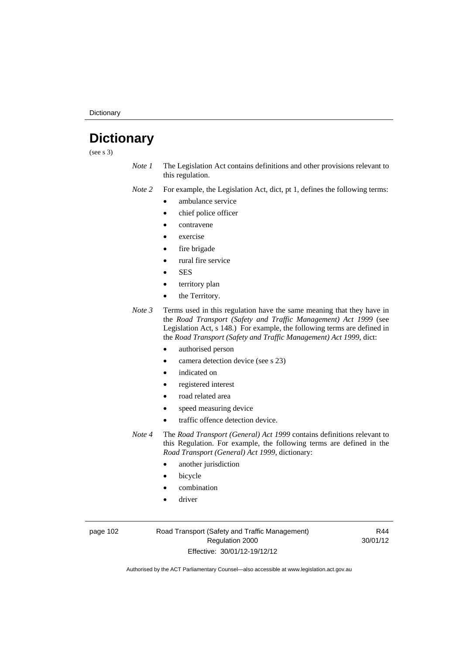**Dictionary** 

# **Dictionary**

(see s 3)

*Note 1* The Legislation Act contains definitions and other provisions relevant to this regulation.

*Note 2* For example, the Legislation Act, dict, pt 1, defines the following terms:

- ambulance service
- chief police officer
- contravene
- exercise
- fire brigade
- rural fire service
- **SES**
- territory plan
- the Territory.
- *Note 3* Terms used in this regulation have the same meaning that they have in the *Road Transport (Safety and Traffic Management) Act 1999* (see Legislation Act, s 148.) For example, the following terms are defined in the *Road Transport (Safety and Traffic Management) Act 1999*, dict:
	- authorised person
	- camera detection device (see s 23)
	- indicated on
	- registered interest
	- road related area
	- speed measuring device
	- traffic offence detection device.

*Note 4* The *Road Transport (General) Act 1999* contains definitions relevant to this Regulation. For example, the following terms are defined in the *Road Transport (General) Act 1999*, dictionary:

- another jurisdiction
- bicycle
- combination
- driver

page 102 Road Transport (Safety and Traffic Management) Regulation 2000 Effective: 30/01/12-19/12/12

R44 30/01/12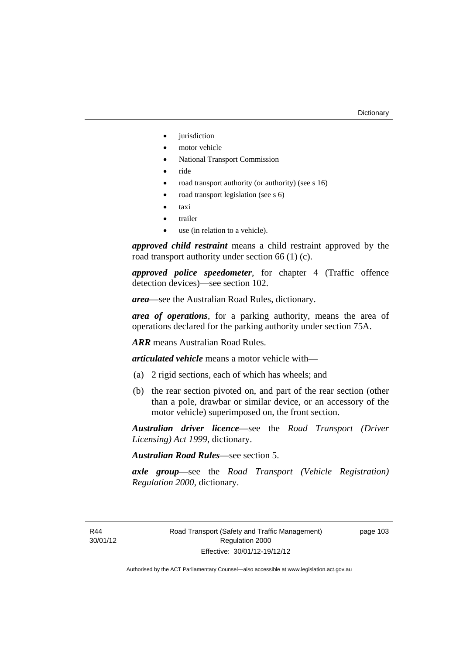- iurisdiction
- motor vehicle
- National Transport Commission
- ride
- road transport authority (or authority) (see s 16)
- road transport legislation (see s 6)
- taxi
- trailer
- use (in relation to a vehicle).

*approved child restraint* means a child restraint approved by the road transport authority under section 66 (1) (c).

*approved police speedometer*, for chapter 4 (Traffic offence detection devices)—see section 102.

*area*—see the Australian Road Rules, dictionary.

*area of operations*, for a parking authority, means the area of operations declared for the parking authority under section 75A.

*ARR* means Australian Road Rules.

*articulated vehicle* means a motor vehicle with—

- (a) 2 rigid sections, each of which has wheels; and
- (b) the rear section pivoted on, and part of the rear section (other than a pole, drawbar or similar device, or an accessory of the motor vehicle) superimposed on, the front section.

*Australian driver licence*—see the *Road Transport (Driver Licensing) Act 1999*, dictionary.

*Australian Road Rules*—see section 5.

*axle group*—see the *Road Transport (Vehicle Registration) Regulation 2000*, dictionary.

R44 30/01/12 page 103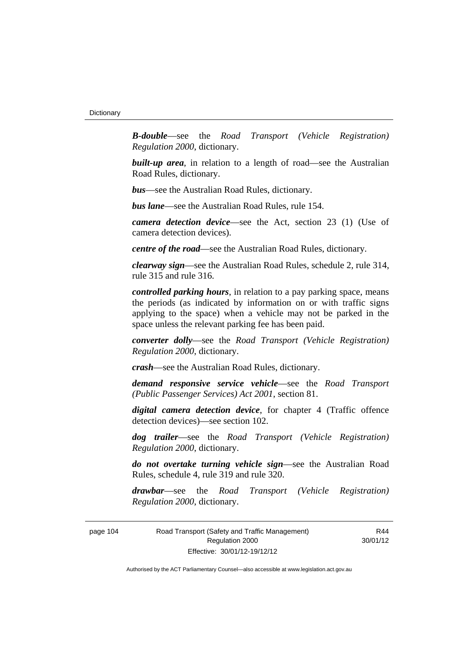*B-double*—see the *Road Transport (Vehicle Registration) Regulation 2000*, dictionary.

**built-up area**, in relation to a length of road—see the Australian Road Rules, dictionary.

*bus*—see the Australian Road Rules, dictionary.

*bus lane*—see the Australian Road Rules, rule 154.

*camera detection device*—see the Act, section 23 (1) (Use of camera detection devices).

*centre of the road*—see the Australian Road Rules, dictionary.

*clearway sign*—see the Australian Road Rules, schedule 2, rule 314, rule 315 and rule 316.

*controlled parking hours*, in relation to a pay parking space, means the periods (as indicated by information on or with traffic signs applying to the space) when a vehicle may not be parked in the space unless the relevant parking fee has been paid.

*converter dolly*—see the *Road Transport (Vehicle Registration) Regulation 2000*, dictionary.

*crash*—see the Australian Road Rules, dictionary.

*demand responsive service vehicle*—see the *Road Transport (Public Passenger Services) Act 2001*, section 81.

*digital camera detection device*, for chapter 4 (Traffic offence detection devices)—see section 102.

*dog trailer*—see the *Road Transport (Vehicle Registration) Regulation 2000*, dictionary.

*do not overtake turning vehicle sign*—see the Australian Road Rules, schedule 4, rule 319 and rule 320.

*drawbar*—see the *Road Transport (Vehicle Registration) Regulation 2000*, dictionary.

page 104 Road Transport (Safety and Traffic Management) Regulation 2000 Effective: 30/01/12-19/12/12

R44 30/01/12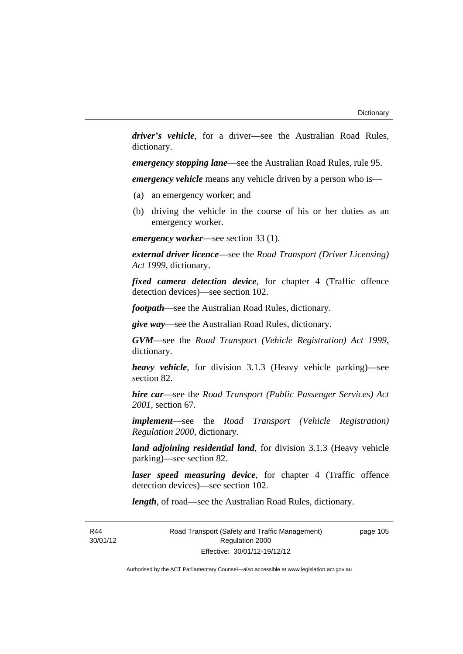*driver's vehicle*, for a driver*—*see the Australian Road Rules, dictionary.

*emergency stopping lane*—see the Australian Road Rules, rule 95.

*emergency vehicle* means any vehicle driven by a person who is—

- (a) an emergency worker; and
- (b) driving the vehicle in the course of his or her duties as an emergency worker.

*emergency worker*—see section 33 (1).

*external driver licence*—see the *Road Transport (Driver Licensing) Act 1999*, dictionary.

*fixed camera detection device*, for chapter 4 (Traffic offence detection devices)—see section 102.

*footpath*—see the Australian Road Rules, dictionary.

*give way*—see the Australian Road Rules, dictionary.

*GVM*—see the *Road Transport (Vehicle Registration) Act 1999*, dictionary.

*heavy vehicle*, for division 3.1.3 (Heavy vehicle parking)—see section 82.

*hire car*—see the *Road Transport (Public Passenger Services) Act 2001*, section 67.

*implement*—see the *Road Transport (Vehicle Registration) Regulation 2000*, dictionary.

*land adjoining residential land*, for division 3.1.3 (Heavy vehicle parking)—see section 82.

*laser speed measuring device*, for chapter 4 (Traffic offence detection devices)—see section 102.

*length*, of road—see the Australian Road Rules, dictionary.

R44 30/01/12 Road Transport (Safety and Traffic Management) Regulation 2000 Effective: 30/01/12-19/12/12

page 105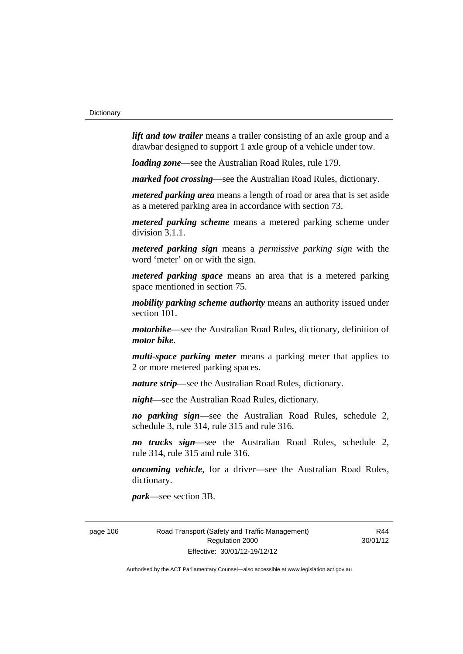*lift and tow trailer* means a trailer consisting of an axle group and a drawbar designed to support 1 axle group of a vehicle under tow.

*loading zone*—see the Australian Road Rules, rule 179.

*marked foot crossing*—see the Australian Road Rules, dictionary.

*metered parking area* means a length of road or area that is set aside as a metered parking area in accordance with section 73.

*metered parking scheme* means a metered parking scheme under division 3.1.1.

*metered parking sign* means a *permissive parking sign* with the word 'meter' on or with the sign.

*metered parking space* means an area that is a metered parking space mentioned in section 75.

*mobility parking scheme authority* means an authority issued under section 101.

*motorbike*—see the Australian Road Rules, dictionary, definition of *motor bike*.

*multi-space parking meter* means a parking meter that applies to 2 or more metered parking spaces.

*nature strip*—see the Australian Road Rules, dictionary.

*night*—see the Australian Road Rules, dictionary.

*no parking sign*—see the Australian Road Rules, schedule 2, schedule 3, rule 314, rule 315 and rule 316.

*no trucks sign*—see the Australian Road Rules, schedule 2, rule 314, rule 315 and rule 316.

*oncoming vehicle*, for a driver—see the Australian Road Rules, dictionary.

*park*—see section 3B.

page 106 Road Transport (Safety and Traffic Management) Regulation 2000 Effective: 30/01/12-19/12/12

R44 30/01/12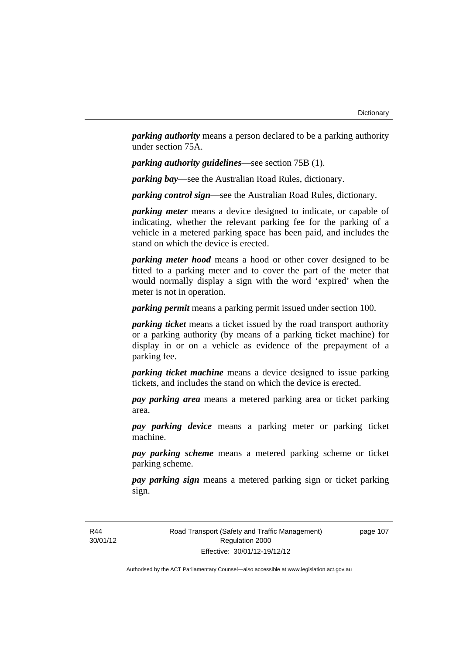*parking authority* means a person declared to be a parking authority under section 75A.

*parking authority guidelines*—see section 75B (1).

*parking bay*—see the Australian Road Rules, dictionary.

*parking control sign*—see the Australian Road Rules, dictionary.

*parking meter* means a device designed to indicate, or capable of indicating, whether the relevant parking fee for the parking of a vehicle in a metered parking space has been paid, and includes the stand on which the device is erected.

*parking meter hood* means a hood or other cover designed to be fitted to a parking meter and to cover the part of the meter that would normally display a sign with the word 'expired' when the meter is not in operation.

*parking permit* means a parking permit issued under section 100.

*parking ticket* means a ticket issued by the road transport authority or a parking authority (by means of a parking ticket machine) for display in or on a vehicle as evidence of the prepayment of a parking fee.

*parking ticket machine* means a device designed to issue parking tickets, and includes the stand on which the device is erected.

*pay parking area* means a metered parking area or ticket parking area.

*pay parking device* means a parking meter or parking ticket machine.

*pay parking scheme* means a metered parking scheme or ticket parking scheme.

*pay parking sign* means a metered parking sign or ticket parking sign.

R44 30/01/12 Road Transport (Safety and Traffic Management) Regulation 2000 Effective: 30/01/12-19/12/12

page 107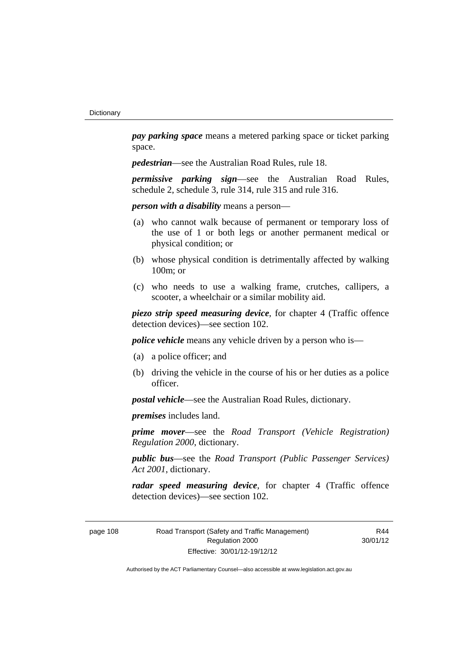*pay parking space* means a metered parking space or ticket parking space.

*pedestrian*—see the Australian Road Rules, rule 18.

*permissive parking sign*—see the Australian Road Rules, schedule 2, schedule 3, rule 314, rule 315 and rule 316.

*person with a disability* means a person—

- (a) who cannot walk because of permanent or temporary loss of the use of 1 or both legs or another permanent medical or physical condition; or
- (b) whose physical condition is detrimentally affected by walking 100m; or
- (c) who needs to use a walking frame, crutches, callipers, a scooter, a wheelchair or a similar mobility aid.

*piezo strip speed measuring device*, for chapter 4 (Traffic offence detection devices)—see section 102.

*police vehicle* means any vehicle driven by a person who is—

- (a) a police officer; and
- (b) driving the vehicle in the course of his or her duties as a police officer.

*postal vehicle*—see the Australian Road Rules, dictionary.

*premises* includes land.

*prime mover*—see the *Road Transport (Vehicle Registration) Regulation 2000*, dictionary.

*public bus*—see the *Road Transport (Public Passenger Services) Act 2001*, dictionary.

*radar speed measuring device*, for chapter 4 (Traffic offence detection devices)—see section 102.

page 108 Road Transport (Safety and Traffic Management) Regulation 2000 Effective: 30/01/12-19/12/12

R44 30/01/12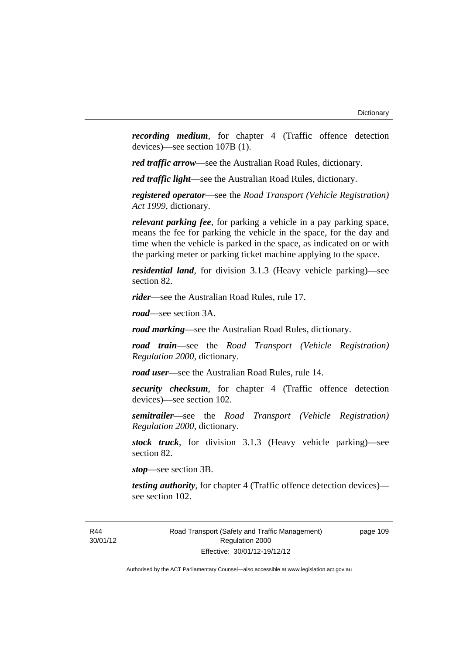*recording medium*, for chapter 4 (Traffic offence detection devices)—see section 107B (1).

*red traffic arrow*—see the Australian Road Rules, dictionary.

*red traffic light*—see the Australian Road Rules, dictionary.

*registered operator*—see the *Road Transport (Vehicle Registration) Act 1999*, dictionary.

*relevant parking fee*, for parking a vehicle in a pay parking space, means the fee for parking the vehicle in the space, for the day and time when the vehicle is parked in the space, as indicated on or with the parking meter or parking ticket machine applying to the space.

*residential land*, for division 3.1.3 (Heavy vehicle parking)—see section 82.

*rider*—see the Australian Road Rules, rule 17.

*road*—see section 3A.

*road marking*—see the Australian Road Rules, dictionary.

*road train*—see the *Road Transport (Vehicle Registration) Regulation 2000*, dictionary.

*road user*—see the Australian Road Rules, rule 14.

*security checksum*, for chapter 4 (Traffic offence detection devices)—see section 102.

*semitrailer*—see the *Road Transport (Vehicle Registration) Regulation 2000*, dictionary.

*stock truck*, for division 3.1.3 (Heavy vehicle parking)—see section 82.

*stop*—see section 3B.

*testing authority*, for chapter 4 (Traffic offence detection devices) see section 102.

Road Transport (Safety and Traffic Management) Regulation 2000 Effective: 30/01/12-19/12/12

page 109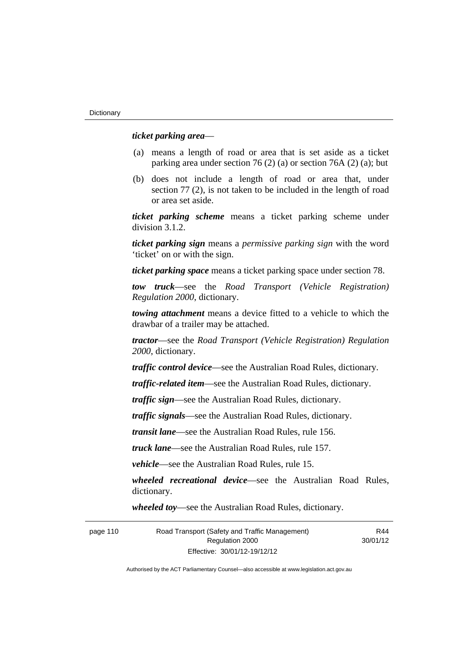#### *ticket parking area*—

- (a) means a length of road or area that is set aside as a ticket parking area under section 76 (2) (a) or section 76A (2) (a); but
- (b) does not include a length of road or area that, under section 77 (2), is not taken to be included in the length of road or area set aside.

*ticket parking scheme* means a ticket parking scheme under division 3.1.2.

*ticket parking sign* means a *permissive parking sign* with the word 'ticket' on or with the sign.

*ticket parking space* means a ticket parking space under section 78.

*tow truck*—see the *Road Transport (Vehicle Registration) Regulation 2000*, dictionary.

*towing attachment* means a device fitted to a vehicle to which the drawbar of a trailer may be attached.

*tractor*—see the *Road Transport (Vehicle Registration) Regulation 2000*, dictionary.

*traffic control device*—see the Australian Road Rules, dictionary.

*traffic-related item*—see the Australian Road Rules, dictionary.

*traffic sign*—see the Australian Road Rules, dictionary.

*traffic signals*—see the Australian Road Rules, dictionary.

*transit lane*—see the Australian Road Rules, rule 156.

*truck lane*—see the Australian Road Rules, rule 157.

*vehicle*—see the Australian Road Rules, rule 15.

*wheeled recreational device*—see the Australian Road Rules, dictionary.

*wheeled toy*—see the Australian Road Rules, dictionary.

page 110 Road Transport (Safety and Traffic Management) Regulation 2000 Effective: 30/01/12-19/12/12 R44 30/01/12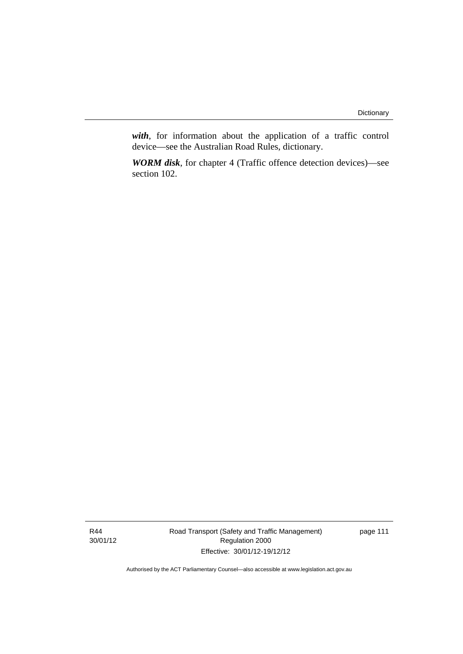*with*, for information about the application of a traffic control device—see the Australian Road Rules, dictionary.

*WORM disk*, for chapter 4 (Traffic offence detection devices)—see section 102.

R44 30/01/12 Road Transport (Safety and Traffic Management) Regulation 2000 Effective: 30/01/12-19/12/12

page 111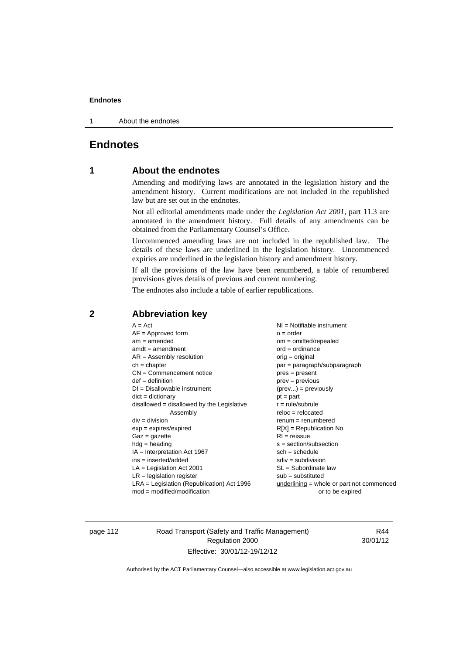1 About the endnotes

# **Endnotes**

# **1 About the endnotes**

Amending and modifying laws are annotated in the legislation history and the amendment history. Current modifications are not included in the republished law but are set out in the endnotes.

Not all editorial amendments made under the *Legislation Act 2001*, part 11.3 are annotated in the amendment history. Full details of any amendments can be obtained from the Parliamentary Counsel's Office.

Uncommenced amending laws are not included in the republished law. The details of these laws are underlined in the legislation history. Uncommenced expiries are underlined in the legislation history and amendment history.

If all the provisions of the law have been renumbered, a table of renumbered provisions gives details of previous and current numbering.

The endnotes also include a table of earlier republications.

| $am = amended$<br>$om = omitted/repealed$<br>$ord = ordinance$<br>$amdt = amendment$<br>$AR = Assembly resolution$<br>$orig = original$<br>$ch = chapter$<br>par = paragraph/subparagraph<br>$CN =$ Commencement notice<br>$pres = present$<br>$def = definition$<br>$prev = previous$<br>$DI = Disallowable instrument$<br>$(\text{prev}) = \text{previously}$<br>$dict = dictionary$<br>$pt = part$<br>disallowed = disallowed by the Legislative<br>$r = rule/subrule$<br>$reloc = relocated$<br>Assembly<br>$div = division$<br>$remum = renumbered$<br>$exp = expires/expired$<br>$R[X]$ = Republication No<br>$RI = reissue$<br>$Gaz = gazette$<br>$hdg = heading$<br>$s = section/subsection$<br>$IA = Interpretation Act 1967$<br>$sch = schedule$<br>$ins = inserted/added$<br>$sdiv = subdivision$<br>$SL = Subordinate$ law<br>$LA =$ Legislation Act 2001<br>$LR =$ legislation register<br>$sub =$ substituted<br>$LRA =$ Legislation (Republication) Act 1996<br>$underlining = whole or part not commenced$ |                  |
|----------------------------------------------------------------------------------------------------------------------------------------------------------------------------------------------------------------------------------------------------------------------------------------------------------------------------------------------------------------------------------------------------------------------------------------------------------------------------------------------------------------------------------------------------------------------------------------------------------------------------------------------------------------------------------------------------------------------------------------------------------------------------------------------------------------------------------------------------------------------------------------------------------------------------------------------------------------------------------------------------------------------------|------------------|
| $mod = modified/modification$                                                                                                                                                                                                                                                                                                                                                                                                                                                                                                                                                                                                                                                                                                                                                                                                                                                                                                                                                                                              | or to be expired |

# **2 Abbreviation key**

page 112 Road Transport (Safety and Traffic Management) Regulation 2000 Effective: 30/01/12-19/12/12

R44 30/01/12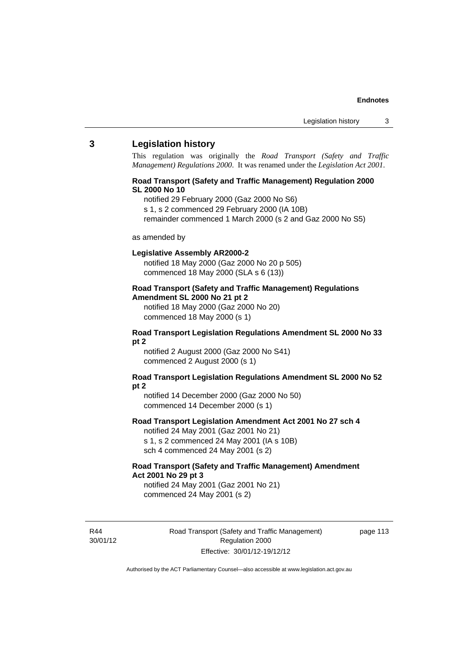#### **3 Legislation history**

This regulation was originally the *Road Transport (Safety and Traffic Management) Regulations 2000*. It was renamed under the *Legislation Act 2001*.

#### **Road Transport (Safety and Traffic Management) Regulation 2000 SL 2000 No 10**

notified 29 February 2000 (Gaz 2000 No S6)

s 1, s 2 commenced 29 February 2000 (IA 10B)

remainder commenced 1 March 2000 (s 2 and Gaz 2000 No S5)

#### as amended by

#### **Legislative Assembly AR2000-2**

notified 18 May 2000 (Gaz 2000 No 20 p 505) commenced 18 May 2000 (SLA s 6 (13))

## **Road Transport (Safety and Traffic Management) Regulations Amendment SL 2000 No 21 pt 2**

notified 18 May 2000 (Gaz 2000 No 20) commenced 18 May 2000 (s 1)

#### **Road Transport Legislation Regulations Amendment SL 2000 No 33 pt 2**

notified 2 August 2000 (Gaz 2000 No S41) commenced 2 August 2000 (s 1)

#### **Road Transport Legislation Regulations Amendment SL 2000 No 52 pt 2**

notified 14 December 2000 (Gaz 2000 No 50) commenced 14 December 2000 (s 1)

# **Road Transport Legislation Amendment Act 2001 No 27 sch 4**

notified 24 May 2001 (Gaz 2001 No 21) s 1, s 2 commenced 24 May 2001 (IA s 10B)

sch 4 commenced 24 May 2001 (s 2)

# **Road Transport (Safety and Traffic Management) Amendment Act 2001 No 29 pt 3**

notified 24 May 2001 (Gaz 2001 No 21) commenced 24 May 2001 (s 2)

R44 30/01/12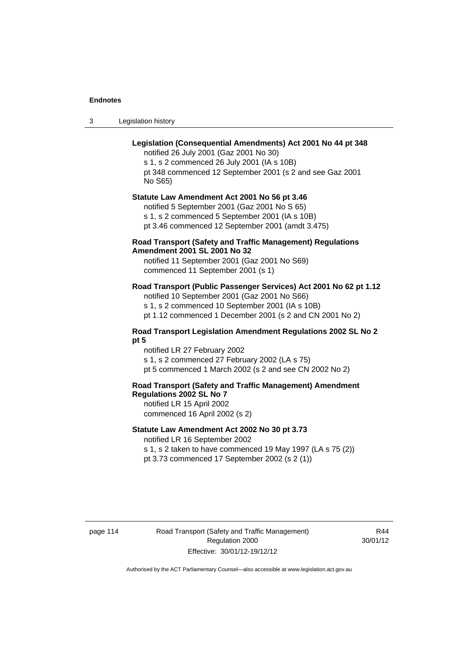3 Legislation history

# **Legislation (Consequential Amendments) Act 2001 No 44 pt 348**

notified 26 July 2001 (Gaz 2001 No 30) s 1, s 2 commenced 26 July 2001 (IA s 10B) pt 348 commenced 12 September 2001 (s 2 and see Gaz 2001 No S65)

# **Statute Law Amendment Act 2001 No 56 pt 3.46**

notified 5 September 2001 (Gaz 2001 No S 65) s 1, s 2 commenced 5 September 2001 (IA s 10B) pt 3.46 commenced 12 September 2001 (amdt 3.475)

## **Road Transport (Safety and Traffic Management) Regulations Amendment 2001 SL 2001 No 32**

notified 11 September 2001 (Gaz 2001 No S69) commenced 11 September 2001 (s 1)

# **Road Transport (Public Passenger Services) Act 2001 No 62 pt 1.12**

notified 10 September 2001 (Gaz 2001 No S66) s 1, s 2 commenced 10 September 2001 (IA s 10B)

pt 1.12 commenced 1 December 2001 (s 2 and CN 2001 No 2)

#### **Road Transport Legislation Amendment Regulations 2002 SL No 2 pt 5**

notified LR 27 February 2002 s 1, s 2 commenced 27 February 2002 (LA s 75) pt 5 commenced 1 March 2002 (s 2 and see CN 2002 No 2)

# **Road Transport (Safety and Traffic Management) Amendment Regulations 2002 SL No 7**

notified LR 15 April 2002 commenced 16 April 2002 (s 2)

#### **Statute Law Amendment Act 2002 No 30 pt 3.73**

notified LR 16 September 2002

s 1, s 2 taken to have commenced 19 May 1997 (LA s 75 (2)) pt 3.73 commenced 17 September 2002 (s 2 (1))

page 114 Road Transport (Safety and Traffic Management) Regulation 2000 Effective: 30/01/12-19/12/12

R44 30/01/12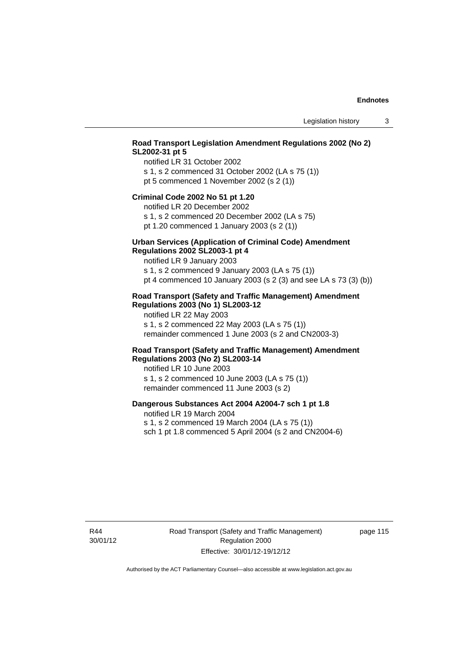# **Road Transport Legislation Amendment Regulations 2002 (No 2) SL2002-31 pt 5**

notified LR 31 October 2002 s 1, s 2 commenced 31 October 2002 (LA s 75 (1)) pt 5 commenced 1 November 2002 (s 2 (1))

#### **Criminal Code 2002 No 51 pt 1.20**

notified LR 20 December 2002

s 1, s 2 commenced 20 December 2002 (LA s 75) pt 1.20 commenced 1 January 2003 (s 2 (1))

#### **Urban Services (Application of Criminal Code) Amendment Regulations 2002 SL2003-1 pt 4**

notified LR 9 January 2003

s 1, s 2 commenced 9 January 2003 (LA s 75 (1)) pt 4 commenced 10 January 2003 (s 2 (3) and see LA s 73 (3) (b))

## **Road Transport (Safety and Traffic Management) Amendment Regulations 2003 (No 1) SL2003-12**

notified LR 22 May 2003 s 1, s 2 commenced 22 May 2003 (LA s 75 (1)) remainder commenced 1 June 2003 (s 2 and CN2003-3)

### **Road Transport (Safety and Traffic Management) Amendment Regulations 2003 (No 2) SL2003-14**

notified LR 10 June 2003 s 1, s 2 commenced 10 June 2003 (LA s 75 (1)) remainder commenced 11 June 2003 (s 2)

# **Dangerous Substances Act 2004 A2004-7 sch 1 pt 1.8**

notified LR 19 March 2004 s 1, s 2 commenced 19 March 2004 (LA s 75 (1)) sch 1 pt 1.8 commenced 5 April 2004 (s 2 and CN2004-6)

R44 30/01/12 Road Transport (Safety and Traffic Management) Regulation 2000 Effective: 30/01/12-19/12/12

page 115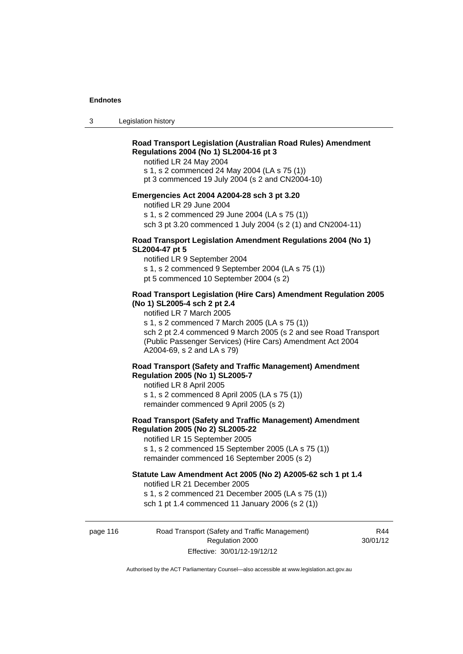3 Legislation history

# **Road Transport Legislation (Australian Road Rules) Amendment Regulations 2004 (No 1) SL2004-16 pt 3**

notified LR 24 May 2004

s 1, s 2 commenced 24 May 2004 (LA s 75 (1))

pt 3 commenced 19 July 2004 (s 2 and CN2004-10)

# **Emergencies Act 2004 A2004-28 sch 3 pt 3.20**

notified LR 29 June 2004

s 1, s 2 commenced 29 June 2004 (LA s 75 (1))

sch 3 pt 3.20 commenced 1 July 2004 (s 2 (1) and CN2004-11)

# **Road Transport Legislation Amendment Regulations 2004 (No 1) SL2004-47 pt 5**

notified LR 9 September 2004 s 1, s 2 commenced 9 September 2004 (LA s 75 (1)) pt 5 commenced 10 September 2004 (s 2)

## **Road Transport Legislation (Hire Cars) Amendment Regulation 2005 (No 1) SL2005-4 sch 2 pt 2.4**

notified LR 7 March 2005

s 1, s 2 commenced 7 March 2005 (LA s 75 (1))

sch 2 pt 2.4 commenced 9 March 2005 (s 2 and see Road Transport (Public Passenger Services) (Hire Cars) Amendment Act 2004 A2004-69, s 2 and LA s 79)

# **Road Transport (Safety and Traffic Management) Amendment Regulation 2005 (No 1) SL2005-7**

notified LR 8 April 2005 s 1, s 2 commenced 8 April 2005 (LA s 75 (1)) remainder commenced 9 April 2005 (s 2)

# **Road Transport (Safety and Traffic Management) Amendment Regulation 2005 (No 2) SL2005-22**

notified LR 15 September 2005 s 1, s 2 commenced 15 September 2005 (LA s 75 (1)) remainder commenced 16 September 2005 (s 2)

### **Statute Law Amendment Act 2005 (No 2) A2005-62 sch 1 pt 1.4**

notified LR 21 December 2005 s 1, s 2 commenced 21 December 2005 (LA s 75 (1)) sch 1 pt 1.4 commenced 11 January 2006 (s 2 (1))

page 116 Road Transport (Safety and Traffic Management) Regulation 2000 Effective: 30/01/12-19/12/12

R44 30/01/12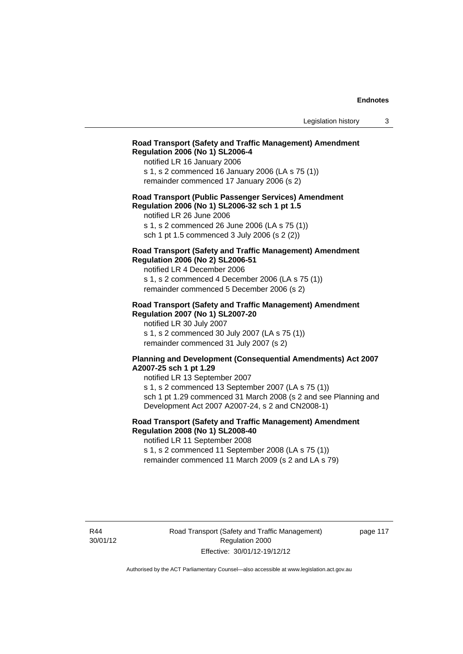## **Road Transport (Safety and Traffic Management) Amendment Regulation 2006 (No 1) SL2006-4**

notified LR 16 January 2006 s 1, s 2 commenced 16 January 2006 (LA s 75 (1)) remainder commenced 17 January 2006 (s 2)

### **Road Transport (Public Passenger Services) Amendment Regulation 2006 (No 1) SL2006-32 sch 1 pt 1.5**

notified LR 26 June 2006 s 1, s 2 commenced 26 June 2006 (LA s 75 (1)) sch 1 pt 1.5 commenced 3 July 2006 (s 2 (2))

# **Road Transport (Safety and Traffic Management) Amendment Regulation 2006 (No 2) SL2006-51**

notified LR 4 December 2006 s 1, s 2 commenced 4 December 2006 (LA s 75 (1)) remainder commenced 5 December 2006 (s 2)

#### **Road Transport (Safety and Traffic Management) Amendment Regulation 2007 (No 1) SL2007-20**

notified LR 30 July 2007 s 1, s 2 commenced 30 July 2007 (LA s 75 (1)) remainder commenced 31 July 2007 (s 2)

#### **Planning and Development (Consequential Amendments) Act 2007 A2007-25 sch 1 pt 1.29**

notified LR 13 September 2007 s 1, s 2 commenced 13 September 2007 (LA s 75 (1)) sch 1 pt 1.29 commenced 31 March 2008 (s 2 and see Planning and Development Act 2007 A2007-24, s 2 and CN2008-1)

# **Road Transport (Safety and Traffic Management) Amendment Regulation 2008 (No 1) SL2008-40**

notified LR 11 September 2008 s 1, s 2 commenced 11 September 2008 (LA s 75 (1))

remainder commenced 11 March 2009 (s 2 and LA s 79)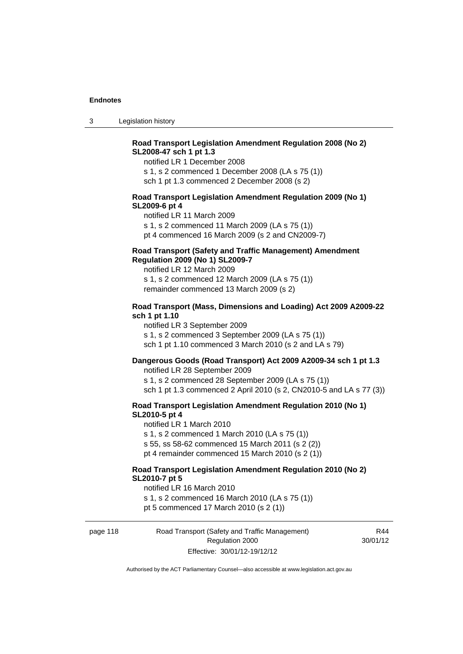3 Legislation history

# **Road Transport Legislation Amendment Regulation 2008 (No 2) SL2008-47 sch 1 pt 1.3**

notified LR 1 December 2008 s 1, s 2 commenced 1 December 2008 (LA s 75 (1)) sch 1 pt 1.3 commenced 2 December 2008 (s 2)

## **Road Transport Legislation Amendment Regulation 2009 (No 1) SL2009-6 pt 4**

notified LR 11 March 2009 s 1, s 2 commenced 11 March 2009 (LA s 75 (1)) pt 4 commenced 16 March 2009 (s 2 and CN2009-7)

# **Road Transport (Safety and Traffic Management) Amendment Regulation 2009 (No 1) SL2009-7**

notified LR 12 March 2009 s 1, s 2 commenced 12 March 2009 (LA s 75 (1)) remainder commenced 13 March 2009 (s 2)

#### **Road Transport (Mass, Dimensions and Loading) Act 2009 A2009-22 sch 1 pt 1.10**

notified LR 3 September 2009 s 1, s 2 commenced 3 September 2009 (LA s 75 (1)) sch 1 pt 1.10 commenced 3 March 2010 (s 2 and LA s 79)

## **Dangerous Goods (Road Transport) Act 2009 A2009-34 sch 1 pt 1.3**

notified LR 28 September 2009 s 1, s 2 commenced 28 September 2009 (LA s 75 (1)) sch 1 pt 1.3 commenced 2 April 2010 (s 2, CN2010-5 and LA s 77 (3))

#### **Road Transport Legislation Amendment Regulation 2010 (No 1) SL2010-5 pt 4**

notified LR 1 March 2010 s 1, s 2 commenced 1 March 2010 (LA s 75 (1)) s 55, ss 58-62 commenced 15 March 2011 (s 2 (2)) pt 4 remainder commenced 15 March 2010 (s 2 (1))

#### **Road Transport Legislation Amendment Regulation 2010 (No 2) SL2010-7 pt 5**

notified LR 16 March 2010 s 1, s 2 commenced 16 March 2010 (LA s 75 (1)) pt 5 commenced 17 March 2010 (s 2 (1))

page 118 Road Transport (Safety and Traffic Management) Regulation 2000 Effective: 30/01/12-19/12/12

R44 30/01/12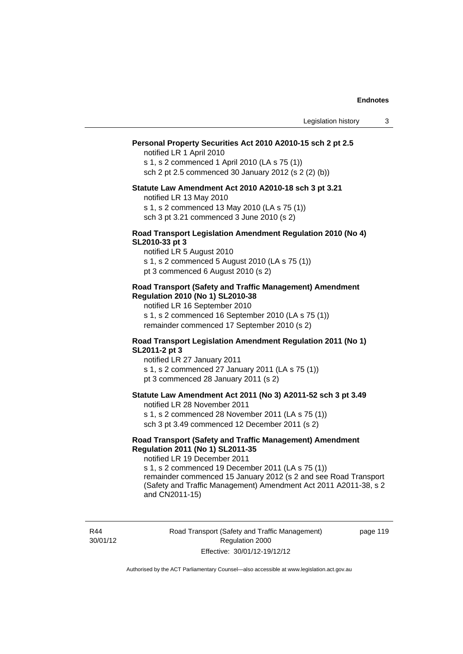#### **Personal Property Securities Act 2010 A2010-15 sch 2 pt 2.5**

notified LR 1 April 2010 s 1, s 2 commenced 1 April 2010 (LA s 75 (1)) sch 2 pt 2.5 commenced 30 January 2012 (s 2 (2) (b))

# **Statute Law Amendment Act 2010 A2010-18 sch 3 pt 3.21**

notified LR 13 May 2010 s 1, s 2 commenced 13 May 2010 (LA s 75 (1)) sch 3 pt 3.21 commenced 3 June 2010 (s 2)

#### **Road Transport Legislation Amendment Regulation 2010 (No 4) SL2010-33 pt 3**

notified LR 5 August 2010 s 1, s 2 commenced 5 August 2010 (LA s 75 (1)) pt 3 commenced 6 August 2010 (s 2)

#### **Road Transport (Safety and Traffic Management) Amendment Regulation 2010 (No 1) SL2010-38**

notified LR 16 September 2010 s 1, s 2 commenced 16 September 2010 (LA s 75 (1)) remainder commenced 17 September 2010 (s 2)

#### **Road Transport Legislation Amendment Regulation 2011 (No 1) SL2011-2 pt 3**

notified LR 27 January 2011 s 1, s 2 commenced 27 January 2011 (LA s 75 (1)) pt 3 commenced 28 January 2011 (s 2)

# **Statute Law Amendment Act 2011 (No 3) A2011-52 sch 3 pt 3.49**

notified LR 28 November 2011 s 1, s 2 commenced 28 November 2011 (LA s 75 (1))

sch 3 pt 3.49 commenced 12 December 2011 (s 2)

## **Road Transport (Safety and Traffic Management) Amendment Regulation 2011 (No 1) SL2011-35**

notified LR 19 December 2011

s 1, s 2 commenced 19 December 2011 (LA s 75 (1)) remainder commenced 15 January 2012 (s 2 and see Road Transport (Safety and Traffic Management) Amendment Act 2011 A2011-38, s 2 and CN2011-15)

R44 30/01/12 Road Transport (Safety and Traffic Management) Regulation 2000 Effective: 30/01/12-19/12/12

page 119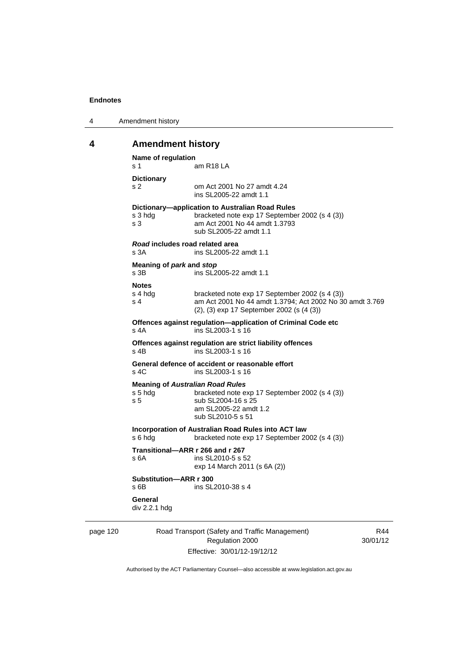| 4 | Amendment history |
|---|-------------------|
|---|-------------------|

# **4 Amendment history**

| Name of regulation<br>s 1        | am R18 LA                                                                                                                                                     |
|----------------------------------|---------------------------------------------------------------------------------------------------------------------------------------------------------------|
| <b>Dictionary</b><br>s 2         | om Act 2001 No 27 amdt 4.24<br>ins SL 2005-22 amdt 1.1                                                                                                        |
| s 3 hdg<br>s <sub>3</sub>        | Dictionary-application to Australian Road Rules<br>bracketed note exp 17 September 2002 (s 4 (3))<br>am Act 2001 No 44 amdt 1.3793<br>sub SL2005-22 amdt 1.1  |
| s 3A                             | Road includes road related area<br>ins SL2005-22 amdt 1.1                                                                                                     |
| Meaning of park and stop<br>s 3B | ins SL2005-22 amdt 1.1                                                                                                                                        |
| <b>Notes</b><br>s 4 hdg<br>s 4   | bracketed note exp 17 September 2002 (s 4 (3))<br>am Act 2001 No 44 amdt 1.3794; Act 2002 No 30 amdt 3.769<br>(2), (3) exp 17 September 2002 (s (4 (3))       |
| $s$ 4A                           | Offences against regulation-application of Criminal Code etc<br>ins SL2003-1 s 16                                                                             |
| $s$ 4B                           | Offences against regulation are strict liability offences<br>ins SL2003-1 s 16                                                                                |
| s, 4C                            | General defence of accident or reasonable effort<br>ins SL2003-1 s 16                                                                                         |
| s 5 hdg<br>s <sub>5</sub>        | <b>Meaning of Australian Road Rules</b><br>bracketed note exp 17 September 2002 (s 4 (3))<br>sub SL2004-16 s 25<br>am SL2005-22 amdt 1.2<br>sub SL2010-5 s 51 |
| s 6 hdg                          | Incorporation of Australian Road Rules into ACT law<br>bracketed note exp 17 September 2002 (s 4 (3))                                                         |
| s 6A                             | Transitional-ARR r 266 and r 267<br>ins SL2010-5 s 52<br>exp 14 March 2011 (s 6A (2))                                                                         |
| Substitution-ARR r 300<br>$s$ 6B | ins SL2010-38 s 4                                                                                                                                             |
| General<br>div 2.2.1 hdg         |                                                                                                                                                               |

page 120 Road Transport (Safety and Traffic Management) Regulation 2000 Effective: 30/01/12-19/12/12

R44 30/01/12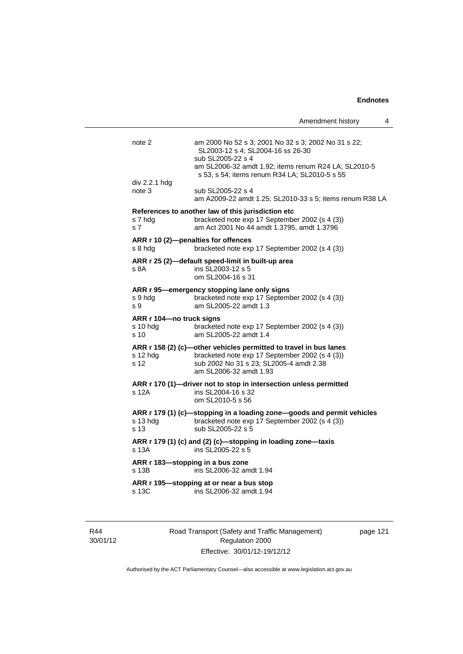Amendment history 4 note 2 am 2000 No 52 s 3; 2001 No 32 s 3; 2002 No 31 s 22; SL2003-12 s 4; SL2004-16 ss 26-30 sub SL2005-22 s 4 am SL2006-32 amdt 1.92; items renum R24 LA; SL2010-5 s 53, s 54; items renum R34 LA; SL2010-5 s 55 div 2.2.1 hdg note 3 sub SL2005-22 s 4 am A2009-22 amdt 1.25; SL2010-33 s 5; items renum R38 LA **References to another law of this jurisdiction etc**  s 7 hdg bracketed note exp 17 September 2002 (s 4 (3)) s 7 am Act 2001 No 44 amdt 1.3795, amdt 1.3796 **ARR r 10 (2)—penalties for offences**  s 8 hdg bracketed note exp 17 September 2002 (s 4 (3)) **ARR r 25 (2)—default speed-limit in built-up area**  s 8A **ins SL2003-12 s 5** om SL2004-16 s 31 **ARR r 95—emergency stopping lane only signs**  s 9 hdg bracketed note exp 17 September 2002 (s 4 (3)) s 9 am SL2005-22 amdt 1.3 **ARR r 104—no truck signs**  s 10 hdg bracketed note exp 17 September 2002 (s 4 (3)) s 10 am SL2005-22 amdt 1.4 **ARR r 158 (2) (c)—other vehicles permitted to travel in bus lanes**  s 12 hdg bracketed note exp 17 September 2002 (s 4 (3)) s 12 sub 2002 No 31 s 23; SL2005-4 amdt 2.38 am SL2006-32 amdt 1.93 **ARR r 170 (1)—driver not to stop in intersection unless permitted**  s 12A ins SL2004-16 s 32 om SL2010-5 s 56 **ARR r 179 (1) (c)—stopping in a loading zone—goods and permit vehicles**  s 13 hdg bracketed note exp 17 September 2002 (s 4 (3)) s 13 sub SL2005-22 s 5 **ARR r 179 (1) (c) and (2) (c)—stopping in loading zone—taxis**   $\overrightarrow{S}$  13A ins SL2005-22 s 5 **ARR r 183—stopping in a bus zone**  s 13B ins SL2006-32 amdt 1.94 **ARR r 195—stopping at or near a bus stop**  s 13C ins SL2006-32 amdt 1.94

R44 30/01/12 Road Transport (Safety and Traffic Management) Regulation 2000 Effective: 30/01/12-19/12/12

page 121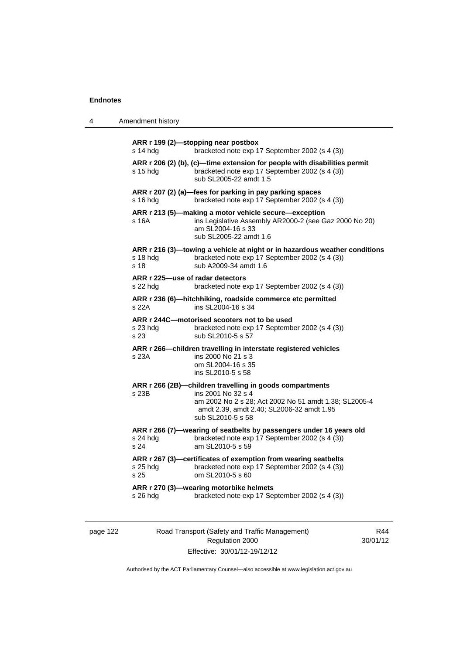| 4 | Amendment history |
|---|-------------------|
|---|-------------------|

| s 14 hdg                                     | ARR r 199 (2)-stopping near postbox<br>bracketed note exp 17 September 2002 (s 4 (3))                                                                                                                     |
|----------------------------------------------|-----------------------------------------------------------------------------------------------------------------------------------------------------------------------------------------------------------|
| s 15 hdg                                     | ARR r 206 (2) (b), (c)-time extension for people with disabilities permit<br>bracketed note exp 17 September 2002 (s 4 (3))<br>sub SL2005-22 amdt 1.5                                                     |
| s 16 hdg                                     | ARR r 207 (2) (a)-fees for parking in pay parking spaces<br>bracketed note exp 17 September 2002 (s 4 (3))                                                                                                |
| s 16A                                        | ARR r 213 (5)-making a motor vehicle secure-exception<br>ins Legislative Assembly AR2000-2 (see Gaz 2000 No 20)<br>am SL2004-16 s 33<br>sub SL2005-22 amdt 1.6                                            |
| s 18 hdg<br>s 18                             | ARR r 216 (3)—towing a vehicle at night or in hazardous weather conditions<br>bracketed note exp 17 September 2002 (s 4 (3))<br>sub A2009-34 amdt 1.6                                                     |
| ARR r 225—use of radar detectors<br>s 22 hdg | bracketed note exp 17 September 2002 (s 4 (3))                                                                                                                                                            |
| s 22A                                        | ARR r 236 (6)-hitchhiking, roadside commerce etc permitted<br>ins SL2004-16 s 34                                                                                                                          |
| $s$ 23 hdg<br>s 23                           | ARR r 244C-motorised scooters not to be used<br>bracketed note exp 17 September 2002 (s 4 (3))<br>sub SL2010-5 s 57                                                                                       |
| s 23A                                        | ARR r 266-children travelling in interstate registered vehicles<br>ins 2000 No 21 s 3<br>om SL2004-16 s 35<br>ins SL2010-5 s 58                                                                           |
| s 23B                                        | ARR r 266 (2B)-children travelling in goods compartments<br>ins 2001 No 32 s 4<br>am 2002 No 2 s 28; Act 2002 No 51 amdt 1.38; SL2005-4<br>amdt 2.39, amdt 2.40; SL2006-32 amdt 1.95<br>sub SL2010-5 s 58 |
| s 24 hdg<br>s 24                             | ARR r 266 (7)-wearing of seatbelts by passengers under 16 years old<br>bracketed note exp 17 September 2002 (s 4 (3))<br>am SL2010-5 s 59                                                                 |
| s 25 hdg<br>s 25                             | ARR r 267 (3)—certificates of exemption from wearing seatbelts<br>bracketed note exp 17 September 2002 (s 4 (3))<br>om SL2010-5 s 60                                                                      |
| s 26 hdg                                     | ARR r 270 (3)—wearing motorbike helmets<br>bracketed note exp 17 September 2002 (s 4 (3))                                                                                                                 |

| page 122 |  |  |
|----------|--|--|
|----------|--|--|

122 Road Transport (Safety and Traffic Management) Regulation 2000 Effective: 30/01/12-19/12/12

R44 30/01/12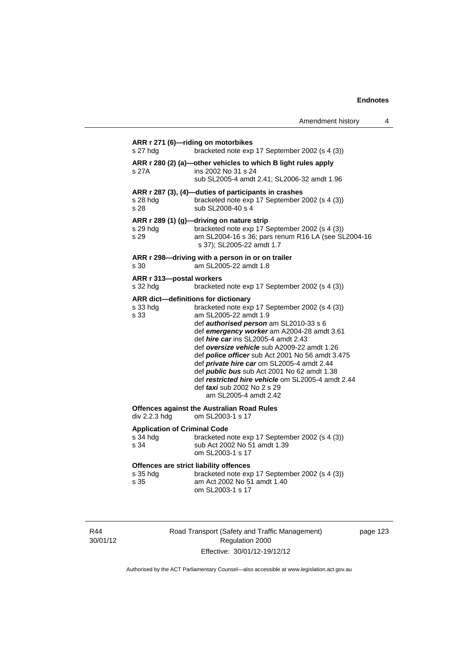| Amendment history |  |
|-------------------|--|
|-------------------|--|

| s 27 hdg                                                   | ARR r 271 (6)-riding on motorbikes<br>bracketed note exp 17 September 2002 (s 4 (3))                                                                                                                                                                                                                                                                                                                                                                                                                                                                              |
|------------------------------------------------------------|-------------------------------------------------------------------------------------------------------------------------------------------------------------------------------------------------------------------------------------------------------------------------------------------------------------------------------------------------------------------------------------------------------------------------------------------------------------------------------------------------------------------------------------------------------------------|
| s 27A                                                      | ARR r 280 (2) (a)-other vehicles to which B light rules apply<br>ins 2002 No 31 s 24<br>sub SL2005-4 amdt 2.41; SL2006-32 amdt 1.96                                                                                                                                                                                                                                                                                                                                                                                                                               |
| s 28 hdg<br>s 28                                           | ARR r 287 (3), (4)-duties of participants in crashes<br>bracketed note exp 17 September 2002 (s 4 (3))<br>sub SL2008-40 s 4                                                                                                                                                                                                                                                                                                                                                                                                                                       |
| s 29 hdg<br>s 29                                           | ARR r 289 (1) (g)-driving on nature strip<br>bracketed note exp 17 September 2002 (s 4 (3))<br>am SL2004-16 s 36; pars renum R16 LA (see SL2004-16<br>s 37); SL2005-22 amdt 1.7                                                                                                                                                                                                                                                                                                                                                                                   |
| s 30                                                       | ARR r 298-driving with a person in or on trailer<br>am SL2005-22 amdt 1.8                                                                                                                                                                                                                                                                                                                                                                                                                                                                                         |
| ARR r 313-postal workers<br>s 32 hdg                       | bracketed note exp 17 September 2002 (s 4 (3))                                                                                                                                                                                                                                                                                                                                                                                                                                                                                                                    |
| s 33 hdg<br>s 33                                           | ARR dict-definitions for dictionary<br>bracketed note exp 17 September 2002 (s 4 (3))<br>am SL2005-22 amdt 1.9<br>def authorised person am SL2010-33 s 6<br>def emergency worker am A2004-28 amdt 3.61<br>def hire car ins SL2005-4 amdt 2.43<br>def oversize vehicle sub A2009-22 amdt 1.26<br>def police officer sub Act 2001 No 56 amdt 3.475<br>def private hire car om SL2005-4 amdt 2.44<br>def public bus sub Act 2001 No 62 amdt 1.38<br>def restricted hire vehicle om SL2005-4 amdt 2.44<br>def <i>taxi</i> sub 2002 No 2 s 29<br>am SL2005-4 amdt 2.42 |
| div 2.2.3 hdg                                              | <b>Offences against the Australian Road Rules</b><br>om SL2003-1 s 17                                                                                                                                                                                                                                                                                                                                                                                                                                                                                             |
| <b>Application of Criminal Code</b><br>s 34 hdg<br>s 34    | bracketed note exp 17 September 2002 (s 4 (3))<br>sub Act 2002 No 51 amdt 1.39<br>om SL2003-1 s 17                                                                                                                                                                                                                                                                                                                                                                                                                                                                |
| Offences are strict liability offences<br>s 35 hdg<br>s 35 | bracketed note exp 17 September 2002 (s 4 (3))<br>am Act 2002 No 51 amdt 1.40<br>om SL2003-1 s 17                                                                                                                                                                                                                                                                                                                                                                                                                                                                 |

R44 30/01/12 Road Transport (Safety and Traffic Management) Regulation 2000 Effective: 30/01/12-19/12/12

page 123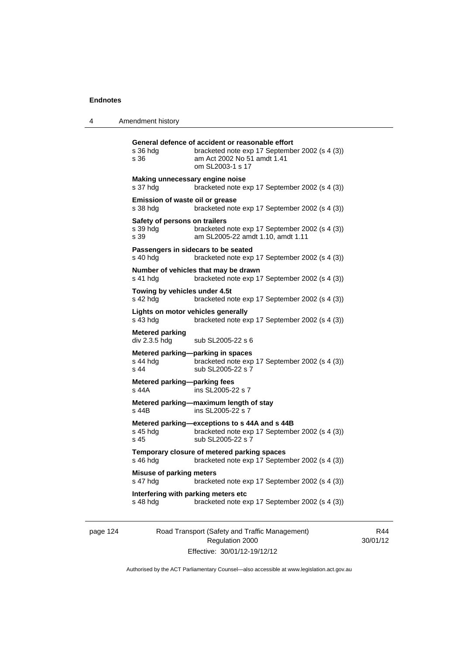| Amendment history |
|-------------------|
|                   |

| s 36 hdg<br>s 36                                  | General defence of accident or reasonable effort<br>bracketed note exp 17 September 2002 (s 4 (3))<br>am Act 2002 No 51 amdt 1.41<br>om SL2003-1 s 17 |
|---------------------------------------------------|-------------------------------------------------------------------------------------------------------------------------------------------------------|
| Making unnecessary engine noise<br>s 37 hdg       | bracketed note exp 17 September 2002 (s 4 (3))                                                                                                        |
| Emission of waste oil or grease<br>s 38 hdg       | bracketed note exp 17 September 2002 (s 4 (3))                                                                                                        |
| Safety of persons on trailers<br>s 39 hdg<br>s 39 | bracketed note exp 17 September 2002 (s 4 (3))<br>am SL2005-22 amdt 1.10, amdt 1.11                                                                   |
| s 40 hdg                                          | Passengers in sidecars to be seated<br>bracketed note exp 17 September 2002 (s 4 (3))                                                                 |
| s 41 hdg                                          | Number of vehicles that may be drawn<br>bracketed note exp 17 September 2002 (s 4 (3))                                                                |
| Towing by vehicles under 4.5t<br>s 42 hdg         | bracketed note exp 17 September 2002 (s 4 (3))                                                                                                        |
| Lights on motor vehicles generally<br>s 43 hdg    | bracketed note exp 17 September 2002 (s 4 (3))                                                                                                        |
| <b>Metered parking</b><br>div 2.3.5 hdg           | sub SL2005-22 s 6                                                                                                                                     |
| s 44 hdg<br>$s$ 44                                | Metered parking-parking in spaces<br>bracketed note exp 17 September 2002 (s 4 (3))<br>sub SL2005-22 s 7                                              |
| Metered parking-parking fees<br>s 44A             | ins SL2005-22 s 7                                                                                                                                     |
| s 44B                                             | Metered parking-maximum length of stay<br>ins SL2005-22 s 7                                                                                           |
| s 45 hda<br>s 45                                  | Metered parking-exceptions to s 44A and s 44B<br>bracketed note exp 17 September 2002 (s 4 (3))<br>sub SL2005-22 s 7                                  |
| s 46 hdg                                          | Temporary closure of metered parking spaces<br>bracketed note exp 17 September 2002 (s 4 (3))                                                         |
| <b>Misuse of parking meters</b><br>s 47 hdg       | bracketed note exp 17 September 2002 (s 4 (3))                                                                                                        |
| Interfering with parking meters etc<br>s 48 hdg   | bracketed note exp 17 September 2002 (s 4 (3))                                                                                                        |
|                                                   |                                                                                                                                                       |

page 124 Road Transport (Safety and Traffic Management) Regulation 2000 Effective: 30/01/12-19/12/12

R44 30/01/12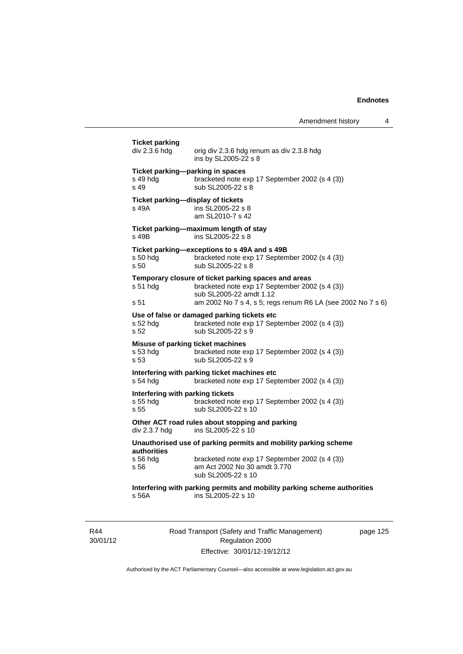Amendment history 4

**Ticket parking**  orig div 2.3.6 hdg renum as div 2.3.8 hdg ins by SL2005-22 s 8 **Ticket parking—parking in spaces**  s 49 hdg bracketed note exp 17 September 2002 (s 4 (3)) s 49 sub SL2005-22 s 8 **Ticket parking—display of tickets**  s 49A ins SL2005-22 s 8 am SL2010-7 s 42 **Ticket parking—maximum length of stay**  s 49B ins SL2005-22 s 8 **Ticket parking—exceptions to s 49A and s 49B**  s 50 hdg bracketed note exp 17 September 2002 (s 4 (3)) s 50 sub SL2005-22 s 8 **Temporary closure of ticket parking spaces and areas**  s 51 hdg bracketed note exp 17 September 2002 (s 4 (3)) sub SL2005-22 amdt 1.12 s 51 am 2002 No 7 s 4, s 5; regs renum R6 LA (see 2002 No 7 s 6) **Use of false or damaged parking tickets etc**  s 52 hdg bracketed note exp 17 September 2002 (s 4 (3)) s 52 sub SL2005-22 s 9 **Misuse of parking ticket machines**<br>s 53 hdg bracketed note e. bracketed note exp 17 September 2002 (s 4 (3)) s 53 sub SL2005-22 s 9 **Interfering with parking ticket machines etc**  s 54 hdg bracketed note exp 17 September 2002 (s 4 (3)) **Interfering with parking tickets**  s 55 hdg bracketed note exp 17 September 2002 (s 4 (3)) s 55 sub SL2005-22 s 10 **Other ACT road rules about stopping and parking div 2.3.7 hdg ins SL2005-22 s 10** ins SL2005-22 s  $10$ **Unauthorised use of parking permits and mobility parking scheme authorities**  bracketed note exp 17 September 2002 (s 4 (3)) s 56 am Act 2002 No 30 amdt 3.770 sub SL2005-22 s 10 **Interfering with parking permits and mobility parking scheme authorities**  s 56A ins SL2005-22 s 10

R44 30/01/12 Road Transport (Safety and Traffic Management) Regulation 2000 Effective: 30/01/12-19/12/12

page 125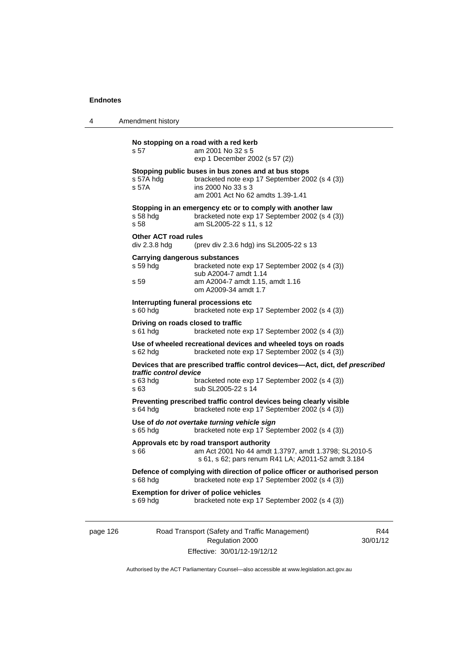4 Amendment history

| s 57                                         | am 2001 No 32 s 5<br>exp 1 December 2002 (s 57 (2))                                                                                                              |
|----------------------------------------------|------------------------------------------------------------------------------------------------------------------------------------------------------------------|
| s 57A hdg<br>s 57A                           | Stopping public buses in bus zones and at bus stops<br>bracketed note exp 17 September 2002 (s 4 (3))<br>ins 2000 No 33 s 3<br>am 2001 Act No 62 amdts 1.39-1.41 |
| s 58 hda<br>s 58                             | Stopping in an emergency etc or to comply with another law<br>bracketed note exp 17 September 2002 (s 4 (3))<br>am SL2005-22 s 11, s 12                          |
| <b>Other ACT road rules</b><br>div 2.3.8 hdg | (prev div 2.3.6 hdg) ins SL2005-22 s 13                                                                                                                          |
| s 59 hda                                     | <b>Carrying dangerous substances</b><br>bracketed note exp 17 September 2002 (s 4 (3))<br>sub A2004-7 amdt 1.14                                                  |
| s 59                                         | am A2004-7 amdt 1.15, amdt 1.16<br>om A2009-34 amdt 1.7                                                                                                          |
| s 60 hdg                                     | Interrupting funeral processions etc<br>bracketed note exp 17 September 2002 (s 4 (3))                                                                           |
| s 61 hda                                     | Driving on roads closed to traffic<br>bracketed note exp 17 September 2002 (s 4 (3))                                                                             |
| s 62 hdg                                     | Use of wheeled recreational devices and wheeled toys on roads<br>bracketed note exp 17 September 2002 (s 4 (3))                                                  |
| traffic control device                       | Devices that are prescribed traffic control devices-Act, dict, def prescribed                                                                                    |
| s 63 hdg<br>s 63                             | bracketed note exp 17 September 2002 (s 4 (3))<br>sub SL2005-22 s 14                                                                                             |
| s 64 hdg                                     | Preventing prescribed traffic control devices being clearly visible<br>bracketed note exp 17 September 2002 (s 4 (3))                                            |
| s 65 hdg                                     | Use of do not overtake turning vehicle sign<br>bracketed note exp 17 September 2002 (s 4 (3))                                                                    |
| s 66                                         | Approvals etc by road transport authority<br>am Act 2001 No 44 amdt 1.3797, amdt 1.3798; SL2010-5<br>s 61, s 62; pars renum R41 LA; A2011-52 amdt 3.184          |
|                                              | Defence of complying with direction of police officer or authorised person<br>bracketed note exp 17 September 2002 (s 4 (3))                                     |
| s 68 hdg                                     |                                                                                                                                                                  |

page 126 Road Transport (Safety and Traffic Management) Regulation 2000 Effective: 30/01/12-19/12/12

R44 30/01/12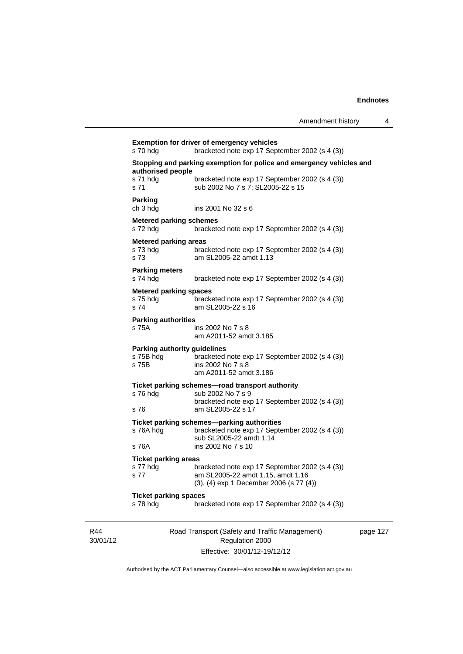|                 | s 70 hdg                                                                                   | <b>Exemption for driver of emergency vehicles</b><br>bracketed note exp 17 September 2002 (s 4 (3))                                         |          |  |
|-----------------|--------------------------------------------------------------------------------------------|---------------------------------------------------------------------------------------------------------------------------------------------|----------|--|
|                 | Stopping and parking exemption for police and emergency vehicles and<br>authorised people  |                                                                                                                                             |          |  |
|                 | s 71 hdg<br>s 71                                                                           | bracketed note exp 17 September 2002 (s 4 (3))<br>sub 2002 No 7 s 7; SL2005-22 s 15                                                         |          |  |
|                 | <b>Parking</b><br>ch 3 hdg                                                                 | ins 2001 No 32 s 6                                                                                                                          |          |  |
|                 | <b>Metered parking schemes</b><br>s 72 hdg                                                 | bracketed note exp 17 September 2002 (s 4 (3))                                                                                              |          |  |
|                 | <b>Metered parking areas</b><br>s 73 hdg<br>s 73                                           | bracketed note exp 17 September 2002 (s 4 (3))<br>am SL2005-22 amdt 1.13                                                                    |          |  |
|                 | <b>Parking meters</b><br>s 74 hdg                                                          | bracketed note exp 17 September 2002 (s 4 (3))                                                                                              |          |  |
|                 | <b>Metered parking spaces</b><br>s 75 hdg<br>s 74                                          | bracketed note exp 17 September 2002 (s 4 (3))<br>am SL2005-22 s 16                                                                         |          |  |
|                 | <b>Parking authorities</b><br>s 75A                                                        | ins 2002 No 7 s 8<br>am A2011-52 amdt 3.185                                                                                                 |          |  |
|                 | Parking authority guidelines<br>s 75B hdg<br>s 75B                                         | bracketed note exp 17 September 2002 (s 4 (3))<br>ins 2002 No 7 s 8<br>am A2011-52 amdt 3.186                                               |          |  |
|                 | s 76 hdg<br>s 76                                                                           | Ticket parking schemes-road transport authority<br>sub 2002 No 7 s 9<br>bracketed note exp 17 September 2002 (s 4 (3))<br>am SL2005-22 s 17 |          |  |
|                 | s 76A hdg                                                                                  | Ticket parking schemes-parking authorities<br>bracketed note exp 17 September 2002 (s 4 (3))<br>sub SL2005-22 amdt 1.14                     |          |  |
|                 | s 76A                                                                                      | ins 2002 No 7 s 10                                                                                                                          |          |  |
|                 | <b>Ticket parking areas</b><br>s 77 hdg<br>s 77                                            | bracketed note exp 17 September 2002 (s 4 (3))<br>am SL2005-22 amdt 1.15, amdt 1.16<br>(3), (4) exp 1 December 2006 (s 77 (4))              |          |  |
|                 | <b>Ticket parking spaces</b><br>s 78 hdg<br>bracketed note exp 17 September 2002 (s 4 (3)) |                                                                                                                                             |          |  |
| R44<br>30/01/12 |                                                                                            | Road Transport (Safety and Traffic Management)<br>Regulation 2000                                                                           | page 127 |  |
|                 |                                                                                            | Effective: 30/01/12-19/12/12                                                                                                                |          |  |

Authorised by the ACT Parliamentary Counsel—also accessible at www.legislation.act.gov.au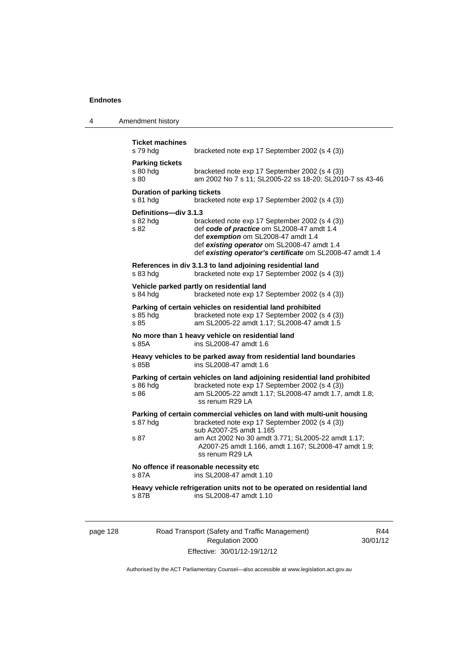| 4 | Amendment history |
|---|-------------------|
|---|-------------------|

| <b>Ticket machines</b><br>s 79 hdg        | bracketed note exp 17 September 2002 (s 4 (3))                                                                                                                                                                                                  |
|-------------------------------------------|-------------------------------------------------------------------------------------------------------------------------------------------------------------------------------------------------------------------------------------------------|
| <b>Parking tickets</b>                    |                                                                                                                                                                                                                                                 |
| s 80 hdg<br>s 80                          | bracketed note exp 17 September 2002 (s 4 (3))<br>am 2002 No 7 s 11; SL2005-22 ss 18-20; SL2010-7 ss 43-46                                                                                                                                      |
| <b>Duration of parking tickets</b>        |                                                                                                                                                                                                                                                 |
| s 81 hdg                                  | bracketed note exp 17 September 2002 (s 4 (3))                                                                                                                                                                                                  |
| Definitions-div 3.1.3<br>s 82 hda<br>s 82 | bracketed note exp 17 September 2002 (s 4 (3))<br>def code of practice om SL2008-47 amdt 1.4<br>def exemption om SL2008-47 amdt 1.4<br>def existing operator om SL2008-47 amdt 1.4<br>def existing operator's certificate om SL2008-47 amdt 1.4 |
| s 83 hdg                                  | References in div 3.1.3 to land adjoining residential land<br>bracketed note exp 17 September 2002 (s 4 (3))                                                                                                                                    |
| s 84 hdg                                  | Vehicle parked partly on residential land<br>bracketed note exp 17 September 2002 (s 4 (3))                                                                                                                                                     |
| s 85 hdg<br>s.85                          | Parking of certain vehicles on residential land prohibited<br>bracketed note exp 17 September 2002 (s 4 (3))<br>am SL2005-22 amdt 1.17; SL2008-47 amdt 1.5                                                                                      |
| s 85A                                     | No more than 1 heavy vehicle on residential land<br>ins SL2008-47 amdt 1.6                                                                                                                                                                      |
| s 85B                                     | Heavy vehicles to be parked away from residential land boundaries<br>ins SL2008-47 amdt 1.6                                                                                                                                                     |
| s 86 hdg<br>s 86                          | Parking of certain vehicles on land adjoining residential land prohibited<br>bracketed note exp 17 September 2002 (s 4 (3))<br>am SL2005-22 amdt 1.17; SL2008-47 amdt 1.7, amdt 1.8;<br>ss renum R29 LA                                         |
|                                           | Parking of certain commercial vehicles on land with multi-unit housing                                                                                                                                                                          |
| s 87 hdg                                  | bracketed note exp 17 September 2002 (s 4 (3))                                                                                                                                                                                                  |
| s 87                                      | sub A2007-25 amdt 1.165<br>am Act 2002 No 30 amdt 3.771; SL2005-22 amdt 1.17;<br>A2007-25 amdt 1.166, amdt 1.167; SL2008-47 amdt 1.9;<br>ss renum R29 LA                                                                                        |
| s 87A                                     | No offence if reasonable necessity etc<br>ins SL2008-47 amdt 1.10                                                                                                                                                                               |
| s 87B                                     | Heavy vehicle refrigeration units not to be operated on residential land<br>ins SL2008-47 amdt 1.10                                                                                                                                             |

page 128 Road Transport (Safety and Traffic Management) Regulation 2000 Effective: 30/01/12-19/12/12

R44 30/01/12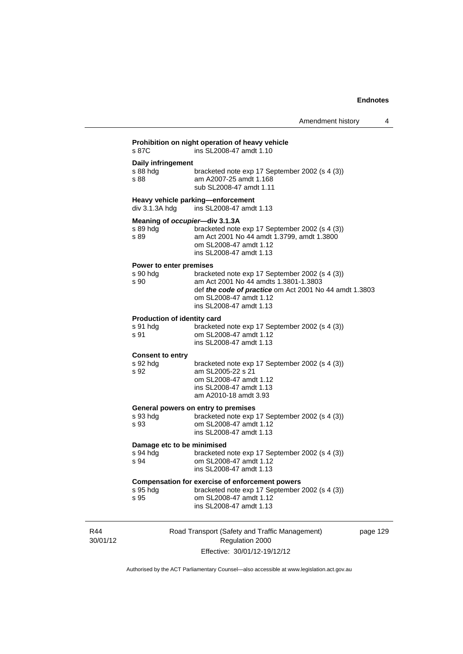|                                                    | Amendment history                                                                                                                                                                                      | 4 |
|----------------------------------------------------|--------------------------------------------------------------------------------------------------------------------------------------------------------------------------------------------------------|---|
| s 87C                                              | Prohibition on night operation of heavy vehicle<br>ins SL2008-47 amdt 1.10                                                                                                                             |   |
| Daily infringement<br>s 88 hdg<br>s 88             | bracketed note exp 17 September 2002 (s 4 (3))<br>am A2007-25 amdt 1.168<br>sub SL2008-47 amdt 1.11                                                                                                    |   |
| div 3.1.3A hdg                                     | Heavy vehicle parking-enforcement<br>ins SL2008-47 amdt 1.13                                                                                                                                           |   |
| Meaning of occupier-div 3.1.3A<br>s 89 hdg<br>s 89 | bracketed note exp 17 September 2002 (s 4 (3))<br>am Act 2001 No 44 amdt 1.3799, amdt 1.3800<br>om SL2008-47 amdt 1.12<br>ins SL2008-47 amdt 1.13                                                      |   |
| Power to enter premises<br>s 90 hdg<br>s 90        | bracketed note exp 17 September 2002 (s 4 (3))<br>am Act 2001 No 44 amdts 1.3801-1.3803<br>def the code of practice om Act 2001 No 44 amdt 1.3803<br>om SL2008-47 amdt 1.12<br>ins SL2008-47 amdt 1.13 |   |
| Production of identity card<br>s 91 hda<br>s 91    | bracketed note exp 17 September 2002 (s 4 (3))<br>om SL2008-47 amdt 1.12<br>ins SL2008-47 amdt 1.13                                                                                                    |   |
| <b>Consent to entry</b><br>s 92 hdg<br>s 92        | bracketed note exp 17 September 2002 (s 4 (3))<br>am SL2005-22 s 21<br>om SL2008-47 amdt 1.12<br>ins SL2008-47 amdt 1.13<br>am A2010-18 amdt 3.93                                                      |   |
| s 93 hda<br>s 93                                   | General powers on entry to premises<br>bracketed note exp 17 September 2002 (s 4 (3))<br>om SL2008-47 amdt 1.12<br>ins SL2008-47 amdt 1.13                                                             |   |
| Damage etc to be minimised<br>s 94 hdg<br>s 94     | bracketed note exp 17 September 2002 (s 4 (3))<br>om SL2008-47 amdt 1.12<br>ins SL2008-47 amdt 1.13                                                                                                    |   |
| s 95 hdg<br>s 95                                   | <b>Compensation for exercise of enforcement powers</b><br>bracketed note exp 17 September 2002 (s 4 (3))<br>om SL2008-47 amdt 1.12<br>ins SL2008-47 amdt 1.13                                          |   |
|                                                    |                                                                                                                                                                                                        |   |

R44 30/01/12 Road Transport (Safety and Traffic Management) Regulation 2000 Effective: 30/01/12-19/12/12

page 129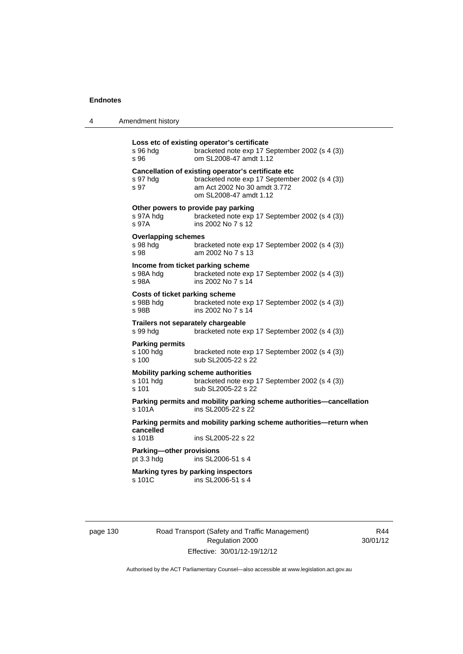| 4 | Amendment history |
|---|-------------------|
|---|-------------------|

| s 96 hdg<br>s 96                                                 | Loss etc of existing operator's certificate<br>bracketed note exp 17 September 2002 (s 4 (3))<br>om SL2008-47 amdt 1.12                                         |
|------------------------------------------------------------------|-----------------------------------------------------------------------------------------------------------------------------------------------------------------|
| s 97 hdg<br>s 97                                                 | Cancellation of existing operator's certificate etc<br>bracketed note exp 17 September 2002 (s 4 (3))<br>am Act 2002 No 30 amdt 3.772<br>om SL2008-47 amdt 1.12 |
| s 97A hdg<br>s 97A                                               | Other powers to provide pay parking<br>bracketed note exp 17 September 2002 (s 4 (3))<br>ins 2002 No 7 s 12                                                     |
| <b>Overlapping schemes</b><br>s 98 hdg<br>s 98                   | bracketed note exp 17 September 2002 (s 4 (3))<br>am 2002 No 7 s 13                                                                                             |
| Income from ticket parking scheme<br>s 98A hdg<br>s 98A          | bracketed note exp 17 September 2002 (s 4 (3))<br>ins 2002 No 7 s 14                                                                                            |
| <b>Costs of ticket parking scheme</b><br>s 98B hdg<br>s 98B      | bracketed note exp 17 September 2002 (s 4 (3))<br>ins 2002 No 7 s 14                                                                                            |
| Trailers not separately chargeable<br>s 99 hda                   | bracketed note exp 17 September 2002 (s 4 (3))                                                                                                                  |
| <b>Parking permits</b><br>s 100 hdg<br>s, 100                    | bracketed note exp 17 September 2002 (s 4 (3))<br>sub SL2005-22 s 22                                                                                            |
| <b>Mobility parking scheme authorities</b><br>s 101 hdg<br>s 101 | bracketed note exp 17 September 2002 (s 4 (3))<br>sub SL2005-22 s 22                                                                                            |
| s 101A                                                           | Parking permits and mobility parking scheme authorities-cancellation<br>ins SL2005-22 s 22                                                                      |
| cancelled                                                        | Parking permits and mobility parking scheme authorities—return when                                                                                             |
| s 101B                                                           | ins SL2005-22 s 22                                                                                                                                              |
| <b>Parking-other provisions</b><br>pt 3.3 hdg                    | ins SL2006-51 s 4                                                                                                                                               |
| s 101C                                                           | Marking tyres by parking inspectors<br>ins SL2006-51 s 4                                                                                                        |
|                                                                  |                                                                                                                                                                 |

page 130 Road Transport (Safety and Traffic Management) Regulation 2000 Effective: 30/01/12-19/12/12

R44 30/01/12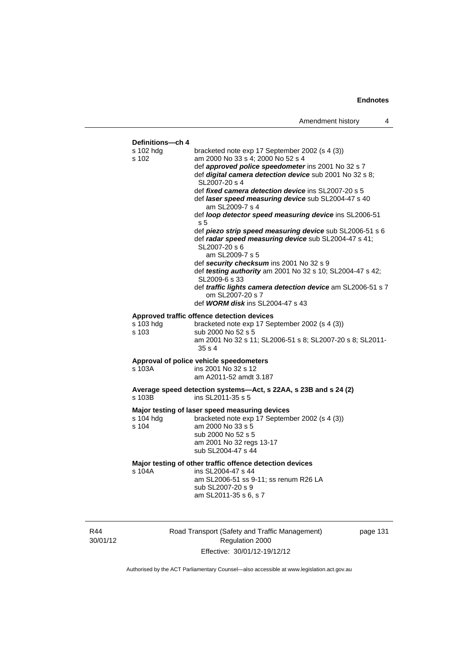

Authorised by the ACT Parliamentary Counsel—also accessible at www.legislation.act.gov.au

Effective: 30/01/12-19/12/12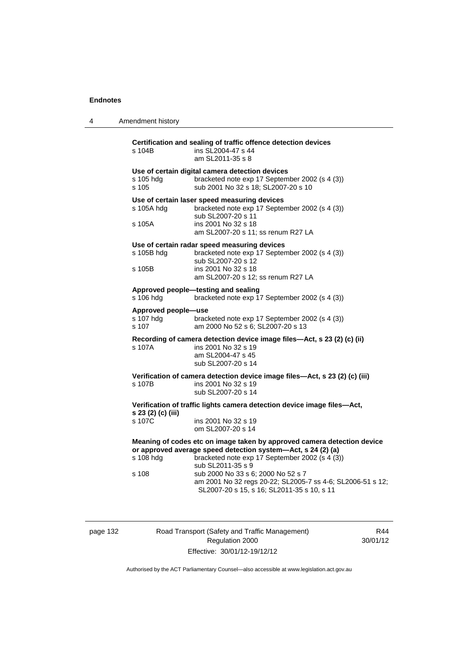4 Amendment history

**Certification and sealing of traffic offence detection devices**  s 104B ins SL2004-47 s 44 am SL2011-35 s 8 **Use of certain digital camera detection devices**  s 105 hdg bracketed note exp 17 September 2002 (s 4 (3)) s 105 sub 2001 No 32 s 18; SL2007-20 s 10 **Use of certain laser speed measuring devices**  s 105A hdg bracketed note exp 17 September 2002 (s 4 (3)) sub SL2007-20 s 11 s 105A ins 2001 No 32 s 18 am SL2007-20 s 11; ss renum R27 LA **Use of certain radar speed measuring devices**  s 105B hdg bracketed note exp 17 September 2002 (s 4 (3)) sub SL2007-20 s 12<br>s 105B ins 2001 No 32 s 18 ins 2001 No 32 s 18 am SL2007-20 s 12; ss renum R27 LA **Approved people—testing and sealing**  s 106 hdg bracketed note exp 17 September 2002 (s 4 (3)) **Approved people—use**  bracketed note exp 17 September 2002 (s 4 (3)) s 107 am 2000 No 52 s 6; SL2007-20 s 13 **Recording of camera detection device image files—Act, s 23 (2) (c) (ii)**  s 107A ins 2001 No 32 s 19 am SL2004-47 s 45 sub SL2007-20 s 14 **Verification of camera detection device image files—Act, s 23 (2) (c) (iii)**  s 107B ins 2001 No 32 s 19 sub SL2007-20 s 14 **Verification of traffic lights camera detection device image files—Act, s 23 (2) (c) (iii)**  ins 2001 No 32 s 19 om SL2007-20 s 14 **Meaning of codes etc on image taken by approved camera detection device or approved average speed detection system—Act, s 24 (2) (a)**  s 108 hdg bracketed note exp 17 September 2002 (s 4 (3)) sub SL2011-35 s 9 s 108 sub 2000 No 33 s 6; 2000 No 52 s 7 am 2001 No 32 regs 20-22; SL2005-7 ss 4-6; SL2006-51 s 12; SL2007-20 s 15, s 16; SL2011-35 s 10, s 11

page 132 Road Transport (Safety and Traffic Management) Regulation 2000 Effective: 30/01/12-19/12/12

R44 30/01/12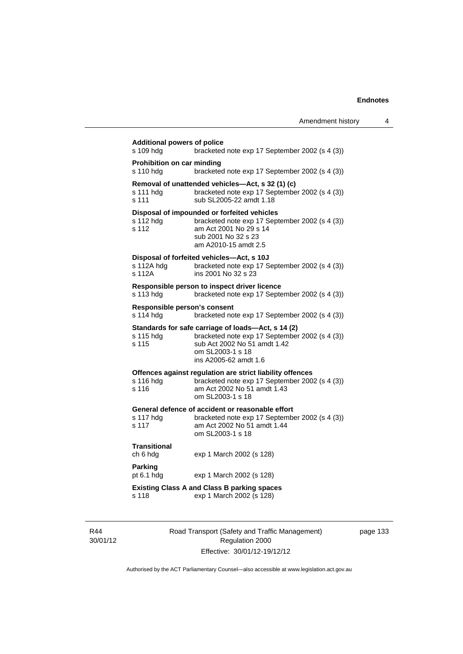| <b>Additional powers of police</b><br>s 109 hdg<br>bracketed note exp 17 September 2002 (s 4 (3)) |                                                                                                                                                                                   |  |  |
|---------------------------------------------------------------------------------------------------|-----------------------------------------------------------------------------------------------------------------------------------------------------------------------------------|--|--|
| Prohibition on car minding<br>s 110 hdg                                                           | bracketed note exp 17 September 2002 (s 4 (3))                                                                                                                                    |  |  |
| s 111 hdg<br>s 111                                                                                | Removal of unattended vehicles-Act, s 32 (1) (c)<br>bracketed note exp 17 September 2002 (s 4 (3))<br>sub SL2005-22 amdt 1.18                                                     |  |  |
| s 112 hdg<br>s 112                                                                                | Disposal of impounded or forfeited vehicles<br>bracketed note exp 17 September 2002 (s 4 (3))<br>am Act 2001 No 29 s 14<br>sub 2001 No 32 s 23<br>am A2010-15 amdt 2.5            |  |  |
| s 112A hdq<br>s 112A                                                                              | Disposal of forfeited vehicles-Act, s 10J<br>bracketed note exp 17 September 2002 (s 4 (3))<br>ins 2001 No 32 s 23                                                                |  |  |
| s 113 hdg                                                                                         | Responsible person to inspect driver licence<br>bracketed note exp 17 September 2002 (s 4 (3))                                                                                    |  |  |
| Responsible person's consent<br>s 114 hdg                                                         | bracketed note exp 17 September 2002 (s 4 (3))                                                                                                                                    |  |  |
| s 115 hdg<br>s 115                                                                                | Standards for safe carriage of loads-Act, s 14 (2)<br>bracketed note exp 17 September 2002 (s 4 (3))<br>sub Act 2002 No 51 amdt 1.42<br>om SL2003-1 s 18<br>ins A2005-62 amdt 1.6 |  |  |
| s 116 hdg<br>s 116                                                                                | Offences against regulation are strict liability offences<br>bracketed note exp 17 September 2002 (s 4 (3))<br>am Act 2002 No 51 amdt 1.43<br>om SL 2003-1 s 18                   |  |  |
| s 117 hdg<br>s 117                                                                                | General defence of accident or reasonable effort<br>bracketed note exp 17 September 2002 (s 4 (3))<br>am Act 2002 No 51 amdt 1.44<br>om SL2003-1 s 18                             |  |  |
| Transitional<br>ch 6 hdg                                                                          | exp 1 March 2002 (s 128)                                                                                                                                                          |  |  |
| Parking<br>pt $6.1$ hdg                                                                           | exp 1 March 2002 (s 128)                                                                                                                                                          |  |  |
| s 118                                                                                             | <b>Existing Class A and Class B parking spaces</b><br>exp 1 March 2002 (s 128)                                                                                                    |  |  |
|                                                                                                   |                                                                                                                                                                                   |  |  |

R44 30/01/12 Road Transport (Safety and Traffic Management) Regulation 2000 Effective: 30/01/12-19/12/12

page 133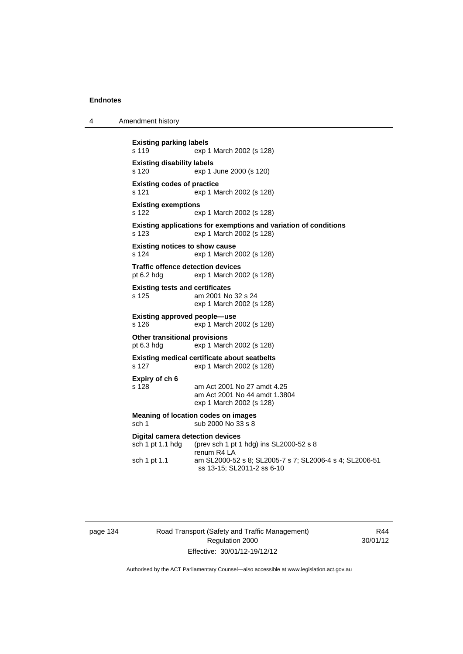4 Amendment history

```
Existing parking labels 
s 119 exp 1 March 2002 (s 128) 
Existing disability labels 
s 120 exp 1 June 2000 (s 120) 
Existing codes of practice 
s 121 exp 1 March 2002 (s 128) 
Existing exemptions 
s 122 exp 1 March 2002 (s 128) 
Existing applications for exemptions and variation of conditions 
s 123 exp 1 March 2002 (s 128) 
Existing notices to show cause 
s 124 exp 1 March 2002 (s 128) 
Traffic offence detection devices 
pt 6.2 hdg exp 1 March 2002 (s 128) 
Existing tests and certificates 
s 125 am 2001 No 32 s 24 
                  exp 1 March 2002 (s 128) 
Existing approved people—use 
s 126 exp 1 March 2002 (s 128) 
Other transitional provisions 
pt 6.3 hdg exp 1 March 2002 (s 128) 
Existing medical certificate about seatbelts 
s 127 exp 1 March 2002 (s 128) 
Expiry of ch 6 
                 am Act 2001 No 27 amdt 4.25
                  am Act 2001 No 44 amdt 1.3804 
                  exp 1 March 2002 (s 128) 
Meaning of location codes on images 
sch 1 sub 2000 No 33 s 8
Digital camera detection devices 
sch 1 pt 1.1 hdg (prev sch 1 pt 1 hdg) ins SL2000-52 s 8 
                  renum R4 LA 
sch 1 pt 1.1 am SL2000-52 s 8; SL2005-7 s 7; SL2006-4 s 4; SL2006-51 
                  ss 13-15; SL2011-2 ss 6-10
```
page 134 Road Transport (Safety and Traffic Management) Regulation 2000 Effective: 30/01/12-19/12/12

R44 30/01/12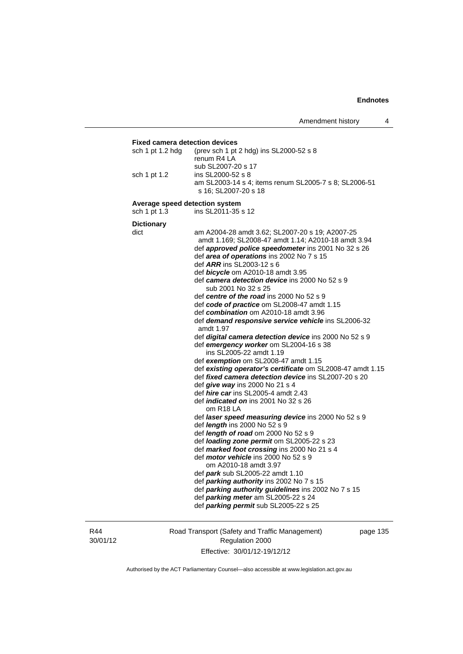### **Fixed camera detection devices**

| sch 1 pt 1.2 hdg               | (prev sch 1 pt 2 hdg) ins SL2000-52 s 8<br>renum R4 LA                        |  |
|--------------------------------|-------------------------------------------------------------------------------|--|
| sch 1 pt 1.2                   | sub SL2007-20 s 17<br>ins SL2000-52 s 8                                       |  |
|                                | am SL2003-14 s 4; items renum SL2005-7 s 8; SL2006-51<br>s 16; SL2007-20 s 18 |  |
| Average speed detection system |                                                                               |  |

sch 1 pt 1.3 ins SL2011-35 s 12

**Dictionary** 

| dict | am A2004-28 amdt 3.62; SL2007-20 s 19; A2007-25<br>amdt 1.169; SL2008-47 amdt 1.14; A2010-18 amdt 3.94 |
|------|--------------------------------------------------------------------------------------------------------|
|      | def <b>approved police speedometer</b> ins 2001 No 32 s 26                                             |
|      | def area of operations ins 2002 No 7 s 15                                                              |
|      | def <i>ARR</i> ins SL2003-12 s 6                                                                       |
|      | def bicycle om A2010-18 amdt 3.95                                                                      |
|      | def camera detection device ins 2000 No 52 s 9                                                         |
|      | sub 2001 No 32 s 25                                                                                    |
|      | def centre of the road ins 2000 No 52 s 9                                                              |
|      | def code of practice om SL2008-47 amdt 1.15                                                            |
|      | def combination om A2010-18 amdt 3.96                                                                  |
|      | def demand responsive service vehicle ins SL2006-32<br>amdt 1.97                                       |
|      | def digital camera detection device ins 2000 No 52 s 9                                                 |
|      | def emergency worker om SL2004-16 s 38                                                                 |
|      | ins SL2005-22 amdt 1.19                                                                                |
|      | def exemption om SL2008-47 amdt 1.15                                                                   |
|      | def existing operator's certificate om SL2008-47 amdt 1.15                                             |
|      | def <i>fixed camera detection device</i> ins SL2007-20 s 20                                            |
|      | def give way ins 2000 No 21 s 4                                                                        |
|      | def <i>hire car</i> ins SL2005-4 amdt 2.43                                                             |
|      | def <i>indicated on</i> ins 2001 No 32 s 26<br>om R <sub>18</sub> LA                                   |
|      | def laser speed measuring device ins 2000 No 52 s 9                                                    |
|      | def <i>length</i> ins 2000 No 52 s 9                                                                   |
|      | def <i>length of road</i> om 2000 No 52 s 9                                                            |
|      | def <i>loading zone permit</i> om SL2005-22 s 23                                                       |
|      | def marked foot crossing ins 2000 No 21 s 4                                                            |
|      | def <i>motor vehicle</i> ins 2000 No 52 s 9                                                            |
|      | om A2010-18 amdt 3.97                                                                                  |
|      | def park sub SL2005-22 amdt 1.10                                                                       |
|      | def <i>parking authority</i> ins 2002 No 7 s 15                                                        |
|      | def parking authority guidelines ins 2002 No 7 s 15                                                    |
|      | def <i>parking meter</i> am SL2005-22 s 24                                                             |
|      | def <i>parking permit</i> sub SL2005-22 s 25                                                           |

R44 30/01/12 Road Transport (Safety and Traffic Management) Regulation 2000 Effective: 30/01/12-19/12/12

page 135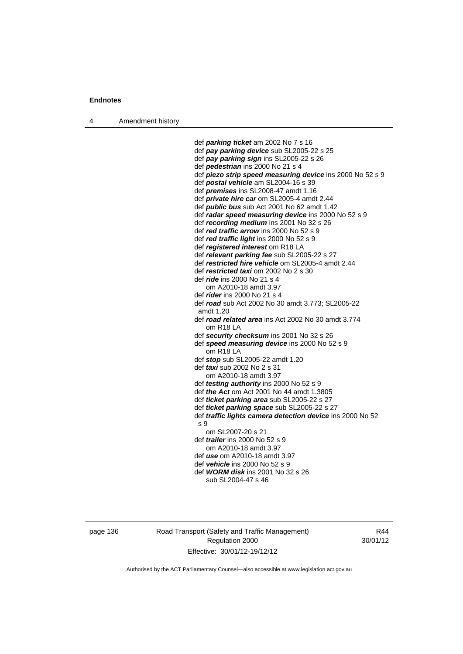4 Amendment history

 def *parking ticket* am 2002 No 7 s 16 def *pay parking device* sub SL2005-22 s 25 def *pay parking sign* ins SL2005-22 s 26 def *pedestrian* ins 2000 No 21 s 4 def *piezo strip speed measuring device* ins 2000 No 52 s 9 def *postal vehicle* am SL2004-16 s 39 def *premises* ins SL2008-47 amdt 1.16 def *private hire car* om SL2005-4 amdt 2.44 def *public bus* sub Act 2001 No 62 amdt 1.42 def *radar speed measuring device* ins 2000 No 52 s 9 def *recording medium* ins 2001 No 32 s 26 def *red traffic arrow* ins 2000 No 52 s 9 def *red traffic light* ins 2000 No 52 s 9 def *registered interest* om R18 LA def *relevant parking fee* sub SL2005-22 s 27 def *restricted hire vehicle* om SL2005-4 amdt 2.44 def *restricted taxi* om 2002 No 2 s 30 def *ride* ins 2000 No 21 s 4 om A2010-18 amdt 3.97 def *rider* ins 2000 No 21 s 4 def *road* sub Act 2002 No 30 amdt 3.773; SL2005-22 amdt 1.20 def *road related area* ins Act 2002 No 30 amdt 3.774 om R18 LA def *security checksum* ins 2001 No 32 s 26 def *speed measuring device* ins 2000 No 52 s 9 om R18 LA def *stop* sub SL2005-22 amdt 1.20 def *taxi* sub 2002 No 2 s 31 om A2010-18 amdt 3.97 def *testing authority* ins 2000 No 52 s 9 def *the Act* om Act 2001 No 44 amdt 1.3805 def *ticket parking area* sub SL2005-22 s 27 def *ticket parking space* sub SL2005-22 s 27 def *traffic lights camera detection device* ins 2000 No 52 s 9 om SL2007-20 s 21 def *trailer* ins 2000 No 52 s 9 om A2010-18 amdt 3.97 def *use* om A2010-18 amdt 3.97 def *vehicle* ins 2000 No 52 s 9 def *WORM disk* ins 2001 No 32 s 26

sub SL2004-47 s 46

page 136 Road Transport (Safety and Traffic Management) Regulation 2000 Effective: 30/01/12-19/12/12

R44 30/01/12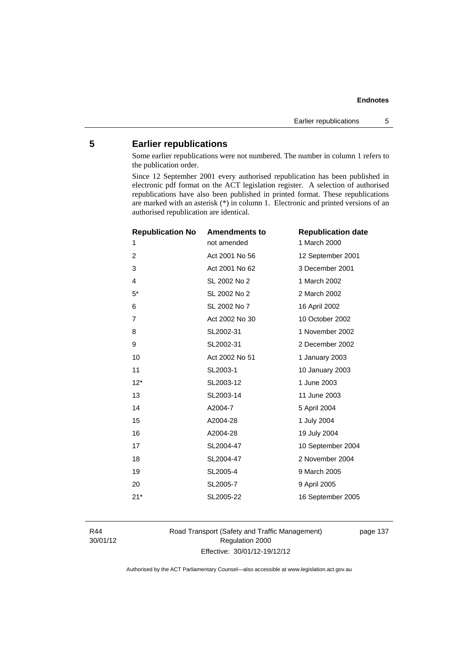# **5 Earlier republications**

Some earlier republications were not numbered. The number in column 1 refers to the publication order.

Since 12 September 2001 every authorised republication has been published in electronic pdf format on the ACT legislation register. A selection of authorised republications have also been published in printed format. These republications are marked with an asterisk (\*) in column 1. Electronic and printed versions of an authorised republication are identical.

| <b>Republication No</b> | <b>Amendments to</b> | <b>Republication date</b> |
|-------------------------|----------------------|---------------------------|
| 1                       | not amended          | 1 March 2000              |
| $\overline{2}$          | Act 2001 No 56       | 12 September 2001         |
| 3                       | Act 2001 No 62       | 3 December 2001           |
| $\overline{4}$          | SL 2002 No 2         | 1 March 2002              |
| $5*$                    | SL 2002 No 2         | 2 March 2002              |
| 6                       | SL 2002 No 7         | 16 April 2002             |
| $\overline{7}$          | Act 2002 No 30       | 10 October 2002           |
| 8                       | SL2002-31            | 1 November 2002           |
| 9                       | SL2002-31            | 2 December 2002           |
| 10                      | Act 2002 No 51       | 1 January 2003            |
| 11                      | SL2003-1             | 10 January 2003           |
| $12*$                   | SL2003-12            | 1 June 2003               |
| 13                      | SL2003-14            | 11 June 2003              |
| 14                      | A2004-7              | 5 April 2004              |
| 15                      | A2004-28             | 1 July 2004               |
| 16                      | A2004-28             | 19 July 2004              |
| 17                      | SL2004-47            | 10 September 2004         |
| 18                      | SL2004-47            | 2 November 2004           |
| 19                      | SL2005-4             | 9 March 2005              |
| 20                      | SL2005-7             | 9 April 2005              |
| $21*$                   | SL2005-22            | 16 September 2005         |
|                         |                      |                           |

R44 30/01/12 Road Transport (Safety and Traffic Management) Regulation 2000 Effective: 30/01/12-19/12/12

page 137